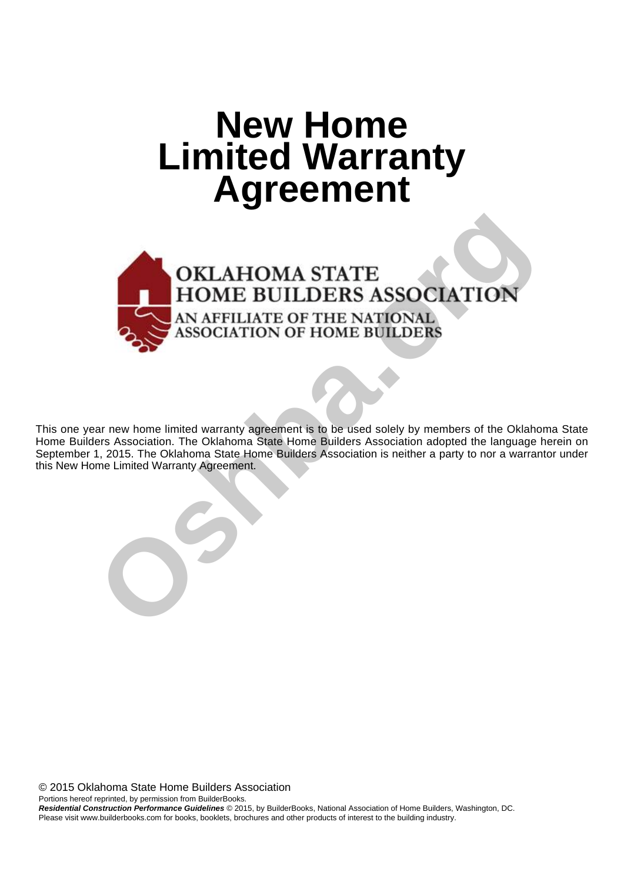# **New Home Limited Warranty Agreement**



This one year new home limited warranty agreement is to be used solely by members of the Oklahoma State Home Builders Association. The Oklahoma State Home Builders Association adopted the language herein on September 1, 2015. The Oklahoma State Home Builders Association is neither a party to nor a warrantor under<br>this New Home Limited Warranty Agreement.

© 2015 Oklahoma State Home Builders Association

Portions hereof reprinted, by permission from BuilderBooks.

**Residential Construction Performance Guidelines** © 2015, by BuilderBooks, National Association of Home Builders, Washington, DC. Please visit www.builderbooks.com for books, booklets, brochures and other products of interest to the building industry.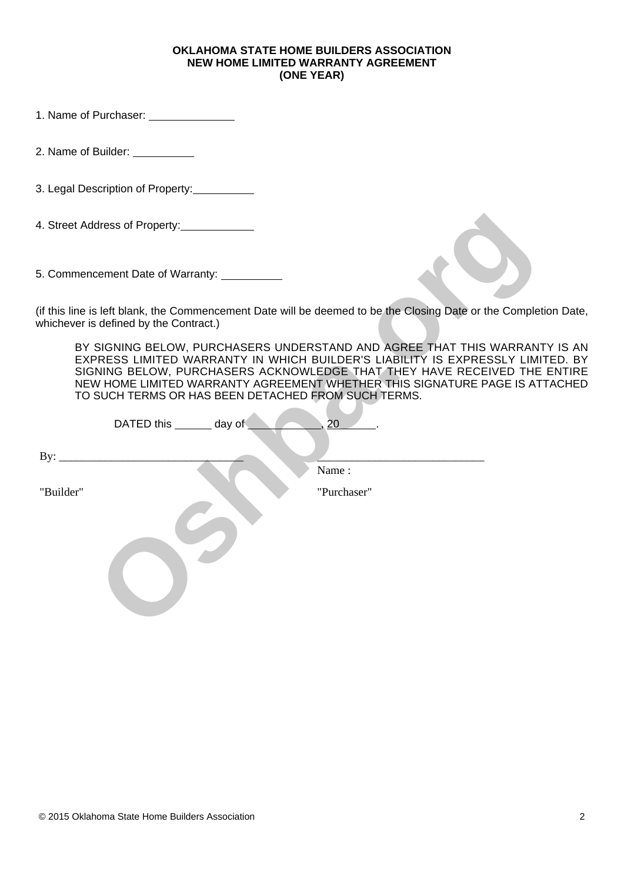#### **OKLAHOMA STATE HOME BUILDERS ASSOCIATION NEW HOME LIMITED WARRANTY AGREEMENT (ONE YEAR)**

| 1. Name of Purchaser: _______________                                                                                                                      |                                                                                                                                                                                                                                                                                                                         |
|------------------------------------------------------------------------------------------------------------------------------------------------------------|-------------------------------------------------------------------------------------------------------------------------------------------------------------------------------------------------------------------------------------------------------------------------------------------------------------------------|
| 2. Name of Builder: __________                                                                                                                             |                                                                                                                                                                                                                                                                                                                         |
| 3. Legal Description of Property:                                                                                                                          |                                                                                                                                                                                                                                                                                                                         |
| 4. Street Address of Property:                                                                                                                             |                                                                                                                                                                                                                                                                                                                         |
| 5. Commencement Date of Warranty: ___________                                                                                                              |                                                                                                                                                                                                                                                                                                                         |
| (if this line is left blank, the Commencement Date will be deemed to be the Closing Date or the Completion Date,<br>whichever is defined by the Contract.) |                                                                                                                                                                                                                                                                                                                         |
| TO SUCH TERMS OR HAS BEEN DETACHED FROM SUCH TERMS.                                                                                                        | BY SIGNING BELOW, PURCHASERS UNDERSTAND AND AGREE THAT THIS WARRANTY IS AN<br>EXPRESS LIMITED WARRANTY IN WHICH BUILDER'S LIABILITY IS EXPRESSLY LIMITED. BY<br>SIGNING BELOW, PURCHASERS ACKNOWLEDGE THAT THEY HAVE RECEIVED THE ENTIRE<br>NEW HOME LIMITED WARRANTY AGREEMENT WHETHER THIS SIGNATURE PAGE IS ATTACHED |
| DATED this _______ day of                                                                                                                                  | 20                                                                                                                                                                                                                                                                                                                      |
| $\rm\,By:$                                                                                                                                                 |                                                                                                                                                                                                                                                                                                                         |
|                                                                                                                                                            | Name:                                                                                                                                                                                                                                                                                                                   |
| "Builder"                                                                                                                                                  | "Purchaser"                                                                                                                                                                                                                                                                                                             |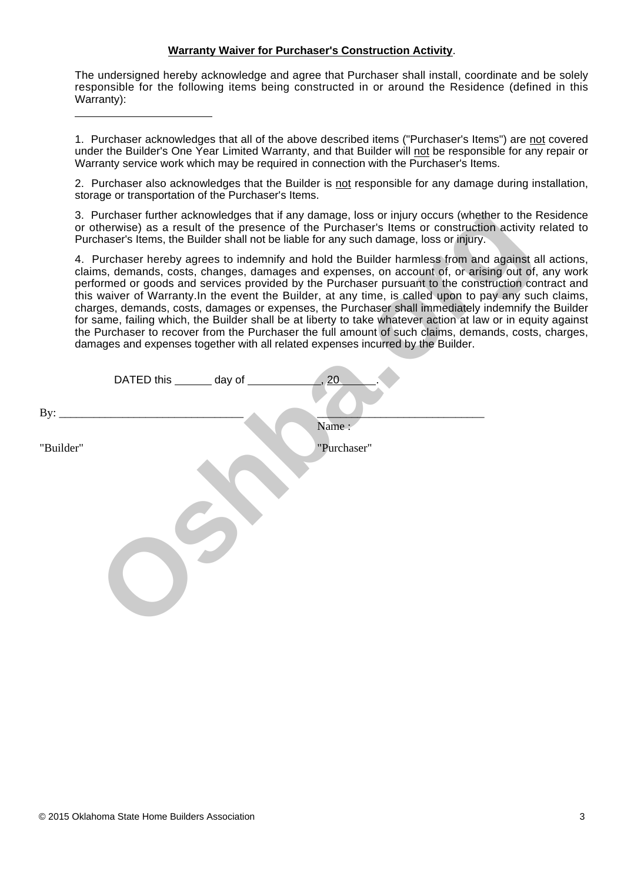# **Warranty Waiver for Purchaser's Construction Activity**.

The undersigned hereby acknowledge and agree that Purchaser shall install, coordinate and be solely responsible for the following items being constructed in or around the Residence (defined in this Warranty):

1. Purchaser acknowledges that all of the above described items ("Purchaser's Items") are not covered under the Builder's One Year Limited Warranty, and that Builder will not be responsible for any repair or Warranty service work which may be required in connection with the Purchaser's Items.

2. Purchaser also acknowledges that the Builder is not responsible for any damage during installation, storage or transportation of the Purchaser's Items.

3. Purchaser further acknowledges that if any damage, loss or injury occurs (whether to the Residence or otherwise) as a result of the presence of the Purchaser's Items or construction activity related to Purchaser's Items, the Builder shall not be liable for any such damage, loss or injury.

4. Purchaser hereby agrees to indemnify and hold the Builder harmless from and against all actions, claims, demands, costs, changes, damages and expenses, on account of, or arising out of, any work performed or goods and services provided by the Purchaser pursuant to the construction contract and this waiver of Warranty.In the event the Builder, at any time, is called upon to pay any such claims, charges, demands, costs, damages or expenses, the Purchaser shall immediately indemnify the Builder for same, failing which, the Builder shall be at liberty to take whatever action at law or in equity against the Purchaser to recover from the Purchaser the full amount of such claims, demands, costs, charges, damages and expenses together with all related expenses incurred by the Builder.

|           | 3. Purchaser further acknowledges that if any damage, loss or injury occurs (whether to the F<br>or otherwise) as a result of the presence of the Purchaser's Items or construction activity<br>Purchaser's Items, the Builder shall not be liable for any such damage, loss or injury.                                                                                                                                                                                                                                                                                                                                                                                                                                                                                     |
|-----------|-----------------------------------------------------------------------------------------------------------------------------------------------------------------------------------------------------------------------------------------------------------------------------------------------------------------------------------------------------------------------------------------------------------------------------------------------------------------------------------------------------------------------------------------------------------------------------------------------------------------------------------------------------------------------------------------------------------------------------------------------------------------------------|
|           | 4. Purchaser hereby agrees to indemnify and hold the Builder harmless from and against a<br>claims, demands, costs, changes, damages and expenses, on account of, or arising out of,<br>performed or goods and services provided by the Purchaser pursuant to the construction cor<br>this waiver of Warranty. In the event the Builder, at any time, is called upon to pay any suc<br>charges, demands, costs, damages or expenses, the Purchaser shall immediately indemnify the<br>for same, failing which, the Builder shall be at liberty to take whatever action at law or in equi<br>the Purchaser to recover from the Purchaser the full amount of such claims, demands, costs,<br>damages and expenses together with all related expenses incurred by the Builder. |
|           | 20<br>DATED this _______ day of _______                                                                                                                                                                                                                                                                                                                                                                                                                                                                                                                                                                                                                                                                                                                                     |
| By:       | Name:                                                                                                                                                                                                                                                                                                                                                                                                                                                                                                                                                                                                                                                                                                                                                                       |
| "Builder" | "Purchaser"                                                                                                                                                                                                                                                                                                                                                                                                                                                                                                                                                                                                                                                                                                                                                                 |
|           |                                                                                                                                                                                                                                                                                                                                                                                                                                                                                                                                                                                                                                                                                                                                                                             |

 $\overline{a}$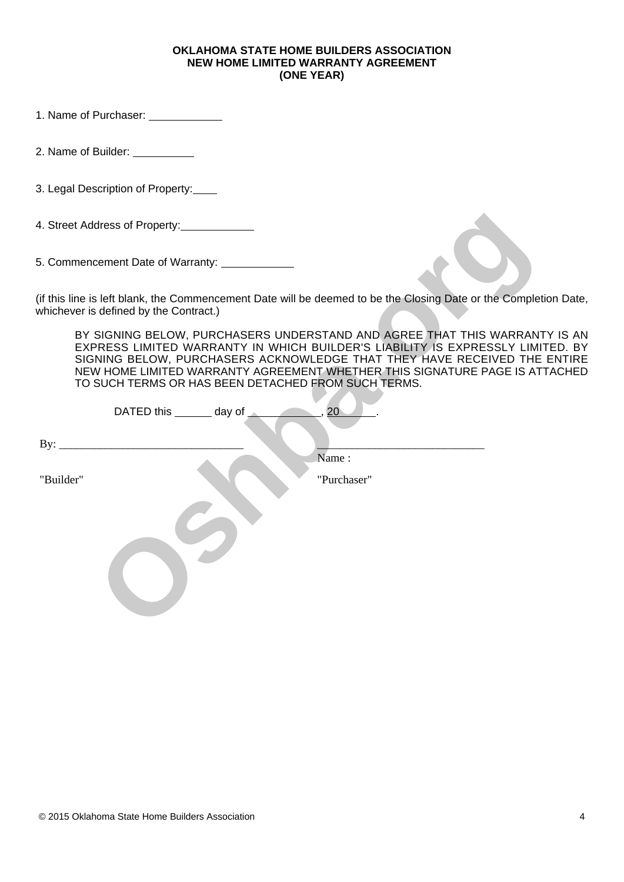## **OKLAHOMA STATE HOME BUILDERS ASSOCIATION NEW HOME LIMITED WARRANTY AGREEMENT (ONE YEAR)**

|  | 1. Name of Purchaser: |  |
|--|-----------------------|--|
|  |                       |  |

2. Name of Builder:

- 3. Legal Description of Property:
- 4. Street Address of Property:

(if this line is left blank, the Commencement Date will be deemed to be the Closing Date or the Completion Date, whichever is defined by the Contract.)

BY SIGNING BELOW, PURCHASERS UNDERSTAND AND AGREE THAT THIS WARRANTY IS AN EXPRESS LIMITED WARRANTY IN WHICH BUILDER'S LIABILITY IS EXPRESSLY LIMITED. BY SIGNING BELOW, PURCHASERS ACKNOWLEDGE THAT THEY HAVE RECEIVED THE ENTIRE NEW HOME LIMITED WARRANTY AGREEMENT WHETHER THIS SIGNATURE PAGE IS ATTACHED TO SUCH TERMS OR HAS BEEN DETACHED FROM SUCH TERMS.

| 4. Street Address of Property:                                                   |                                                                                                                                                                                                                                                                                                   |
|----------------------------------------------------------------------------------|---------------------------------------------------------------------------------------------------------------------------------------------------------------------------------------------------------------------------------------------------------------------------------------------------|
| 5. Commencement Date of Warranty: 1988 Commencement Date of Warranty:            |                                                                                                                                                                                                                                                                                                   |
| whichever is defined by the Contract.)                                           | if this line is left blank, the Commencement Date will be deemed to be the Closing Date or the Comple                                                                                                                                                                                             |
| TO SUCH TERMS OR HAS BEEN DETACHED FROM SUCH TERMS.<br>DATED this _______ day of | BY SIGNING BELOW, PURCHASERS UNDERSTAND AND AGREE THAT THIS WARRAN<br>EXPRESS LIMITED WARRANTY IN WHICH BUILDER'S LIABILITY IS EXPRESSLY LIMI<br>SIGNING BELOW, PURCHASERS ACKNOWLEDGE THAT THEY HAVE RECEIVED THE<br>NEW HOME LIMITED WARRANTY AGREEMENT WHETHER THIS SIGNATURE PAGE IS AT<br>20 |
| $\mathrm{By:}\_$                                                                 | Name:                                                                                                                                                                                                                                                                                             |
| "Builder"                                                                        | "Purchaser"                                                                                                                                                                                                                                                                                       |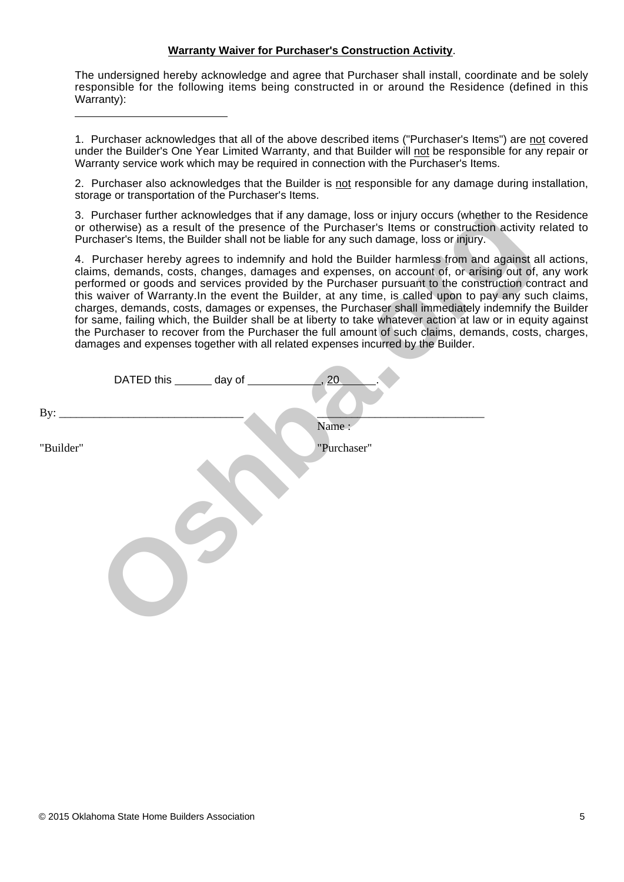# **Warranty Waiver for Purchaser's Construction Activity**.

The undersigned hereby acknowledge and agree that Purchaser shall install, coordinate and be solely responsible for the following items being constructed in or around the Residence (defined in this Warranty):

1. Purchaser acknowledges that all of the above described items ("Purchaser's Items") are not covered under the Builder's One Year Limited Warranty, and that Builder will not be responsible for any repair or Warranty service work which may be required in connection with the Purchaser's Items.

2. Purchaser also acknowledges that the Builder is not responsible for any damage during installation, storage or transportation of the Purchaser's Items.

3. Purchaser further acknowledges that if any damage, loss or injury occurs (whether to the Residence or otherwise) as a result of the presence of the Purchaser's Items or construction activity related to Purchaser's Items, the Builder shall not be liable for any such damage, loss or injury.

4. Purchaser hereby agrees to indemnify and hold the Builder harmless from and against all actions, claims, demands, costs, changes, damages and expenses, on account of, or arising out of, any work performed or goods and services provided by the Purchaser pursuant to the construction contract and this waiver of Warranty.In the event the Builder, at any time, is called upon to pay any such claims, charges, demands, costs, damages or expenses, the Purchaser shall immediately indemnify the Builder for same, failing which, the Builder shall be at liberty to take whatever action at law or in equity against the Purchaser to recover from the Purchaser the full amount of such claims, demands, costs, charges, damages and expenses together with all related expenses incurred by the Builder.

|           | 3. Purchaser further acknowledges that if any damage, loss or injury occurs (whether to the F<br>or otherwise) as a result of the presence of the Purchaser's Items or construction activity<br>Purchaser's Items, the Builder shall not be liable for any such damage, loss or injury.                                                                                                                                                                                                                                                                                                                                                                                                                                                                                     |
|-----------|-----------------------------------------------------------------------------------------------------------------------------------------------------------------------------------------------------------------------------------------------------------------------------------------------------------------------------------------------------------------------------------------------------------------------------------------------------------------------------------------------------------------------------------------------------------------------------------------------------------------------------------------------------------------------------------------------------------------------------------------------------------------------------|
|           | 4. Purchaser hereby agrees to indemnify and hold the Builder harmless from and against a<br>claims, demands, costs, changes, damages and expenses, on account of, or arising out of,<br>performed or goods and services provided by the Purchaser pursuant to the construction cor<br>this waiver of Warranty. In the event the Builder, at any time, is called upon to pay any suc<br>charges, demands, costs, damages or expenses, the Purchaser shall immediately indemnify the<br>for same, failing which, the Builder shall be at liberty to take whatever action at law or in equi<br>the Purchaser to recover from the Purchaser the full amount of such claims, demands, costs,<br>damages and expenses together with all related expenses incurred by the Builder. |
|           | 20<br>DATED this _______ day of _______                                                                                                                                                                                                                                                                                                                                                                                                                                                                                                                                                                                                                                                                                                                                     |
| By:       | Name:                                                                                                                                                                                                                                                                                                                                                                                                                                                                                                                                                                                                                                                                                                                                                                       |
| "Builder" | "Purchaser"                                                                                                                                                                                                                                                                                                                                                                                                                                                                                                                                                                                                                                                                                                                                                                 |
|           |                                                                                                                                                                                                                                                                                                                                                                                                                                                                                                                                                                                                                                                                                                                                                                             |

 $\overline{a}$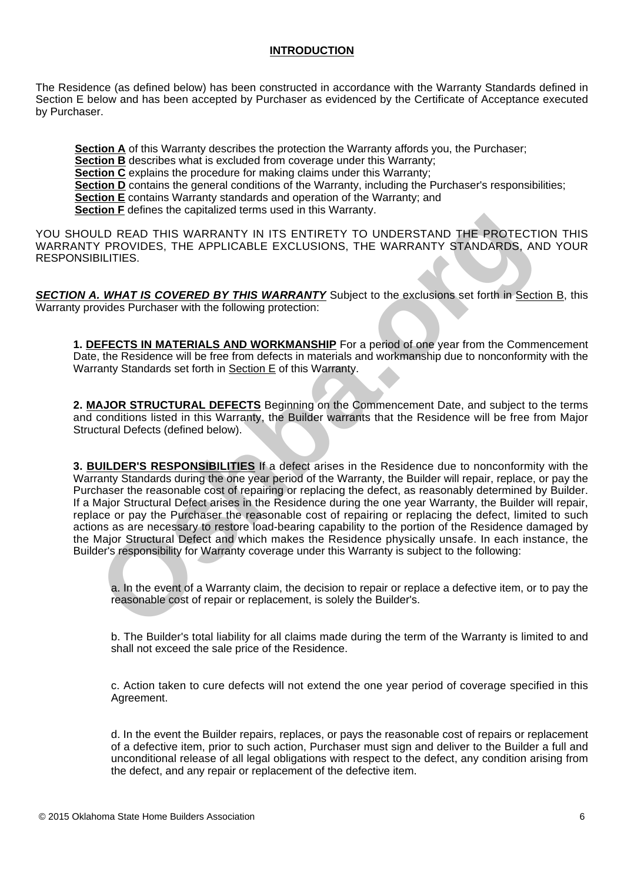# **INTRODUCTION**

The Residence (as defined below) has been constructed in accordance with the Warranty Standards defined in Section E below and has been accepted by Purchaser as evidenced by the Certificate of Acceptance executed by Purchaser.

**Section A** of this Warranty describes the protection the Warranty affords you, the Purchaser;

- **Section B** describes what is excluded from coverage under this Warranty;
- **Section C** explains the procedure for making claims under this Warranty;

**Section D** contains the general conditions of the Warranty, including the Purchaser's responsibilities;

**Section E** contains Warranty standards and operation of the Warranty; and

**Section F** defines the capitalized terms used in this Warranty.

YOU SHOULD READ THIS WARRANTY IN ITS ENTIRETY TO UNDERSTAND THE PROTECTION THIS WARRANTY PROVIDES, THE APPLICABLE EXCLUSIONS, THE WARRANTY STANDARDS, AND YOUR RESPONSIBILITIES.

**SECTION A. WHAT IS COVERED BY THIS WARRANTY** Subject to the exclusions set forth in Section B, this Warranty provides Purchaser with the following protection:

**1. DEFECTS IN MATERIALS AND WORKMANSHIP** For a period of one year from the Commencement Date, the Residence will be free from defects in materials and workmanship due to nonconformity with the Warranty Standards set forth in Section E of this Warranty.

**2. MAJOR STRUCTURAL DEFECTS** Beginning on the Commencement Date, and subject to the terms and conditions listed in this Warranty, the Builder warrants that the Residence will be free from Major Structural Defects (defined below).

**3. BUILDER'S RESPONSIBILITIES** If a defect arises in the Residence due to nonconformity with the Warranty Standards during the one year period of the Warranty, the Builder will repair, replace, or pay the Purchaser the reasonable cost of repairing or replacing the defect, as reasonably determined by Builder. If a Major Structural Defect arises in the Residence during the one year Warranty, the Builder will repair, replace or pay the Purchaser the reasonable cost of repairing or replacing the defect, limited to such actions as are necessary to restore load-bearing capability to the portion of the Residence damaged by the Major Structural Defect and which makes the Residence physically unsafe. In each instance, the Builder's responsibility for Warranty coverage under this Warranty is subject to the following: **ULL DREAD THIS WARRANTY IN ITS ENTIRETY TO UNDERSTAND THE PROTECTLART PROVIDES.**<br>THE RAD THIS WARRANTY IN ITS ENTIRETY TO UNDERSTAND THE PROTECTLART PROVIDES. THE APPLICABLE EXCLUSIONS, THE WARRANTY STANDARDS. AN<br>BILITIES

a. In the event of a Warranty claim, the decision to repair or replace a defective item, or to pay the reasonable cost of repair or replacement, is solely the Builder's.

b. The Builder's total liability for all claims made during the term of the Warranty is limited to and shall not exceed the sale price of the Residence.

c. Action taken to cure defects will not extend the one year period of coverage specified in this Agreement.

d. In the event the Builder repairs, replaces, or pays the reasonable cost of repairs or replacement of a defective item, prior to such action, Purchaser must sign and deliver to the Builder a full and unconditional release of all legal obligations with respect to the defect, any condition arising from the defect, and any repair or replacement of the defective item.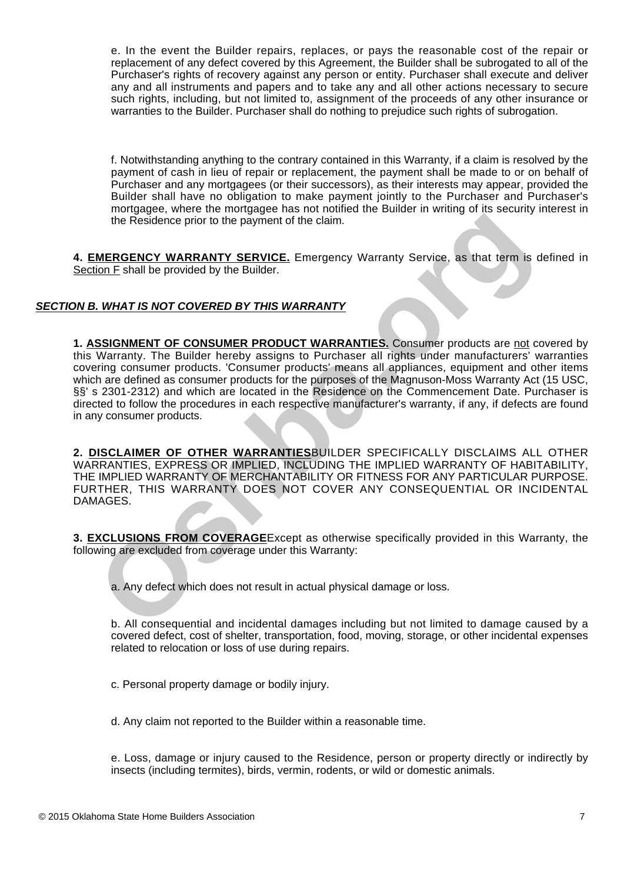e. In the event the Builder repairs, replaces, or pays the reasonable cost of the repair or replacement of any defect covered by this Agreement, the Builder shall be subrogated to all of the Purchaser's rights of recovery against any person or entity. Purchaser shall execute and deliver any and all instruments and papers and to take any and all other actions necessary to secure such rights, including, but not limited to, assignment of the proceeds of any other insurance or warranties to the Builder. Purchaser shall do nothing to prejudice such rights of subrogation.

f. Notwithstanding anything to the contrary contained in this Warranty, if a claim is resolved by the payment of cash in lieu of repair or replacement, the payment shall be made to or on behalf of Purchaser and any mortgagees (or their successors), as their interests may appear, provided the Builder shall have no obligation to make payment jointly to the Purchaser and Purchaser's mortgagee, where the mortgagee has not notified the Builder in writing of its security interest in the Residence prior to the payment of the claim.

**4. EMERGENCY WARRANTY SERVICE.** Emergency Warranty Service, as that term is defined in Section F shall be provided by the Builder.

# **SECTION B. WHAT IS NOT COVERED BY THIS WARRANTY**

**1. ASSIGNMENT OF CONSUMER PRODUCT WARRANTIES.** Consumer products are not covered by this Warranty. The Builder hereby assigns to Purchaser all rights under manufacturers' warranties covering consumer products. 'Consumer products' means all appliances, equipment and other items which are defined as consumer products for the purposes of the Magnuson-Moss Warranty Act (15 USC, §§' s 2301-2312) and which are located in the Residence on the Commencement Date. Purchaser is directed to follow the procedures in each respective manufacturer's warranty, if any, if defects are found in any consumer products. The Residence prior to the payment of the datm.<br> **MERGENCY WARRANTY SERVICE.** Emergency Warranty Service, as that term is dieting the Residence prior to the payment of the datm.<br> **MERGENCY WARRANTY SERVICE.** Emergency Warr

**2. DISCLAIMER OF OTHER WARRANTIES**BUILDER SPECIFICALLY DISCLAIMS ALL OTHER WARRANTIES, EXPRESS OR IMPLIED, INCLUDING THE IMPLIED WARRANTY OF HABITABILITY, THE IMPLIED WARRANTY OF MERCHANTABILITY OR FITNESS FOR ANY PARTICULAR PURPOSE. FURTHER, THIS WARRANTY DOES NOT COVER ANY CONSEQUENTIAL OR INCIDENTAL DAMAGES.

**3. EXCLUSIONS FROM COVERAGE**Except as otherwise specifically provided in this Warranty, the following are excluded from coverage under this Warranty:

a. Any defect which does not result in actual physical damage or loss.

b. All consequential and incidental damages including but not limited to damage caused by a covered defect, cost of shelter, transportation, food, moving, storage, or other incidental expenses related to relocation or loss of use during repairs.

c. Personal property damage or bodily injury.

d. Any claim not reported to the Builder within a reasonable time.

e. Loss, damage or injury caused to the Residence, person or property directly or indirectly by insects (including termites), birds, vermin, rodents, or wild or domestic animals.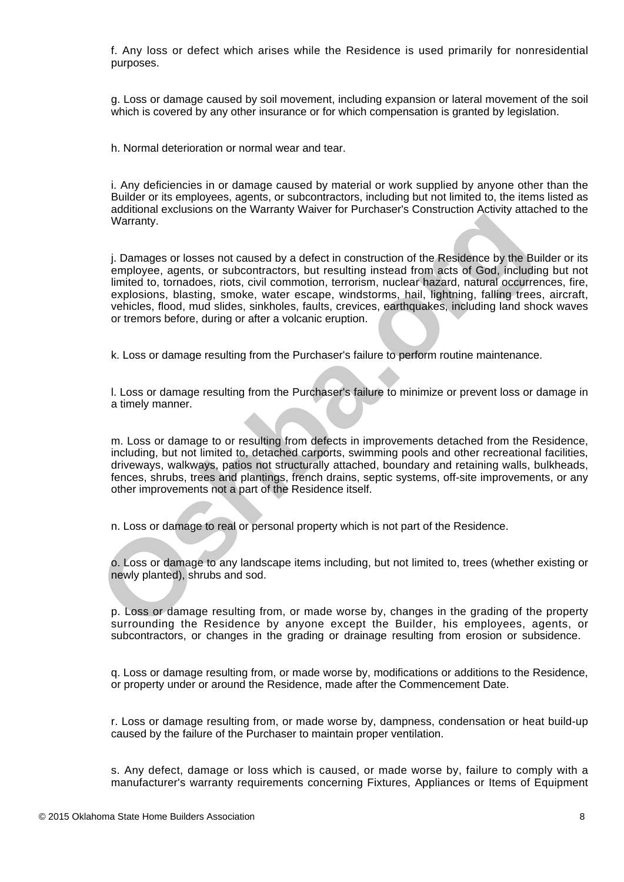f. Any loss or defect which arises while the Residence is used primarily for nonresidential purposes.

g. Loss or damage caused by soil movement, including expansion or lateral movement of the soil which is covered by any other insurance or for which compensation is granted by legislation.

h. Normal deterioration or normal wear and tear.

i. Any deficiencies in or damage caused by material or work supplied by anyone other than the Builder or its employees, agents, or subcontractors, including but not limited to, the items listed as additional exclusions on the Warranty Waiver for Purchaser's Construction Activity attached to the Warranty.

j. Damages or losses not caused by a defect in construction of the Residence by the Builder or its employee, agents, or subcontractors, but resulting instead from acts of God, including but not limited to, tornadoes, riots, civil commotion, terrorism, nuclear hazard, natural occurrences, fire, explosions, blasting, smoke, water escape, windstorms, hail, lightning, falling trees, aircraft, vehicles, flood, mud slides, sinkholes, faults, crevices, earthquakes, including land shock waves or tremors before, during or after a volcanic eruption. Warranty.<br>
The Maranty considers of the Varianity Prance for Fusionalized Sourcident Freemy and<br>
infinited to, tomadoes, rots, civil commution, terrorist instead from acts of God, includin<br>
limited to, tomadoes, rots, civi

k. Loss or damage resulting from the Purchaser's failure to perform routine maintenance.

l. Loss or damage resulting from the Purchaser's failure to minimize or prevent loss or damage in a timely manner.

m. Loss or damage to or resulting from defects in improvements detached from the Residence, including, but not limited to, detached carports, swimming pools and other recreational facilities, driveways, walkways, patios not structurally attached, boundary and retaining walls, bulkheads, fences, shrubs, trees and plantings, french drains, septic systems, off-site improvements, or any other improvements not a part of the Residence itself.

n. Loss or damage to real or personal property which is not part of the Residence.

o. Loss or damage to any landscape items including, but not limited to, trees (whether existing or newly planted), shrubs and sod.

p. Loss or damage resulting from, or made worse by, changes in the grading of the property surrounding the Residence by anyone except the Builder, his employees, agents, or subcontractors, or changes in the grading or drainage resulting from erosion or subsidence.

q. Loss or damage resulting from, or made worse by, modifications or additions to the Residence, or property under or around the Residence, made after the Commencement Date.

r. Loss or damage resulting from, or made worse by, dampness, condensation or heat build-up caused by the failure of the Purchaser to maintain proper ventilation.

s. Any defect, damage or loss which is caused, or made worse by, failure to comply with a manufacturer's warranty requirements concerning Fixtures, Appliances or Items of Equipment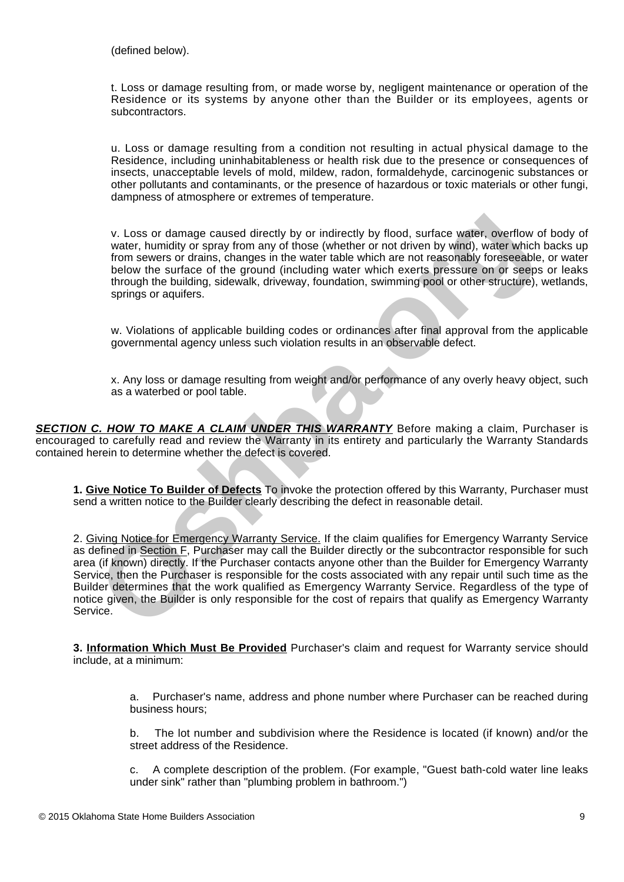(defined below).

t. Loss or damage resulting from, or made worse by, negligent maintenance or operation of the Residence or its systems by anyone other than the Builder or its employees, agents or subcontractors.

u. Loss or damage resulting from a condition not resulting in actual physical damage to the Residence, including uninhabitableness or health risk due to the presence or consequences of insects, unacceptable levels of mold, mildew, radon, formaldehyde, carcinogenic substances or other pollutants and contaminants, or the presence of hazardous or toxic materials or other fungi, dampness of atmosphere or extremes of temperature.

v. Loss or damage caused directly by or indirectly by flood, surface water, overflow of body of water, humidity or spray from any of those (whether or not driven by wind), water which backs up from sewers or drains, changes in the water table which are not reasonably foreseeable, or water below the surface of the ground (including water which exerts pressure on or seeps or leaks through the building, sidewalk, driveway, foundation, swimming pool or other structure), wetlands, springs or aquifers.

w. Violations of applicable building codes or ordinances after final approval from the applicable governmental agency unless such violation results in an observable defect.

x. Any loss or damage resulting from weight and/or performance of any overly heavy object, such as a waterbed or pool table.

**SECTION C. HOW TO MAKE A CLAIM UNDER THIS WARRANTY** Before making a claim, Purchaser is encouraged to carefully read and review the Warranty in its entirety and particularly the Warranty Standards contained herein to determine whether the defect is covered.

**1. Give Notice To Builder of Defects** To invoke the protection offered by this Warranty, Purchaser must send a written notice to the Builder clearly describing the defect in reasonable detail.

2. Giving Notice for Emergency Warranty Service. If the claim qualifies for Emergency Warranty Service as defined in Section F, Purchaser may call the Builder directly or the subcontractor responsible for such area (if known) directly. If the Purchaser contacts anyone other than the Builder for Emergency Warranty Service, then the Purchaser is responsible for the costs associated with any repair until such time as the Builder determines that the work qualified as Emergency Warranty Service. Regardless of the type of notice given, the Builder is only responsible for the cost of repairs that qualify as Emergency Warranty Service. v. Loss or damage caused directly by or indirectly by flood, surface water, overflow water, humidity or spray from any of those (whether or not driven by wind), water which<br>tom severs or drains, changes in the water table

**3. Information Which Must Be Provided** Purchaser's claim and request for Warranty service should include, at a minimum:

> a. Purchaser's name, address and phone number where Purchaser can be reached during business hours;

> b. The lot number and subdivision where the Residence is located (if known) and/or the street address of the Residence.

> c. A complete description of the problem. (For example, "Guest bath-cold water line leaks under sink" rather than "plumbing problem in bathroom.")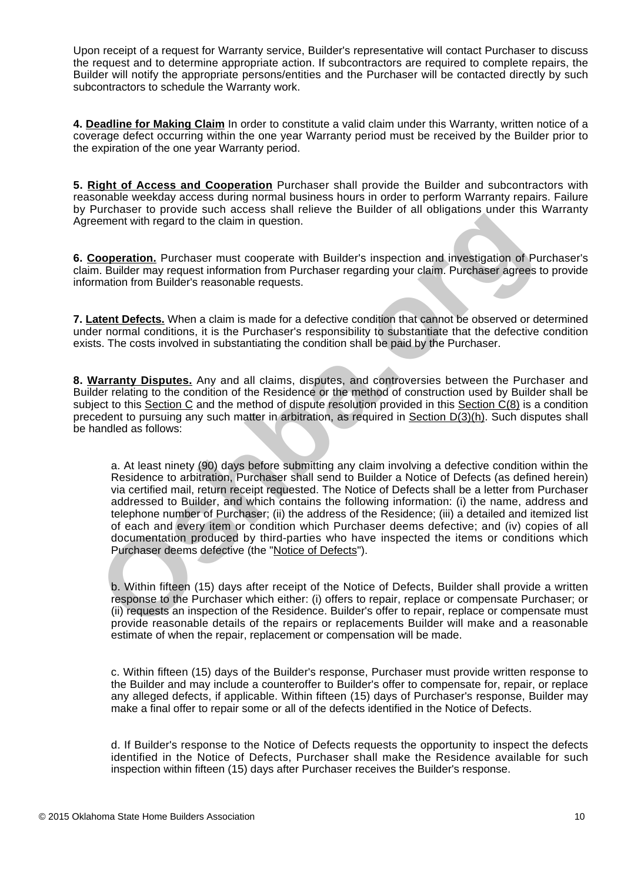Upon receipt of a request for Warranty service, Builder's representative will contact Purchaser to discuss the request and to determine appropriate action. If subcontractors are required to complete repairs, the Builder will notify the appropriate persons/entities and the Purchaser will be contacted directly by such subcontractors to schedule the Warranty work.

**4. Deadline for Making Claim** In order to constitute a valid claim under this Warranty, written notice of a coverage defect occurring within the one year Warranty period must be received by the Builder prior to the expiration of the one year Warranty period.

**5. Right of Access and Cooperation** Purchaser shall provide the Builder and subcontractors with reasonable weekday access during normal business hours in order to perform Warranty repairs. Failure by Purchaser to provide such access shall relieve the Builder of all obligations under this Warranty Agreement with regard to the claim in question.

**6. Cooperation.** Purchaser must cooperate with Builder's inspection and investigation of Purchaser's claim. Builder may request information from Purchaser regarding your claim. Purchaser agrees to provide information from Builder's reasonable requests.

**7. Latent Defects.** When a claim is made for a defective condition that cannot be observed or determined under normal conditions, it is the Purchaser's responsibility to substantiate that the defective condition exists. The costs involved in substantiating the condition shall be paid by the Purchaser.

**8. Warranty Disputes.** Any and all claims, disputes, and controversies between the Purchaser and Builder relating to the condition of the Residence or the method of construction used by Builder shall be subject to this Section C and the method of dispute resolution provided in this Section C(8) is a condition precedent to pursuing any such matter in arbitration, as required in Section D(3)(h). Such disputes shall be handled as follows:

a. At least ninety (90) days before submitting any claim involving a defective condition within the Residence to arbitration, Purchaser shall send to Builder a Notice of Defects (as defined herein) via certified mail, return receipt requested. The Notice of Defects shall be a letter from Purchaser addressed to Builder, and which contains the following information: (i) the name, address and telephone number of Purchaser; (ii) the address of the Residence; (iii) a detailed and itemized list of each and every item or condition which Purchaser deems defective; and (iv) copies of all documentation produced by third-parties who have inspected the items or conditions which Purchaser deems defective (the "Notice of Defects"). connectively method of the base transformation in the state of the state of the claim in question. The summation of Purchaser must cooperation form Purchaser regarding your claim. Purchaser agrees that to in the state may

b. Within fifteen (15) days after receipt of the Notice of Defects, Builder shall provide a written response to the Purchaser which either: (i) offers to repair, replace or compensate Purchaser; or (ii) requests an inspection of the Residence. Builder's offer to repair, replace or compensate must provide reasonable details of the repairs or replacements Builder will make and a reasonable estimate of when the repair, replacement or compensation will be made.

c. Within fifteen (15) days of the Builder's response, Purchaser must provide written response to the Builder and may include a counteroffer to Builder's offer to compensate for, repair, or replace any alleged defects, if applicable. Within fifteen (15) days of Purchaser's response, Builder may make a final offer to repair some or all of the defects identified in the Notice of Defects.

d. If Builder's response to the Notice of Defects requests the opportunity to inspect the defects identified in the Notice of Defects, Purchaser shall make the Residence available for such inspection within fifteen (15) days after Purchaser receives the Builder's response.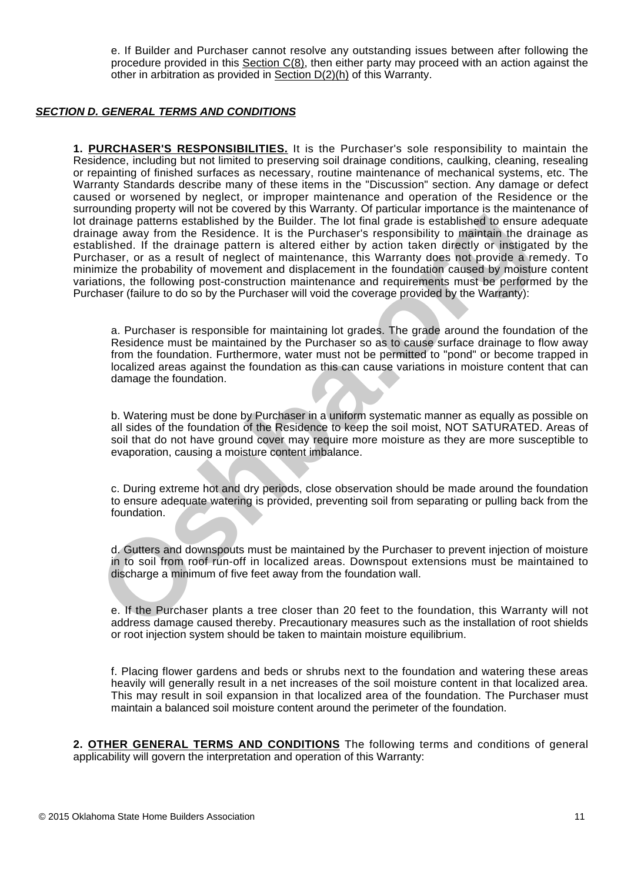e. If Builder and Purchaser cannot resolve any outstanding issues between after following the procedure provided in this Section C(8), then either party may proceed with an action against the other in arbitration as provided in Section D(2)(h) of this Warranty.

# **SECTION D. GENERAL TERMS AND CONDITIONS**

**1. PURCHASER'S RESPONSIBILITIES.** It is the Purchaser's sole responsibility to maintain the Residence, including but not limited to preserving soil drainage conditions, caulking, cleaning, resealing or repainting of finished surfaces as necessary, routine maintenance of mechanical systems, etc. The Warranty Standards describe many of these items in the "Discussion" section. Any damage or defect caused or worsened by neglect, or improper maintenance and operation of the Residence or the surrounding property will not be covered by this Warranty. Of particular importance is the maintenance of lot drainage patterns established by the Builder. The lot final grade is established to ensure adequate drainage away from the Residence. It is the Purchaser's responsibility to maintain the drainage as established. If the drainage pattern is altered either by action taken directly or instigated by the Purchaser, or as a result of neglect of maintenance, this Warranty does not provide a remedy. To minimize the probability of movement and displacement in the foundation caused by moisture content variations, the following post-construction maintenance and requirements must be performed by the Purchaser (failure to do so by the Purchaser will void the coverage provided by the Warranty): training portrory, eastablished by the Builder. The lot final grade is established to ensure a<br>trainage patterns established by the Builder. The lot final grade is established to ensure<br>nage axely rom the Residence. It is

a. Purchaser is responsible for maintaining lot grades. The grade around the foundation of the Residence must be maintained by the Purchaser so as to cause surface drainage to flow away from the foundation. Furthermore, water must not be permitted to "pond" or become trapped in localized areas against the foundation as this can cause variations in moisture content that can damage the foundation.

b. Watering must be done by Purchaser in a uniform systematic manner as equally as possible on all sides of the foundation of the Residence to keep the soil moist, NOT SATURATED. Areas of soil that do not have ground cover may require more moisture as they are more susceptible to evaporation, causing a moisture content imbalance.

c. During extreme hot and dry periods, close observation should be made around the foundation to ensure adequate watering is provided, preventing soil from separating or pulling back from the foundation.

d. Gutters and downspouts must be maintained by the Purchaser to prevent injection of moisture in to soil from roof run-off in localized areas. Downspout extensions must be maintained to discharge a minimum of five feet away from the foundation wall.

e. If the Purchaser plants a tree closer than 20 feet to the foundation, this Warranty will not address damage caused thereby. Precautionary measures such as the installation of root shields or root injection system should be taken to maintain moisture equilibrium.

f. Placing flower gardens and beds or shrubs next to the foundation and watering these areas heavily will generally result in a net increases of the soil moisture content in that localized area. This may result in soil expansion in that localized area of the foundation. The Purchaser must maintain a balanced soil moisture content around the perimeter of the foundation.

**2. OTHER GENERAL TERMS AND CONDITIONS** The following terms and conditions of general applicability will govern the interpretation and operation of this Warranty: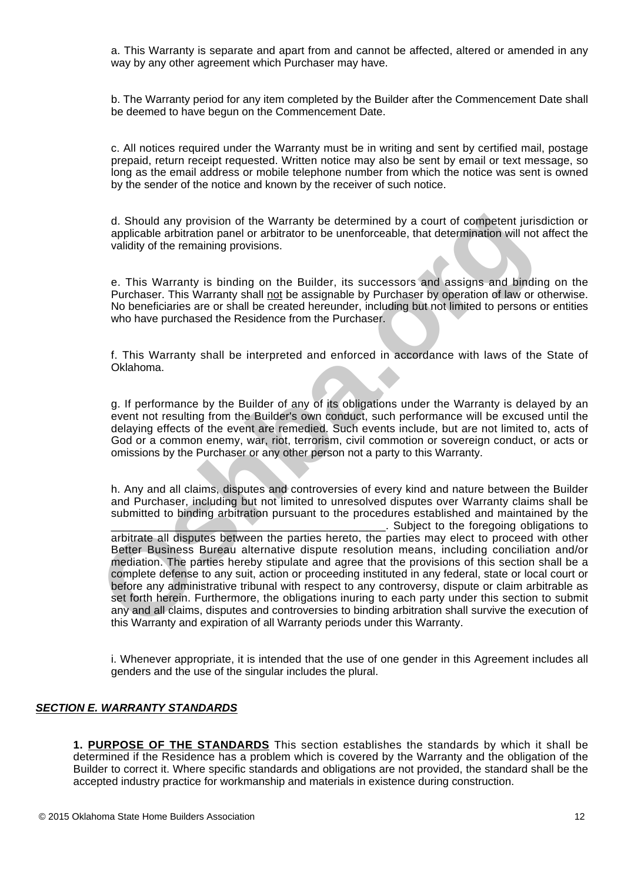a. This Warranty is separate and apart from and cannot be affected, altered or amended in any way by any other agreement which Purchaser may have.

b. The Warranty period for any item completed by the Builder after the Commencement Date shall be deemed to have begun on the Commencement Date.

c. All notices required under the Warranty must be in writing and sent by certified mail, postage prepaid, return receipt requested. Written notice may also be sent by email or text message, so long as the email address or mobile telephone number from which the notice was sent is owned by the sender of the notice and known by the receiver of such notice.

d. Should any provision of the Warranty be determined by a court of competent jurisdiction or applicable arbitration panel or arbitrator to be unenforceable, that determination will not affect the validity of the remaining provisions.

e. This Warranty is binding on the Builder, its successors and assigns and binding on the Purchaser. This Warranty shall not be assignable by Purchaser by operation of law or otherwise. No beneficiaries are or shall be created hereunder, including but not limited to persons or entities who have purchased the Residence from the Purchaser.

f. This Warranty shall be interpreted and enforced in accordance with laws of the State of Oklahoma.

g. If performance by the Builder of any of its obligations under the Warranty is delayed by an event not resulting from the Builder's own conduct, such performance will be excused until the delaying effects of the event are remedied. Such events include, but are not limited to, acts of God or a common enemy, war, riot, terrorism, civil commotion or sovereign conduct, or acts or omissions by the Purchaser or any other person not a party to this Warranty.

h. Any and all claims, disputes and controversies of every kind and nature between the Builder and Purchaser, including but not limited to unresolved disputes over Warranty claims shall be submitted to binding arbitration pursuant to the procedures established and maintained by the \_\_\_\_\_\_\_\_\_\_\_\_\_\_\_\_\_\_\_\_\_\_\_\_\_\_\_\_\_\_\_\_\_\_\_\_\_\_\_\_\_\_\_\_. Subject to the foregoing obligations to

arbitrate all disputes between the parties hereto, the parties may elect to proceed with other Better Business Bureau alternative dispute resolution means, including conciliation and/or mediation. The parties hereby stipulate and agree that the provisions of this section shall be a complete defense to any suit, action or proceeding instituted in any federal, state or local court or before any administrative tribunal with respect to any controversy, dispute or claim arbitrable as set forth herein. Furthermore, the obligations inuring to each party under this section to submit any and all claims, disputes and controversies to binding arbitration shall survive the execution of this Warranty and expiration of all Warranty periods under this Warranty. d. Should any provision of the Warranty be determined by a court of competent juris<br>applicable arbitration panel or arbitrator to be unenforceable, that determination will not<br>applicable arbitration panel or arbitration to

i. Whenever appropriate, it is intended that the use of one gender in this Agreement includes all genders and the use of the singular includes the plural.

# **SECTION E. WARRANTY STANDARDS**

**1. PURPOSE OF THE STANDARDS** This section establishes the standards by which it shall be determined if the Residence has a problem which is covered by the Warranty and the obligation of the Builder to correct it. Where specific standards and obligations are not provided, the standard shall be the accepted industry practice for workmanship and materials in existence during construction.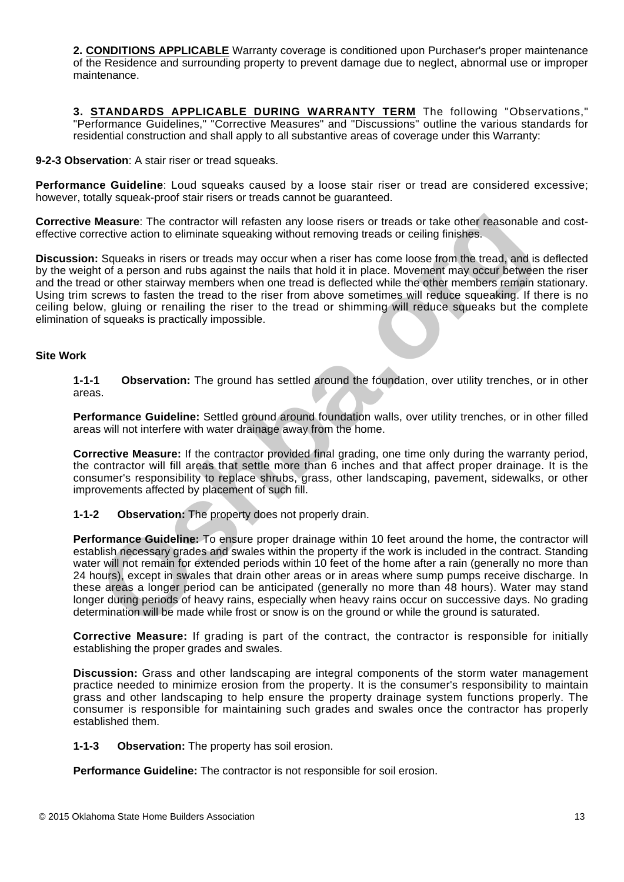**2. CONDITIONS APPLICABLE** Warranty coverage is conditioned upon Purchaser's proper maintenance of the Residence and surrounding property to prevent damage due to neglect, abnormal use or improper maintenance.

**3. STANDARDS APPLICABLE DURING WARRANTY TERM** The following "Observations," "Performance Guidelines," "Corrective Measures" and "Discussions" outline the various standards for residential construction and shall apply to all substantive areas of coverage under this Warranty:

**9-2-3 Observation**: A stair riser or tread squeaks.

**Performance Guideline**: Loud squeaks caused by a loose stair riser or tread are considered excessive; however, totally squeak-proof stair risers or treads cannot be guaranteed.

**Corrective Measure**: The contractor will refasten any loose risers or treads or take other reasonable and costeffective corrective action to eliminate squeaking without removing treads or ceiling finishes.

**Discussion:** Squeaks in risers or treads may occur when a riser has come loose from the tread, and is deflected by the weight of a person and rubs against the nails that hold it in place. Movement may occur between the riser and the tread or other stairway members when one tread is deflected while the other members remain stationary. Using trim screws to fasten the tread to the riser from above sometimes will reduce squeaking. If there is no ceiling below, gluing or renailing the riser to the tread or shimming will reduce squeaks but the complete elimination of squeaks is practically impossible.

# **Site Work**

**1-1-1 Observation:** The ground has settled around the foundation, over utility trenches, or in other areas.

**Performance Guideline:** Settled ground around foundation walls, over utility trenches, or in other filled areas will not interfere with water drainage away from the home.

**Corrective Measure:** If the contractor provided final grading, one time only during the warranty period, the contractor will fill areas that settle more than 6 inches and that affect proper drainage. It is the consumer's responsibility to replace shrubs, grass, other landscaping, pavement, sidewalks, or other improvements affected by placement of such fill.

**1-1-2 Observation:** The property does not properly drain.

**Performance Guideline:** To ensure proper drainage within 10 feet around the home, the contractor will establish necessary grades and swales within the property if the work is included in the contract. Standing water will not remain for extended periods within 10 feet of the home after a rain (generally no more than 24 hours), except in swales that drain other areas or in areas where sump pumps receive discharge. In these areas a longer period can be anticipated (generally no more than 48 hours). Water may stand longer during periods of heavy rains, especially when heavy rains occur on successive days. No grading determination will be made while frost or snow is on the ground or while the ground is saturated. **Measure:** The contractor will refasten any loose risers or treads or take other reasonable<br>rective action to eliminate squeaking without removing treads or celling finishes.<br>
1: Squeaks in friests or tradas may occur when

**Corrective Measure:** If grading is part of the contract, the contractor is responsible for initially establishing the proper grades and swales.

**Discussion:** Grass and other landscaping are integral components of the storm water management practice needed to minimize erosion from the property. It is the consumer's responsibility to maintain grass and other landscaping to help ensure the property drainage system functions properly. The consumer is responsible for maintaining such grades and swales once the contractor has properly established them.

**1-1-3 Observation:** The property has soil erosion.

**Performance Guideline:** The contractor is not responsible for soil erosion.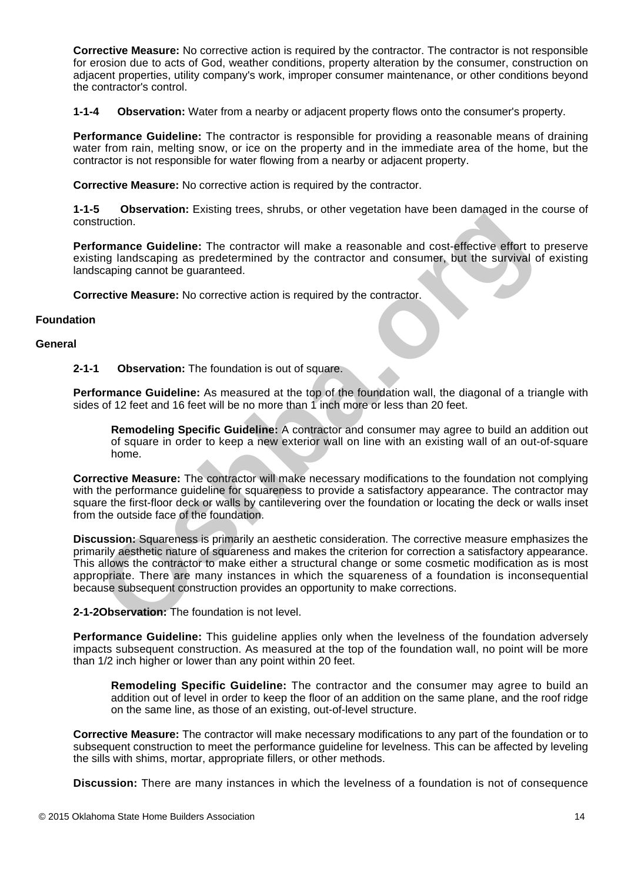**Corrective Measure:** No corrective action is required by the contractor. The contractor is not responsible for erosion due to acts of God, weather conditions, property alteration by the consumer, construction on adjacent properties, utility company's work, improper consumer maintenance, or other conditions beyond the contractor's control.

**1-1-4 Observation:** Water from a nearby or adjacent property flows onto the consumer's property.

**Performance Guideline:** The contractor is responsible for providing a reasonable means of draining water from rain, melting snow, or ice on the property and in the immediate area of the home, but the contractor is not responsible for water flowing from a nearby or adjacent property.

**Corrective Measure:** No corrective action is required by the contractor.

**1-1-5 Observation:** Existing trees, shrubs, or other vegetation have been damaged in the course of construction.

**Performance Guideline:** The contractor will make a reasonable and cost-effective effort to preserve existing landscaping as predetermined by the contractor and consumer, but the survival of existing landscaping cannot be guaranteed.

**Corrective Measure:** No corrective action is required by the contractor.

# **Foundation**

# **General**

# **2-1-1 Observation:** The foundation is out of square.

**Performance Guideline:** As measured at the top of the foundation wall, the diagonal of a triangle with sides of 12 feet and 16 feet will be no more than 1 inch more or less than 20 feet.

**Remodeling Specific Guideline:** A contractor and consumer may agree to build an addition out of square in order to keep a new exterior wall on line with an existing wall of an out-of-square home.

**Corrective Measure:** The contractor will make necessary modifications to the foundation not complying with the performance guideline for squareness to provide a satisfactory appearance. The contractor may square the first-floor deck or walls by cantilevering over the foundation or locating the deck or walls inset from the outside face of the foundation.

**Discussion:** Squareness is primarily an aesthetic consideration. The corrective measure emphasizes the primarily aesthetic nature of squareness and makes the criterion for correction a satisfactory appearance. This allows the contractor to make either a structural change or some cosmetic modification as is most appropriate. There are many instances in which the squareness of a foundation is inconsequential because subsequent construction provides an opportunity to make corrections. Constrained Cuicklines The contractor will make a reasonable and cost-effective effort to<br>
Struction:<br> **Constrained** by the contractor will make a reasonable and cost-effective effort to<br>
Discipling landscaping as predeter

**2-1-2Observation:** The foundation is not level.

**Performance Guideline:** This guideline applies only when the levelness of the foundation adversely impacts subsequent construction. As measured at the top of the foundation wall, no point will be more than 1/2 inch higher or lower than any point within 20 feet.

**Remodeling Specific Guideline:** The contractor and the consumer may agree to build an addition out of level in order to keep the floor of an addition on the same plane, and the roof ridge on the same line, as those of an existing, out-of-level structure.

**Corrective Measure:** The contractor will make necessary modifications to any part of the foundation or to subsequent construction to meet the performance quideline for levelness. This can be affected by leveling the sills with shims, mortar, appropriate fillers, or other methods.

**Discussion:** There are many instances in which the levelness of a foundation is not of consequence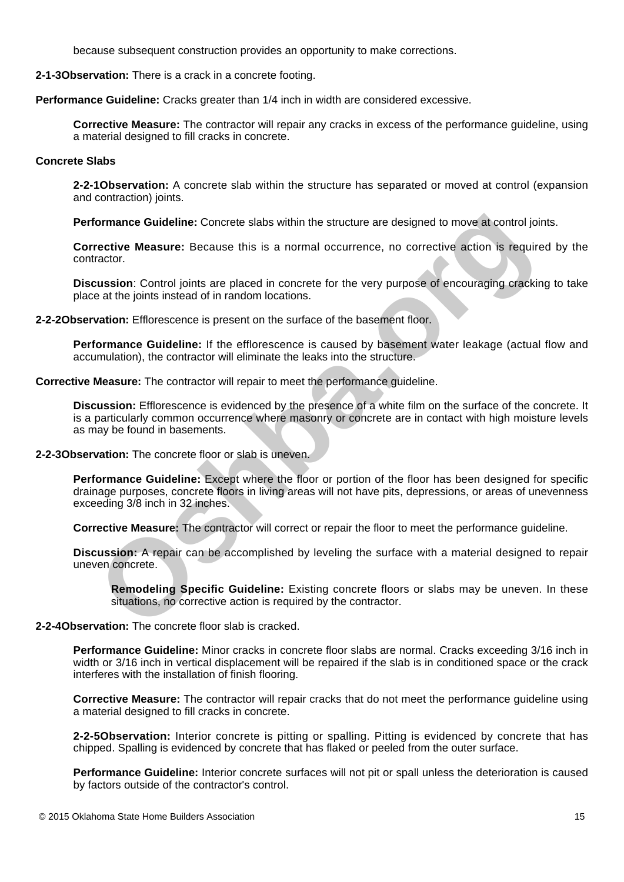because subsequent construction provides an opportunity to make corrections.

**2-1-3Observation:** There is a crack in a concrete footing.

**Performance Guideline:** Cracks greater than 1/4 inch in width are considered excessive.

**Corrective Measure:** The contractor will repair any cracks in excess of the performance guideline, using a material designed to fill cracks in concrete.

#### **Concrete Slabs**

**2-2-1Observation:** A concrete slab within the structure has separated or moved at control (expansion and contraction) joints.

**Performance Guideline:** Concrete slabs within the structure are designed to move at control joints.

**Corrective Measure:** Because this is a normal occurrence, no corrective action is required by the contractor.

**Discussion**: Control joints are placed in concrete for the very purpose of encouraging cracking to take place at the joints instead of in random locations.

**2-2-2Observation:** Efflorescence is present on the surface of the basement floor.

**Performance Guideline:** If the efflorescence is caused by basement water leakage (actual flow and accumulation), the contractor will eliminate the leaks into the structure.

**Corrective Measure:** The contractor will repair to meet the performance guideline.

**Discussion:** Efflorescence is evidenced by the presence of a white film on the surface of the concrete. It is a particularly common occurrence where masonry or concrete are in contact with high moisture levels as may be found in basements.

**2-2-3Observation:** The concrete floor or slab is uneven.

**Performance Guideline:** Except where the floor or portion of the floor has been designed for specific drainage purposes, concrete floors in living areas will not have pits, depressions, or areas of unevenness exceeding 3/8 inch in 32 inches. **Ionance Guideline:** Concrete slabs within the structure are designed to move at control joint creative.<br> **Note Measure:** Because this is a normal occurrence, no corrective action is require<br> **Concrective Measure:** Because

**Corrective Measure:** The contractor will correct or repair the floor to meet the performance guideline.

**Discussion:** A repair can be accomplished by leveling the surface with a material designed to repair uneven concrete.

**Remodeling Specific Guideline:** Existing concrete floors or slabs may be uneven. In these situations, no corrective action is required by the contractor.

# **2-2-4Observation:** The concrete floor slab is cracked.

**Performance Guideline:** Minor cracks in concrete floor slabs are normal. Cracks exceeding 3/16 inch in width or 3/16 inch in vertical displacement will be repaired if the slab is in conditioned space or the crack interferes with the installation of finish flooring.

**Corrective Measure:** The contractor will repair cracks that do not meet the performance guideline using a material designed to fill cracks in concrete.

**2-2-5Observation:** Interior concrete is pitting or spalling. Pitting is evidenced by concrete that has chipped. Spalling is evidenced by concrete that has flaked or peeled from the outer surface.

**Performance Guideline:** Interior concrete surfaces will not pit or spall unless the deterioration is caused by factors outside of the contractor's control.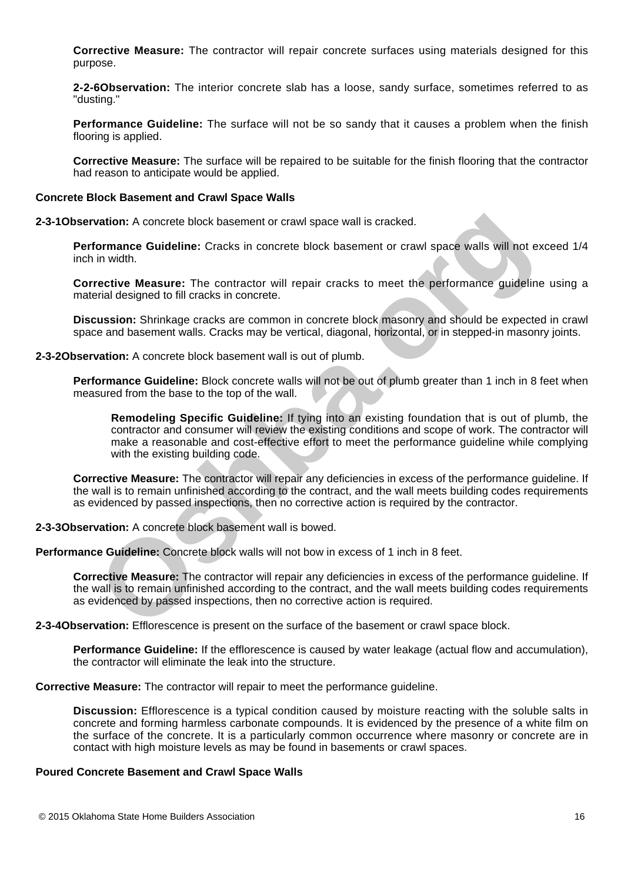**Corrective Measure:** The contractor will repair concrete surfaces using materials designed for this purpose.

**2-2-6Observation:** The interior concrete slab has a loose, sandy surface, sometimes referred to as "dusting."

**Performance Guideline:** The surface will not be so sandy that it causes a problem when the finish flooring is applied.

**Corrective Measure:** The surface will be repaired to be suitable for the finish flooring that the contractor had reason to anticipate would be applied.

## **Concrete Block Basement and Crawl Space Walls**

**2-3-1Observation:** A concrete block basement or crawl space wall is cracked.

**Performance Guideline:** Cracks in concrete block basement or crawl space walls will not exceed 1/4 inch in width.

**Corrective Measure:** The contractor will repair cracks to meet the performance guideline using a material designed to fill cracks in concrete.

**Discussion:** Shrinkage cracks are common in concrete block masonry and should be expected in crawl space and basement walls. Cracks may be vertical, diagonal, horizontal, or in stepped-in masonry joints.

# **2-3-2Observation:** A concrete block basement wall is out of plumb.

**Performance Guideline:** Block concrete walls will not be out of plumb greater than 1 inch in 8 feet when measured from the base to the top of the wall.

**Remodeling Specific Guideline:** If tying into an existing foundation that is out of plumb, the contractor and consumer will review the existing conditions and scope of work. The contractor will make a reasonable and cost-effective effort to meet the performance guideline while complying with the existing building code. **vation:** A concrete block basement or crawl space wall is cracked.<br> **Commance Guideline:** Cracks in concrete block basement or crawl space walls will not ein<br>
in width.<br>
In width.<br> **Commance Commance Commance Commance Com** 

**Corrective Measure:** The contractor will repair any deficiencies in excess of the performance guideline. If the wall is to remain unfinished according to the contract, and the wall meets building codes requirements as evidenced by passed inspections, then no corrective action is required by the contractor.

**2-3-3Observation:** A concrete block basement wall is bowed.

**Performance Guideline:** Concrete block walls will not bow in excess of 1 inch in 8 feet.

**Corrective Measure:** The contractor will repair any deficiencies in excess of the performance guideline. If the wall is to remain unfinished according to the contract, and the wall meets building codes requirements as evidenced by passed inspections, then no corrective action is required.

**2-3-4Observation:** Efflorescence is present on the surface of the basement or crawl space block.

**Performance Guideline:** If the efflorescence is caused by water leakage (actual flow and accumulation), the contractor will eliminate the leak into the structure.

**Corrective Measure:** The contractor will repair to meet the performance guideline.

**Discussion:** Efflorescence is a typical condition caused by moisture reacting with the soluble salts in concrete and forming harmless carbonate compounds. It is evidenced by the presence of a white film on the surface of the concrete. It is a particularly common occurrence where masonry or concrete are in contact with high moisture levels as may be found in basements or crawl spaces.

# **Poured Concrete Basement and Crawl Space Walls**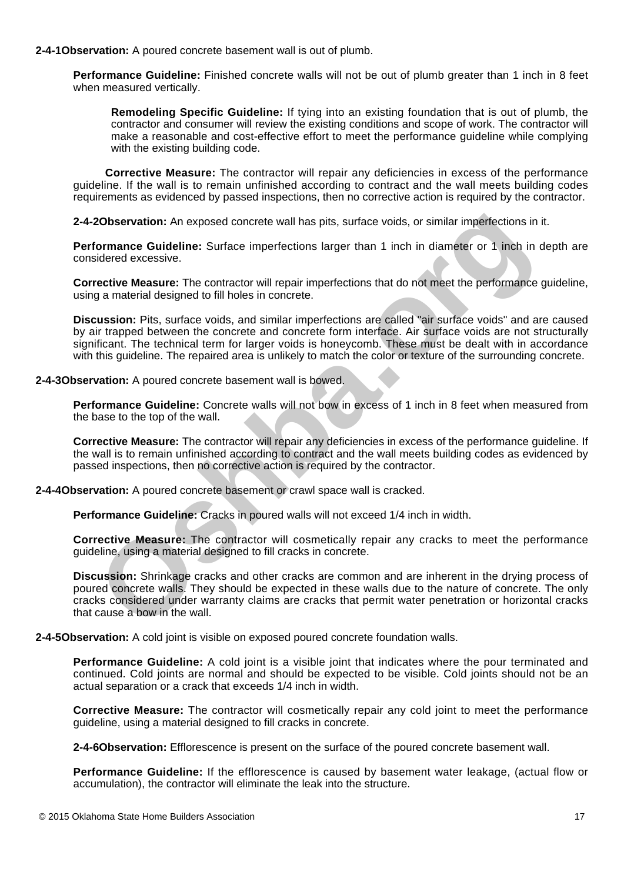## **2-4-1Observation:** A poured concrete basement wall is out of plumb.

**Performance Guideline:** Finished concrete walls will not be out of plumb greater than 1 inch in 8 feet when measured vertically.

**Remodeling Specific Guideline:** If tying into an existing foundation that is out of plumb, the contractor and consumer will review the existing conditions and scope of work. The contractor will make a reasonable and cost-effective effort to meet the performance guideline while complying with the existing building code.

 **Corrective Measure:** The contractor will repair any deficiencies in excess of the performance guideline. If the wall is to remain unfinished according to contract and the wall meets building codes requirements as evidenced by passed inspections, then no corrective action is required by the contractor.

**2-4-2Observation:** An exposed concrete wall has pits, surface voids, or similar imperfections in it.

**Performance Guideline:** Surface imperfections larger than 1 inch in diameter or 1 inch in depth are considered excessive.

**Corrective Measure:** The contractor will repair imperfections that do not meet the performance guideline, using a material designed to fill holes in concrete.

**Discussion:** Pits, surface voids, and similar imperfections are called "air surface voids" and are caused by air trapped between the concrete and concrete form interface. Air surface voids are not structurally significant. The technical term for larger voids is honeycomb. These must be dealt with in accordance with this guideline. The repaired area is unlikely to match the color or texture of the surrounding concrete.

# **2-4-3Observation:** A poured concrete basement wall is bowed.

**Performance Guideline:** Concrete walls will not bow in excess of 1 inch in 8 feet when measured from the base to the top of the wall.

**Corrective Measure:** The contractor will repair any deficiencies in excess of the performance guideline. If the wall is to remain unfinished according to contract and the wall meets building codes as evidenced by passed inspections, then no corrective action is required by the contractor.

#### **2-4-4Observation:** A poured concrete basement or crawl space wall is cracked.

**Performance Guideline:** Cracks in poured walls will not exceed 1/4 inch in width.

**Corrective Measure:** The contractor will cosmetically repair any cracks to meet the performance guideline, using a material designed to fill cracks in concrete.

**Discussion:** Shrinkage cracks and other cracks are common and are inherent in the drying process of poured concrete walls. They should be expected in these walls due to the nature of concrete. The only cracks considered under warranty claims are cracks that permit water penetration or horizontal cracks that cause a bow in the wall. **20bservation:** An exposed concrete wall has pits, surface voids, or similar imperfections in<br>
formance Guidelline: Surface imperfections larger than 1 inch in diameter or 1 inch in diameter or stationed excessive.<br> **Concr** 

#### **2-4-5Observation:** A cold joint is visible on exposed poured concrete foundation walls.

**Performance Guideline:** A cold joint is a visible joint that indicates where the pour terminated and continued. Cold joints are normal and should be expected to be visible. Cold joints should not be an actual separation or a crack that exceeds 1/4 inch in width.

**Corrective Measure:** The contractor will cosmetically repair any cold joint to meet the performance guideline, using a material designed to fill cracks in concrete.

**2-4-6Observation:** Efflorescence is present on the surface of the poured concrete basement wall.

**Performance Guideline:** If the efflorescence is caused by basement water leakage, (actual flow or accumulation), the contractor will eliminate the leak into the structure.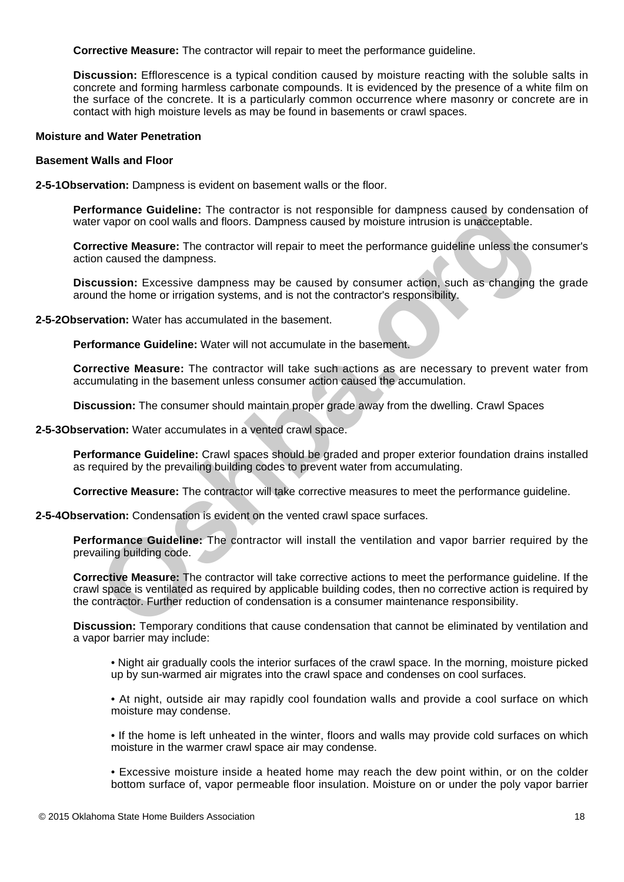**Corrective Measure:** The contractor will repair to meet the performance guideline.

**Discussion:** Efflorescence is a typical condition caused by moisture reacting with the soluble salts in concrete and forming harmless carbonate compounds. It is evidenced by the presence of a white film on the surface of the concrete. It is a particularly common occurrence where masonry or concrete are in contact with high moisture levels as may be found in basements or crawl spaces.

# **Moisture and Water Penetration**

#### **Basement Walls and Floor**

**2-5-1Observation:** Dampness is evident on basement walls or the floor.

**Performance Guideline:** The contractor is not responsible for dampness caused by condensation of water vapor on cool walls and floors. Dampness caused by moisture intrusion is unacceptable.

**Corrective Measure:** The contractor will repair to meet the performance guideline unless the consumer's action caused the dampness.

**Discussion:** Excessive dampness may be caused by consumer action, such as changing the grade around the home or irrigation systems, and is not the contractor's responsibility.

**2-5-2Observation:** Water has accumulated in the basement.

**Performance Guideline:** Water will not accumulate in the basement.

**Corrective Measure:** The contractor will take such actions as are necessary to prevent water from accumulating in the basement unless consumer action caused the accumulation.

**Discussion:** The consumer should maintain proper grade away from the dwelling. Crawl Spaces

**2-5-3Observation:** Water accumulates in a vented crawl space.

**Performance Guideline:** Crawl spaces should be graded and proper exterior foundation drains installed as required by the prevailing building codes to prevent water from accumulating.

**Corrective Measure:** The contractor will take corrective measures to meet the performance guideline.

**2-5-4Observation:** Condensation is evident on the vented crawl space surfaces.

**Performance Guideline:** The contractor will install the ventilation and vapor barrier required by the prevailing building code.

**Corrective Measure:** The contractor will take corrective actions to meet the performance guideline. If the crawl space is ventilated as required by applicable building codes, then no corrective action is required by the contractor. Further reduction of condensation is a consumer maintenance responsibility. or transformance consensually and floors. Dampness caused by moisture intusion is unacceptable.<br> **Or vigorion coli walls and floors. Dampness caused by moisture intusion is unacceptable.**<br> **Procession:** Excessive dampness<br>

**Discussion:** Temporary conditions that cause condensation that cannot be eliminated by ventilation and a vapor barrier may include:

• Night air gradually cools the interior surfaces of the crawl space. In the morning, moisture picked up by sun-warmed air migrates into the crawl space and condenses on cool surfaces.

• At night, outside air may rapidly cool foundation walls and provide a cool surface on which moisture may condense.

• If the home is left unheated in the winter, floors and walls may provide cold surfaces on which moisture in the warmer crawl space air may condense.

• Excessive moisture inside a heated home may reach the dew point within, or on the colder bottom surface of, vapor permeable floor insulation. Moisture on or under the poly vapor barrier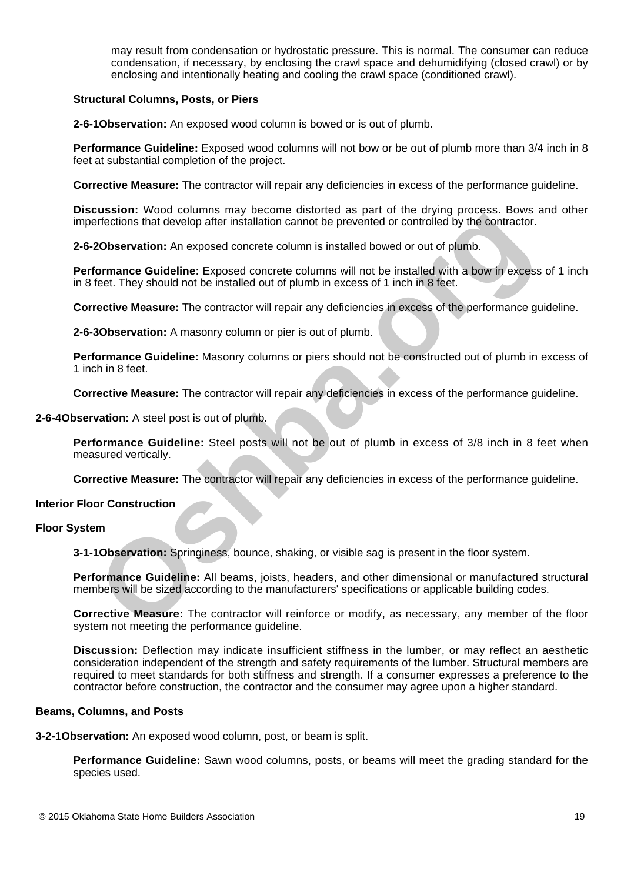may result from condensation or hydrostatic pressure. This is normal. The consumer can reduce condensation, if necessary, by enclosing the crawl space and dehumidifying (closed crawl) or by enclosing and intentionally heating and cooling the crawl space (conditioned crawl).

# **Structural Columns, Posts, or Piers**

**2-6-1Observation:** An exposed wood column is bowed or is out of plumb.

**Performance Guideline:** Exposed wood columns will not bow or be out of plumb more than 3/4 inch in 8 feet at substantial completion of the project.

**Corrective Measure:** The contractor will repair any deficiencies in excess of the performance guideline.

**Discussion:** Wood columns may become distorted as part of the drying process. Bows and other imperfections that develop after installation cannot be prevented or controlled by the contractor.

**2-6-2Observation:** An exposed concrete column is installed bowed or out of plumb.

**Performance Guideline:** Exposed concrete columns will not be installed with a bow in excess of 1 inch in 8 feet. They should not be installed out of plumb in excess of 1 inch in 8 feet.

**Corrective Measure:** The contractor will repair any deficiencies in excess of the performance guideline.

**2-6-3Observation:** A masonry column or pier is out of plumb.

**Performance Guideline:** Masonry columns or piers should not be constructed out of plumb in excess of 1 inch in 8 feet.

**Corrective Measure:** The contractor will repair any deficiencies in excess of the performance guideline.

**2-6-4Observation:** A steel post is out of plumb.

**Performance Guideline:** Steel posts will not be out of plumb in excess of 3/8 inch in 8 feet when measured vertically. Distainant incore construction<br> **Ostainant in the properties of construct and the proven ted on the protections that develop after installation cannot be prevented or controlled by the contractor.<br>
<b>2Observation:** An expos

**Corrective Measure:** The contractor will repair any deficiencies in excess of the performance guideline.

# **Interior Floor Construction**

#### **Floor System**

**3-1-1Observation:** Springiness, bounce, shaking, or visible sag is present in the floor system.

**Performance Guideline:** All beams, joists, headers, and other dimensional or manufactured structural members will be sized according to the manufacturers' specifications or applicable building codes.

**Corrective Measure:** The contractor will reinforce or modify, as necessary, any member of the floor system not meeting the performance guideline.

**Discussion:** Deflection may indicate insufficient stiffness in the lumber, or may reflect an aesthetic consideration independent of the strength and safety requirements of the lumber. Structural members are required to meet standards for both stiffness and strength. If a consumer expresses a preference to the contractor before construction, the contractor and the consumer may agree upon a higher standard.

#### **Beams, Columns, and Posts**

**3-2-1Observation:** An exposed wood column, post, or beam is split.

**Performance Guideline:** Sawn wood columns, posts, or beams will meet the grading standard for the species used.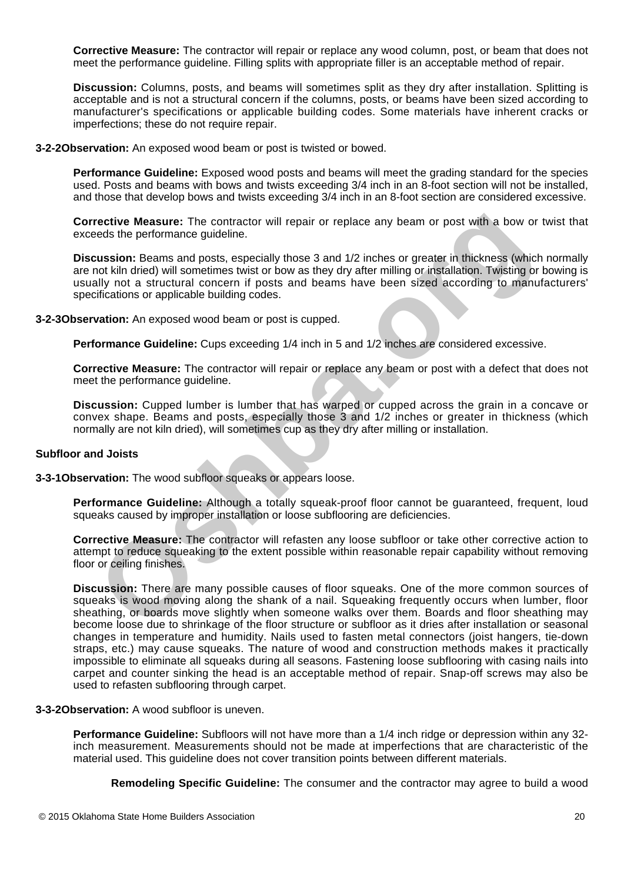**Corrective Measure:** The contractor will repair or replace any wood column, post, or beam that does not meet the performance guideline. Filling splits with appropriate filler is an acceptable method of repair.

**Discussion:** Columns, posts, and beams will sometimes split as they dry after installation. Splitting is acceptable and is not a structural concern if the columns, posts, or beams have been sized according to manufacturer's specifications or applicable building codes. Some materials have inherent cracks or imperfections; these do not require repair.

#### **3-2-2Observation:** An exposed wood beam or post is twisted or bowed.

**Performance Guideline:** Exposed wood posts and beams will meet the grading standard for the species used. Posts and beams with bows and twists exceeding 3/4 inch in an 8-foot section will not be installed, and those that develop bows and twists exceeding 3/4 inch in an 8-foot section are considered excessive.

**Corrective Measure:** The contractor will repair or replace any beam or post with a bow or twist that exceeds the performance guideline.

**Discussion:** Beams and posts, especially those 3 and 1/2 inches or greater in thickness (which normally are not kiln dried) will sometimes twist or bow as they dry after milling or installation. Twisting or bowing is usually not a structural concern if posts and beams have been sized according to manufacturers' specifications or applicable building codes.

**3-2-3Observation:** An exposed wood beam or post is cupped.

**Performance Guideline:** Cups exceeding 1/4 inch in 5 and 1/2 inches are considered excessive.

**Corrective Measure:** The contractor will repair or replace any beam or post with a defect that does not meet the performance guideline.

**Discussion:** Cupped lumber is lumber that has warped or cupped across the grain in a concave or convex shape. Beams and posts, especially those 3 and 1/2 inches or greater in thickness (which normally are not kiln dried), will sometimes cup as they dry after milling or installation.

## **Subfloor and Joists**

#### **3-3-1Observation:** The wood subfloor squeaks or appears loose.

**Performance Guideline:** Although a totally squeak-proof floor cannot be guaranteed, frequent, loud squeaks caused by improper installation or loose subflooring are deficiencies.

**Corrective Measure:** The contractor will refasten any loose subfloor or take other corrective action to attempt to reduce squeaking to the extent possible within reasonable repair capability without removing floor or ceiling finishes.

**Discussion:** There are many possible causes of floor squeaks. One of the more common sources of squeaks is wood moving along the shank of a nail. Squeaking frequently occurs when lumber, floor sheathing, or boards move slightly when someone walks over them. Boards and floor sheathing may become loose due to shrinkage of the floor structure or subfloor as it dries after installation or seasonal changes in temperature and humidity. Nails used to fasten metal connectors (joist hangers, tie-down straps, etc.) may cause squeaks. The nature of wood and construction methods makes it practically impossible to eliminate all squeaks during all seasons. Fastening loose subflooring with casing nails into carpet and counter sinking the head is an acceptable method of repair. Snap-off screws may also be used to refasten subflooring through carpet. **rective Measure:** The contractor will repair or replace any beam or post with a bow or<br>custsion: Benas and posts, especially those 3 and 1/2 inches or greater in thickness (which<br>continuation). Benas and posts, especially

## **3-3-2Observation:** A wood subfloor is uneven.

**Performance Guideline:** Subfloors will not have more than a 1/4 inch ridge or depression within any 32 inch measurement. Measurements should not be made at imperfections that are characteristic of the material used. This guideline does not cover transition points between different materials.

**Remodeling Specific Guideline:** The consumer and the contractor may agree to build a wood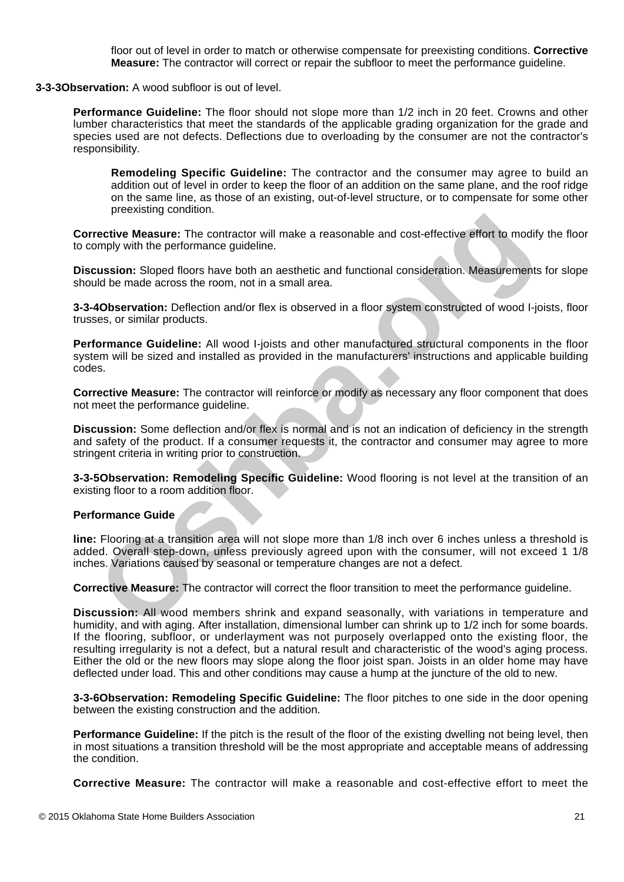floor out of level in order to match or otherwise compensate for preexisting conditions. **Corrective Measure:** The contractor will correct or repair the subfloor to meet the performance guideline.

## **3-3-3Observation:** A wood subfloor is out of level.

**Performance Guideline:** The floor should not slope more than 1/2 inch in 20 feet. Crowns and other lumber characteristics that meet the standards of the applicable grading organization for the grade and species used are not defects. Deflections due to overloading by the consumer are not the contractor's responsibility.

**Remodeling Specific Guideline:** The contractor and the consumer may agree to build an addition out of level in order to keep the floor of an addition on the same plane, and the roof ridge on the same line, as those of an existing, out-of-level structure, or to compensate for some other preexisting condition.

**Corrective Measure:** The contractor will make a reasonable and cost-effective effort to modify the floor to comply with the performance guideline.

**Discussion:** Sloped floors have both an aesthetic and functional consideration. Measurements for slope should be made across the room, not in a small area.

**3-3-4Observation:** Deflection and/or flex is observed in a floor system constructed of wood I-joists, floor trusses, or similar products.

**Performance Guideline:** All wood I-joists and other manufactured structural components in the floor system will be sized and installed as provided in the manufacturers' instructions and applicable building codes. precisive Measure: The contractor will make a reasonable and cost-effective effort to modify<br>pripty with the performance guideline.<br> **Suspection** Sloped floors have both an aesthetic and functional consideration. Measureme

**Corrective Measure:** The contractor will reinforce or modify as necessary any floor component that does not meet the performance guideline.

**Discussion:** Some deflection and/or flex is normal and is not an indication of deficiency in the strength and safety of the product. If a consumer requests it, the contractor and consumer may agree to more stringent criteria in writing prior to construction.

**3-3-5Observation: Remodeling Specific Guideline:** Wood flooring is not level at the transition of an existing floor to a room addition floor.

# **Performance Guide**

**line:** Flooring at a transition area will not slope more than 1/8 inch over 6 inches unless a threshold is added. Overall step-down, unless previously agreed upon with the consumer, will not exceed 1 1/8 inches. Variations caused by seasonal or temperature changes are not a defect.

**Corrective Measure:** The contractor will correct the floor transition to meet the performance guideline.

**Discussion:** All wood members shrink and expand seasonally, with variations in temperature and humidity, and with aging. After installation, dimensional lumber can shrink up to 1/2 inch for some boards. If the flooring, subfloor, or underlayment was not purposely overlapped onto the existing floor, the resulting irregularity is not a defect, but a natural result and characteristic of the wood's aging process. Either the old or the new floors may slope along the floor joist span. Joists in an older home may have deflected under load. This and other conditions may cause a hump at the juncture of the old to new.

**3-3-6Observation: Remodeling Specific Guideline:** The floor pitches to one side in the door opening between the existing construction and the addition.

**Performance Guideline:** If the pitch is the result of the floor of the existing dwelling not being level, then in most situations a transition threshold will be the most appropriate and acceptable means of addressing the condition.

**Corrective Measure:** The contractor will make a reasonable and cost-effective effort to meet the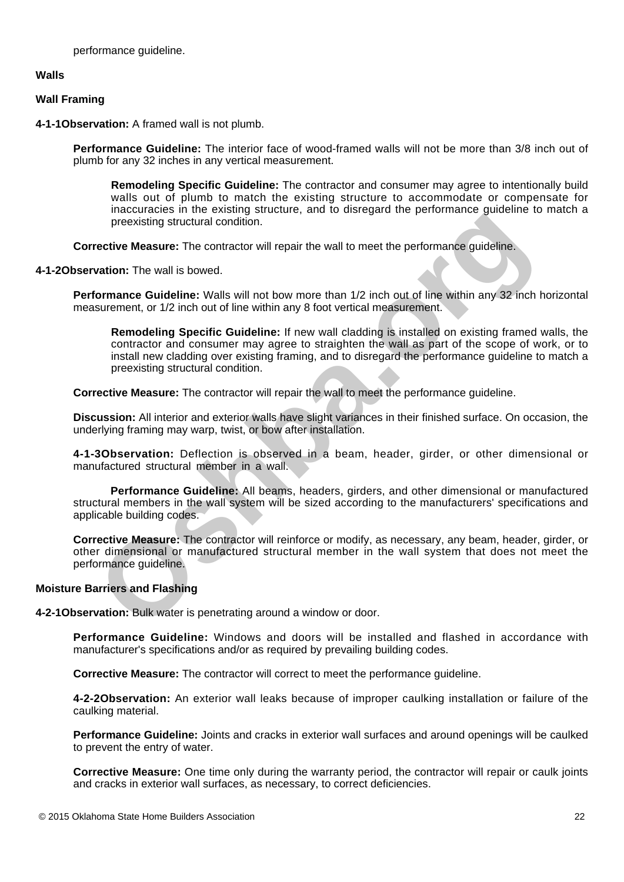performance guideline.

# **Walls**

# **Wall Framing**

**4-1-1Observation:** A framed wall is not plumb.

**Performance Guideline:** The interior face of wood-framed walls will not be more than 3/8 inch out of plumb for any 32 inches in any vertical measurement.

**Remodeling Specific Guideline:** The contractor and consumer may agree to intentionally build walls out of plumb to match the existing structure to accommodate or compensate for inaccuracies in the existing structure, and to disregard the performance guideline to match a preexisting structural condition.

**Corrective Measure:** The contractor will repair the wall to meet the performance guideline.

# **4-1-2Observation:** The wall is bowed.

**Performance Guideline:** Walls will not bow more than 1/2 inch out of line within any 32 inch horizontal measurement, or 1/2 inch out of line within any 8 foot vertical measurement.

**Remodeling Specific Guideline:** If new wall cladding is installed on existing framed walls, the contractor and consumer may agree to straighten the wall as part of the scope of work, or to install new cladding over existing framing, and to disregard the performance guideline to match a preexisting structural condition. metacula structural condition.<br>
The vision of the contractor will repair the vall to meet the performance guideline.<br> **One condition:**<br> **Ostainary and Condition**<br> **Ostainary Structural condition.**<br> **Condition:** The wall is

**Corrective Measure:** The contractor will repair the wall to meet the performance guideline.

**Discussion:** All interior and exterior walls have slight variances in their finished surface. On occasion, the underlying framing may warp, twist, or bow after installation.

**4-1-3Observation:** Deflection is observed in a beam, header, girder, or other dimensional or manufactured structural member in a wall.

 **Performance Guideline:** All beams, headers, girders, and other dimensional or manufactured structural members in the wall system will be sized according to the manufacturers' specifications and applicable building codes.

**Corrective Measure:** The contractor will reinforce or modify, as necessary, any beam, header, girder, or other dimensional or manufactured structural member in the wall system that does not meet the performance guideline.

#### **Moisture Barriers and Flashing**

**4-2-1Observation:** Bulk water is penetrating around a window or door.

**Performance Guideline:** Windows and doors will be installed and flashed in accordance with manufacturer's specifications and/or as required by prevailing building codes.

**Corrective Measure:** The contractor will correct to meet the performance guideline.

**4-2-2Observation:** An exterior wall leaks because of improper caulking installation or failure of the caulking material.

**Performance Guideline:** Joints and cracks in exterior wall surfaces and around openings will be caulked to prevent the entry of water.

**Corrective Measure:** One time only during the warranty period, the contractor will repair or caulk joints and cracks in exterior wall surfaces, as necessary, to correct deficiencies.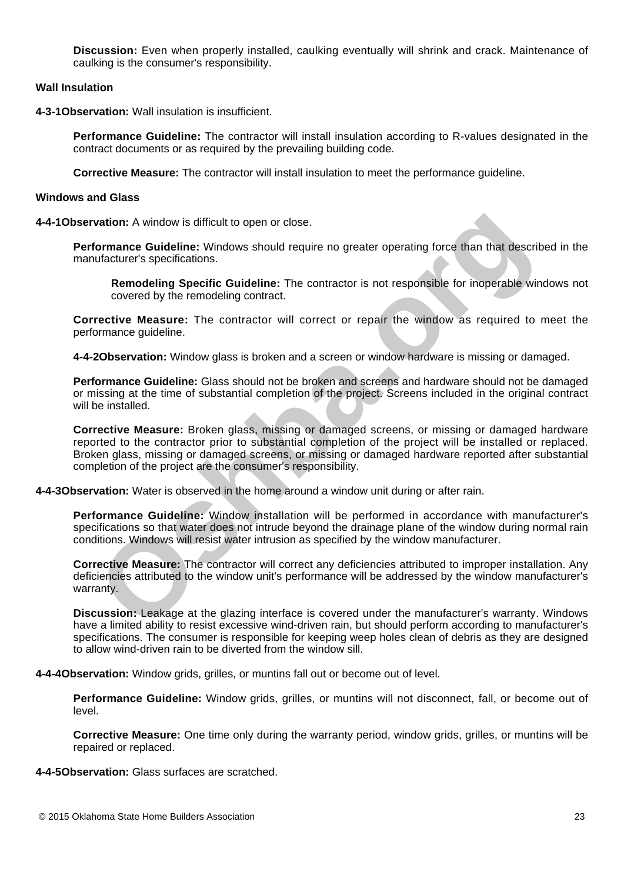**Discussion:** Even when properly installed, caulking eventually will shrink and crack. Maintenance of caulking is the consumer's responsibility.

# **Wall Insulation**

**4-3-1Observation:** Wall insulation is insufficient.

**Performance Guideline:** The contractor will install insulation according to R-values designated in the contract documents or as required by the prevailing building code.

**Corrective Measure:** The contractor will install insulation to meet the performance guideline.

#### **Windows and Glass**

**4-4-1Observation:** A window is difficult to open or close.

**Performance Guideline:** Windows should require no greater operating force than that described in the manufacturer's specifications.

**Remodeling Specific Guideline:** The contractor is not responsible for inoperable windows not covered by the remodeling contract.

**Corrective Measure:** The contractor will correct or repair the window as required to meet the performance guideline.

**4-4-2Observation:** Window glass is broken and a screen or window hardware is missing or damaged.

**Performance Guideline:** Glass should not be broken and screens and hardware should not be damaged or missing at the time of substantial completion of the project. Screens included in the original contract will be installed.

**Corrective Measure:** Broken glass, missing or damaged screens, or missing or damaged hardware reported to the contractor prior to substantial completion of the project will be installed or replaced. Broken glass, missing or damaged screens, or missing or damaged hardware reported after substantial completion of the project are the consumer's responsibility. **vation:** A window is difficult to open or close.<br> **Commance Guideline:** Windows should require no greater operating force than that describe<br> **Constant Constant Constant Constant Constant Constant Constant Constant Consta** 

**4-4-3Observation:** Water is observed in the home around a window unit during or after rain.

**Performance Guideline:** Window installation will be performed in accordance with manufacturer's specifications so that water does not intrude beyond the drainage plane of the window during normal rain conditions. Windows will resist water intrusion as specified by the window manufacturer.

**Corrective Measure:** The contractor will correct any deficiencies attributed to improper installation. Any deficiencies attributed to the window unit's performance will be addressed by the window manufacturer's warranty.

**Discussion:** Leakage at the glazing interface is covered under the manufacturer's warranty. Windows have a limited ability to resist excessive wind-driven rain, but should perform according to manufacturer's specifications. The consumer is responsible for keeping weep holes clean of debris as they are designed to allow wind-driven rain to be diverted from the window sill.

**4-4-4Observation:** Window grids, grilles, or muntins fall out or become out of level.

**Performance Guideline:** Window grids, grilles, or muntins will not disconnect, fall, or become out of level.

**Corrective Measure:** One time only during the warranty period, window grids, grilles, or muntins will be repaired or replaced.

**4-4-5Observation:** Glass surfaces are scratched.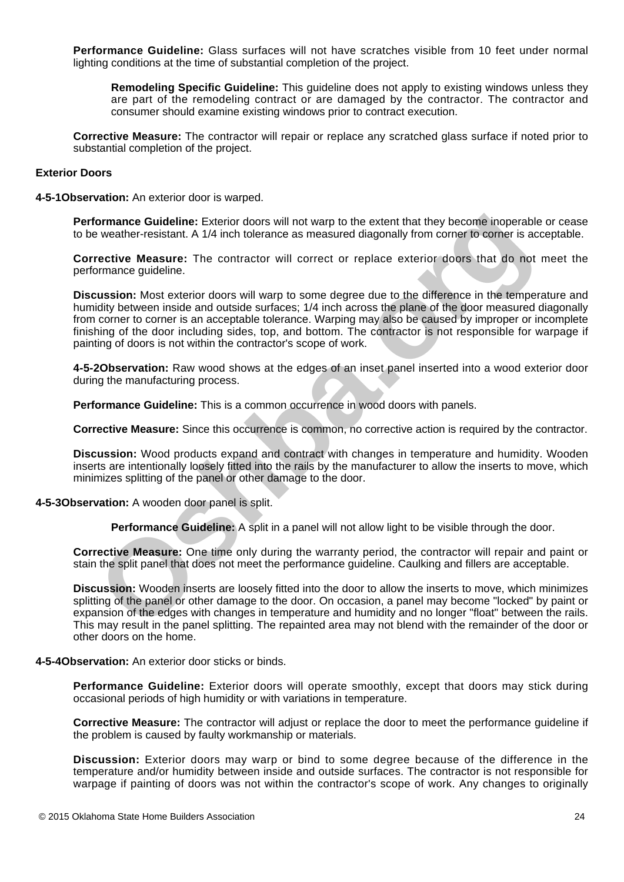**Performance Guideline:** Glass surfaces will not have scratches visible from 10 feet under normal lighting conditions at the time of substantial completion of the project.

**Remodeling Specific Guideline:** This guideline does not apply to existing windows unless they are part of the remodeling contract or are damaged by the contractor. The contractor and consumer should examine existing windows prior to contract execution.

**Corrective Measure:** The contractor will repair or replace any scratched glass surface if noted prior to substantial completion of the project.

#### **Exterior Doors**

**4-5-1Observation:** An exterior door is warped.

**Performance Guideline:** Exterior doors will not warp to the extent that they become inoperable or cease to be weather-resistant. A 1/4 inch tolerance as measured diagonally from corner to corner is acceptable.

**Corrective Measure:** The contractor will correct or replace exterior doors that do not meet the performance guideline.

**Discussion:** Most exterior doors will warp to some degree due to the difference in the temperature and humidity between inside and outside surfaces; 1/4 inch across the plane of the door measured diagonally from corner to corner is an acceptable tolerance. Warping may also be caused by improper or incomplete finishing of the door including sides, top, and bottom. The contractor is not responsible for warpage if painting of doors is not within the contractor's scope of work. **Ionance Guideline:** Exterior doors will not warp to the extent that they become inoperable<br>
weather-resistant. A 1/4 inch tolerance as measured diagonally from comer to comer is act<br>
rective Measure: The contractor will c

**4-5-2Observation:** Raw wood shows at the edges of an inset panel inserted into a wood exterior door during the manufacturing process.

**Performance Guideline:** This is a common occurrence in wood doors with panels.

**Corrective Measure:** Since this occurrence is common, no corrective action is required by the contractor.

**Discussion:** Wood products expand and contract with changes in temperature and humidity. Wooden inserts are intentionally loosely fitted into the rails by the manufacturer to allow the inserts to move, which minimizes splitting of the panel or other damage to the door.

#### **4-5-3Observation:** A wooden door panel is split.

**Performance Guideline:** A split in a panel will not allow light to be visible through the door.

**Corrective Measure:** One time only during the warranty period, the contractor will repair and paint or stain the split panel that does not meet the performance guideline. Caulking and fillers are acceptable.

**Discussion:** Wooden inserts are loosely fitted into the door to allow the inserts to move, which minimizes splitting of the panel or other damage to the door. On occasion, a panel may become "locked" by paint or expansion of the edges with changes in temperature and humidity and no longer "float" between the rails. This may result in the panel splitting. The repainted area may not blend with the remainder of the door or other doors on the home.

#### **4-5-4Observation:** An exterior door sticks or binds.

**Performance Guideline:** Exterior doors will operate smoothly, except that doors may stick during occasional periods of high humidity or with variations in temperature.

**Corrective Measure:** The contractor will adjust or replace the door to meet the performance guideline if the problem is caused by faulty workmanship or materials.

**Discussion:** Exterior doors may warp or bind to some degree because of the difference in the temperature and/or humidity between inside and outside surfaces. The contractor is not responsible for warpage if painting of doors was not within the contractor's scope of work. Any changes to originally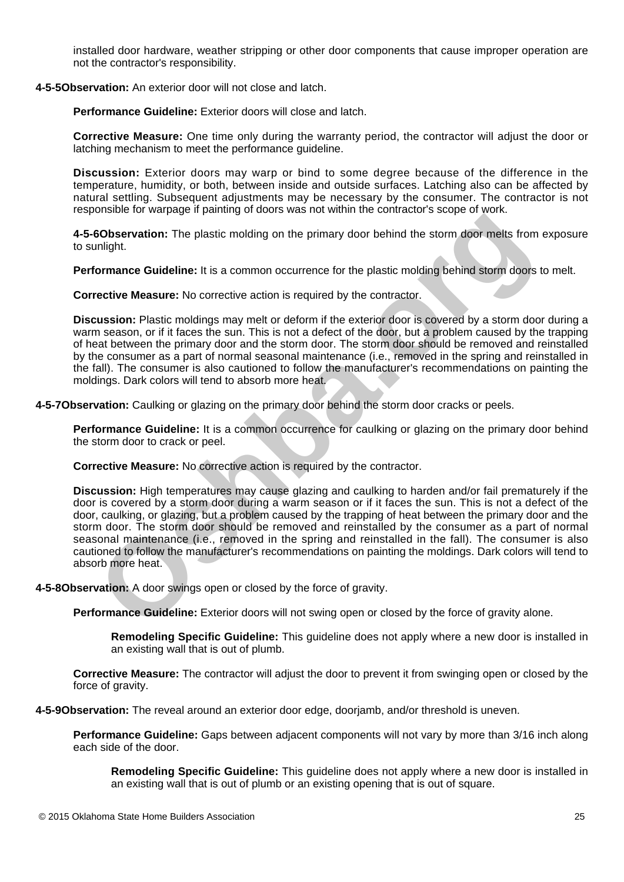installed door hardware, weather stripping or other door components that cause improper operation are not the contractor's responsibility.

## **4-5-5Observation:** An exterior door will not close and latch.

**Performance Guideline:** Exterior doors will close and latch.

**Corrective Measure:** One time only during the warranty period, the contractor will adjust the door or latching mechanism to meet the performance guideline.

**Discussion:** Exterior doors may warp or bind to some degree because of the difference in the temperature, humidity, or both, between inside and outside surfaces. Latching also can be affected by natural settling. Subsequent adjustments may be necessary by the consumer. The contractor is not responsible for warpage if painting of doors was not within the contractor's scope of work.

**4-5-6Observation:** The plastic molding on the primary door behind the storm door melts from exposure to sunlight.

**Performance Guideline:** It is a common occurrence for the plastic molding behind storm doors to melt.

**Corrective Measure:** No corrective action is required by the contractor.

**Discussion:** Plastic moldings may melt or deform if the exterior door is covered by a storm door during a warm season, or if it faces the sun. This is not a defect of the door, but a problem caused by the trapping of heat between the primary door and the storm door. The storm door should be removed and reinstalled by the consumer as a part of normal seasonal maintenance (i.e., removed in the spring and reinstalled in the fall). The consumer is also cautioned to follow the manufacturer's recommendations on painting the moldings. Dark colors will tend to absorb more heat.

**4-5-7Observation:** Caulking or glazing on the primary door behind the storm door cracks or peels.

**Performance Guideline:** It is a common occurrence for caulking or glazing on the primary door behind the storm door to crack or peel.

**Corrective Measure:** No corrective action is required by the contractor.

**Discussion:** High temperatures may cause glazing and caulking to harden and/or fail prematurely if the door is covered by a storm door during a warm season or if it faces the sun. This is not a defect of the door, caulking, or glazing, but a problem caused by the trapping of heat between the primary door and the storm door. The storm door should be removed and reinstalled by the consumer as a part of normal seasonal maintenance (i.e., removed in the spring and reinstalled in the fall). The consumer is also cautioned to follow the manufacturer's recommendations on painting the moldings. Dark colors will tend to absorb more heat. **Considered Transform** The plastic molding on the primary door behind the storm door meths from and the storm door<br> **Sofbeservation:** The plastic molding on the primary door behind the storm door meths from<br> **Oshbare Guide** 

**4-5-8Observation:** A door swings open or closed by the force of gravity.

**Performance Guideline:** Exterior doors will not swing open or closed by the force of gravity alone.

**Remodeling Specific Guideline:** This guideline does not apply where a new door is installed in an existing wall that is out of plumb.

**Corrective Measure:** The contractor will adjust the door to prevent it from swinging open or closed by the force of gravity.

**4-5-9Observation:** The reveal around an exterior door edge, doorjamb, and/or threshold is uneven.

**Performance Guideline:** Gaps between adjacent components will not vary by more than 3/16 inch along each side of the door.

**Remodeling Specific Guideline:** This guideline does not apply where a new door is installed in an existing wall that is out of plumb or an existing opening that is out of square.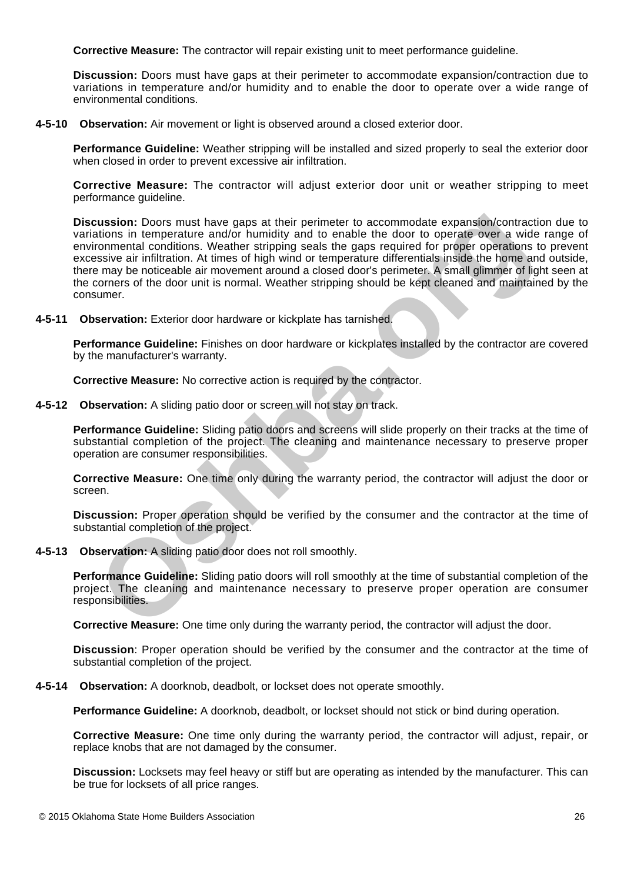**Corrective Measure:** The contractor will repair existing unit to meet performance guideline.

**Discussion:** Doors must have gaps at their perimeter to accommodate expansion/contraction due to variations in temperature and/or humidity and to enable the door to operate over a wide range of environmental conditions.

**4-5-10 Observation:** Air movement or light is observed around a closed exterior door.

**Performance Guideline:** Weather stripping will be installed and sized properly to seal the exterior door when closed in order to prevent excessive air infiltration.

**Corrective Measure:** The contractor will adjust exterior door unit or weather stripping to meet performance guideline.

**Discussion:** Doors must have gaps at their perimeter to accommodate expansion/contraction due to variations in temperature and/or humidity and to enable the door to operate over a wide range of environmental conditions. Weather stripping seals the gaps required for proper operations to prevent excessive air infiltration. At times of high wind or temperature differentials inside the home and outside, there may be noticeable air movement around a closed door's perimeter. A small glimmer of light seen at the corners of the door unit is normal. Weather stripping should be kept cleaned and maintained by the consumer. **Example The Theorem and The Constrainers** and their perimeter to accommodate expansion/contractions in termetature and/or humidity and to enable the door to operate over a wide measuremental conditions. Weather stripping

**4-5-11 Observation:** Exterior door hardware or kickplate has tarnished.

**Performance Guideline:** Finishes on door hardware or kickplates installed by the contractor are covered by the manufacturer's warranty.

**Corrective Measure:** No corrective action is required by the contractor.

**4-5-12 Observation:** A sliding patio door or screen will not stay on track.

**Performance Guideline:** Sliding patio doors and screens will slide properly on their tracks at the time of substantial completion of the project. The cleaning and maintenance necessary to preserve proper operation are consumer responsibilities.

**Corrective Measure:** One time only during the warranty period, the contractor will adjust the door or screen.

**Discussion:** Proper operation should be verified by the consumer and the contractor at the time of substantial completion of the project.

**4-5-13 Observation:** A sliding patio door does not roll smoothly.

**Performance Guideline:** Sliding patio doors will roll smoothly at the time of substantial completion of the project. The cleaning and maintenance necessary to preserve proper operation are consumer responsibilities.

**Corrective Measure:** One time only during the warranty period, the contractor will adjust the door.

**Discussion**: Proper operation should be verified by the consumer and the contractor at the time of substantial completion of the project.

**4-5-14 Observation:** A doorknob, deadbolt, or lockset does not operate smoothly.

**Performance Guideline:** A doorknob, deadbolt, or lockset should not stick or bind during operation.

**Corrective Measure:** One time only during the warranty period, the contractor will adjust, repair, or replace knobs that are not damaged by the consumer.

**Discussion:** Locksets may feel heavy or stiff but are operating as intended by the manufacturer. This can be true for locksets of all price ranges.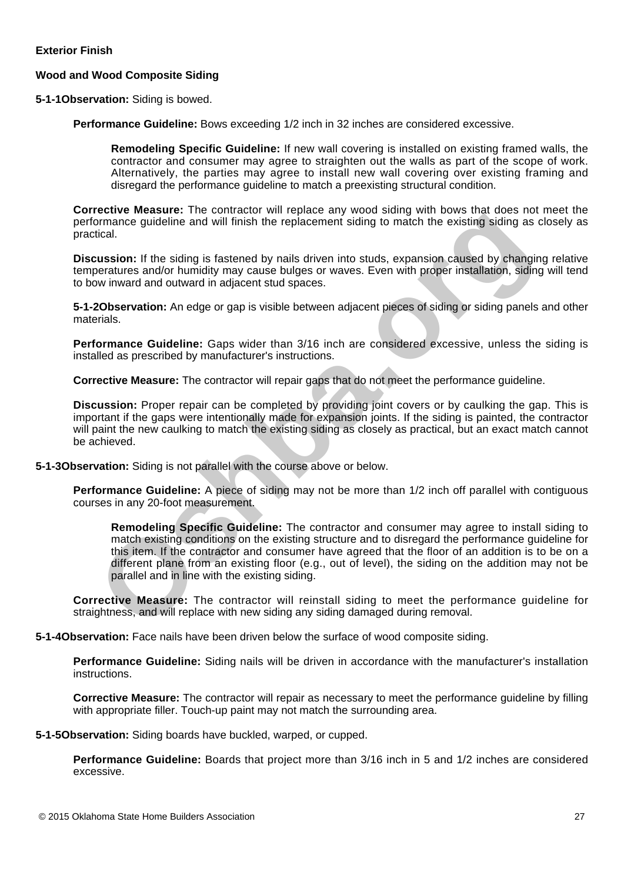# **Exterior Finish**

# **Wood and Wood Composite Siding**

**5-1-1Observation:** Siding is bowed.

**Performance Guideline:** Bows exceeding 1/2 inch in 32 inches are considered excessive.

**Remodeling Specific Guideline:** If new wall covering is installed on existing framed walls, the contractor and consumer may agree to straighten out the walls as part of the scope of work. Alternatively, the parties may agree to install new wall covering over existing framing and disregard the performance guideline to match a preexisting structural condition.

**Corrective Measure:** The contractor will replace any wood siding with bows that does not meet the performance guideline and will finish the replacement siding to match the existing siding as closely as practical.

**Discussion:** If the siding is fastened by nails driven into studs, expansion caused by changing relative temperatures and/or humidity may cause bulges or waves. Even with proper installation, siding will tend to bow inward and outward in adjacent stud spaces.

**5-1-2Observation:** An edge or gap is visible between adjacent pieces of siding or siding panels and other materials.

**Performance Guideline:** Gaps wider than 3/16 inch are considered excessive, unless the siding is installed as prescribed by manufacturer's instructions.

**Corrective Measure:** The contractor will repair gaps that do not meet the performance guideline.

**Discussion:** Proper repair can be completed by providing joint covers or by caulking the gap. This is important if the gaps were intentionally made for expansion joints. If the siding is painted, the contractor will paint the new caulking to match the existing siding as closely as practical, but an exact match cannot be achieved.

**5-1-3Observation:** Siding is not parallel with the course above or below.

**Performance Guideline:** A piece of siding may not be more than 1/2 inch off parallel with contiguous courses in any 20-foot measurement.

**Remodeling Specific Guideline:** The contractor and consumer may agree to install siding to match existing conditions on the existing structure and to disregard the performance guideline for this item. If the contractor and consumer have agreed that the floor of an addition is to be on a different plane from an existing floor (e.g., out of level), the siding on the addition may not be parallel and in line with the existing siding. Formance guideline and will finish the replacement siding to match the existing siding as received.<br>
Striction:<br>
If the siding is fastened by nails driven into studs, expansion caused by changine<br>
peratures and/or humidity

**Corrective Measure:** The contractor will reinstall siding to meet the performance guideline for straightness, and will replace with new siding any siding damaged during removal.

**5-1-4Observation:** Face nails have been driven below the surface of wood composite siding.

**Performance Guideline:** Siding nails will be driven in accordance with the manufacturer's installation instructions.

**Corrective Measure:** The contractor will repair as necessary to meet the performance guideline by filling with appropriate filler. Touch-up paint may not match the surrounding area.

**5-1-5Observation:** Siding boards have buckled, warped, or cupped.

**Performance Guideline:** Boards that project more than 3/16 inch in 5 and 1/2 inches are considered excessive.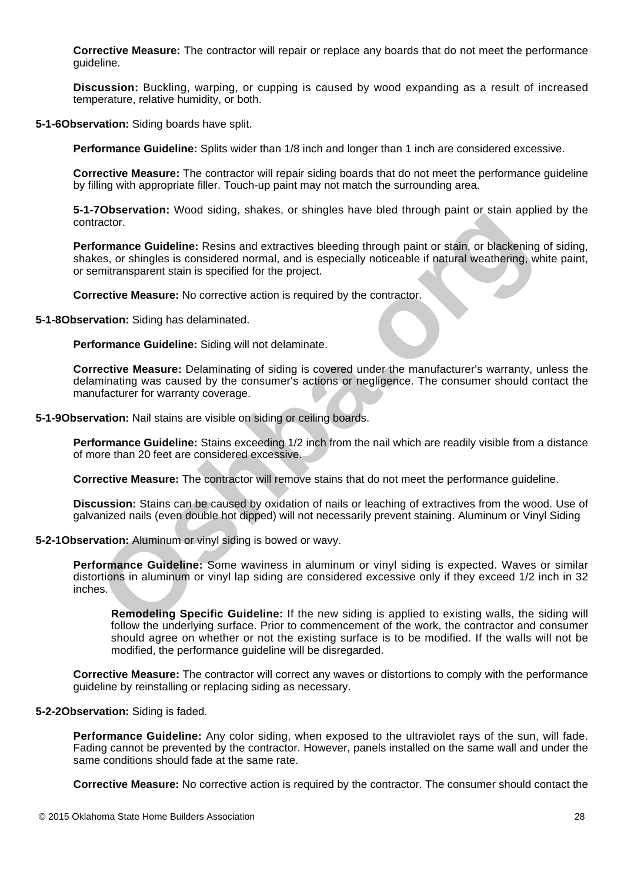**Corrective Measure:** The contractor will repair or replace any boards that do not meet the performance guideline.

**Discussion:** Buckling, warping, or cupping is caused by wood expanding as a result of increased temperature, relative humidity, or both.

**5-1-6Observation:** Siding boards have split.

**Performance Guideline:** Splits wider than 1/8 inch and longer than 1 inch are considered excessive.

**Corrective Measure:** The contractor will repair siding boards that do not meet the performance guideline by filling with appropriate filler. Touch-up paint may not match the surrounding area.

**5-1-7Observation:** Wood siding, shakes, or shingles have bled through paint or stain applied by the contractor.

**Performance Guideline:** Resins and extractives bleeding through paint or stain, or blackening of siding, shakes, or shingles is considered normal, and is especially noticeable if natural weathering, white paint, or semitransparent stain is specified for the project.

**Corrective Measure:** No corrective action is required by the contractor.

**5-1-8Observation:** Siding has delaminated.

**Performance Guideline:** Siding will not delaminate.

**Corrective Measure:** Delaminating of siding is covered under the manufacturer's warranty, unless the delaminating was caused by the consumer's actions or negligence. The consumer should contact the manufacturer for warranty coverage.

**5-1-9Observation:** Nail stains are visible on siding or ceiling boards.

**Performance Guideline:** Stains exceeding 1/2 inch from the nail which are readily visible from a distance of more than 20 feet are considered excessive.

**Corrective Measure:** The contractor will remove stains that do not meet the performance guideline.

**Discussion:** Stains can be caused by oxidation of nails or leaching of extractives from the wood. Use of galvanized nails (even double hot dipped) will not necessarily prevent staining. Aluminum or Vinyl Siding

**5-2-1Observation:** Aluminum or vinyl siding is bowed or wavy.

**Performance Guideline:** Some waviness in aluminum or vinyl siding is expected. Waves or similar distortions in aluminum or vinyl lap siding are considered excessive only if they exceed 1/2 inch in 32 inches. Today Transfortation.<br>
Transformance Guideline: Resins and extractives bleeding through paint or stain, or blackening<br>
Mersumance Guideline: Resins and extractives bleeding through paint or stain, or blackening<br>
Mersumance

**Remodeling Specific Guideline:** If the new siding is applied to existing walls, the siding will follow the underlying surface. Prior to commencement of the work, the contractor and consumer should agree on whether or not the existing surface is to be modified. If the walls will not be modified, the performance guideline will be disregarded.

**Corrective Measure:** The contractor will correct any waves or distortions to comply with the performance guideline by reinstalling or replacing siding as necessary.

#### **5-2-2Observation:** Siding is faded.

**Performance Guideline:** Any color siding, when exposed to the ultraviolet rays of the sun, will fade. Fading cannot be prevented by the contractor. However, panels installed on the same wall and under the same conditions should fade at the same rate.

**Corrective Measure:** No corrective action is required by the contractor. The consumer should contact the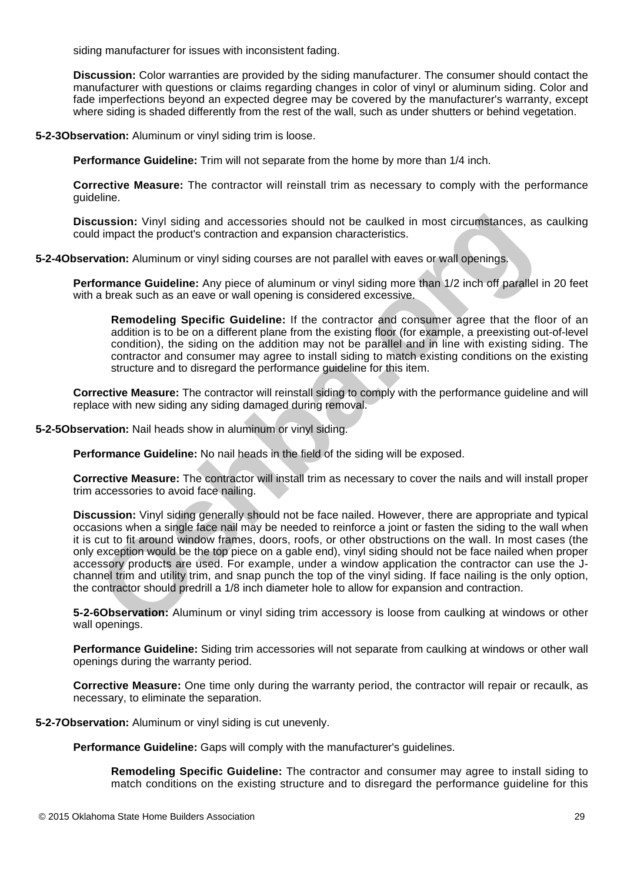siding manufacturer for issues with inconsistent fading.

**Discussion:** Color warranties are provided by the siding manufacturer. The consumer should contact the manufacturer with questions or claims regarding changes in color of vinyl or aluminum siding. Color and fade imperfections beyond an expected degree may be covered by the manufacturer's warranty, except where siding is shaded differently from the rest of the wall, such as under shutters or behind vegetation.

**5-2-3Observation:** Aluminum or vinyl siding trim is loose.

**Performance Guideline:** Trim will not separate from the home by more than 1/4 inch.

**Corrective Measure:** The contractor will reinstall trim as necessary to comply with the performance guideline.

**Discussion:** Vinyl siding and accessories should not be caulked in most circumstances, as caulking could impact the product's contraction and expansion characteristics.

**5-2-4Observation:** Aluminum or vinyl siding courses are not parallel with eaves or wall openings.

**Performance Guideline:** Any piece of aluminum or vinyl siding more than 1/2 inch off parallel in 20 feet with a break such as an eave or wall opening is considered excessive.

**Remodeling Specific Guideline:** If the contractor and consumer agree that the floor of an addition is to be on a different plane from the existing floor (for example, a preexisting out-of-level condition), the siding on the addition may not be parallel and in line with existing siding. The contractor and consumer may agree to install siding to match existing conditions on the existing structure and to disregard the performance guideline for this item.

**Corrective Measure:** The contractor will reinstall siding to comply with the performance guideline and will replace with new siding any siding damaged during removal.

**5-2-5Observation:** Nail heads show in aluminum or vinyl siding.

**Performance Guideline:** No nail heads in the field of the siding will be exposed.

**Corrective Measure:** The contractor will install trim as necessary to cover the nails and will install proper trim accessories to avoid face nailing.

**Discussion:** Vinyl siding generally should not be face nailed. However, there are appropriate and typical occasions when a single face nail may be needed to reinforce a joint or fasten the siding to the wall when it is cut to fit around window frames, doors, roofs, or other obstructions on the wall. In most cases (the only exception would be the top piece on a gable end), vinyl siding should not be face nailed when proper accessory products are used. For example, under a window application the contractor can use the Jchannel trim and utility trim, and snap punch the top of the vinyl siding. If face nailing is the only option, the contractor should predrill a 1/8 inch diameter hole to allow for expansion and contraction. **Example 10** will siding and accessories should not be caulked in most circumstances, as<br> **Only in the products contraction and expansion characteristics.**<br> **Observation:** Aluminum or vinyl siding courses are not parallel

**5-2-6Observation:** Aluminum or vinyl siding trim accessory is loose from caulking at windows or other wall openings.

**Performance Guideline:** Siding trim accessories will not separate from caulking at windows or other wall openings during the warranty period.

**Corrective Measure:** One time only during the warranty period, the contractor will repair or recaulk, as necessary, to eliminate the separation.

**5-2-7Observation:** Aluminum or vinyl siding is cut unevenly.

**Performance Guideline:** Gaps will comply with the manufacturer's guidelines.

**Remodeling Specific Guideline:** The contractor and consumer may agree to install siding to match conditions on the existing structure and to disregard the performance guideline for this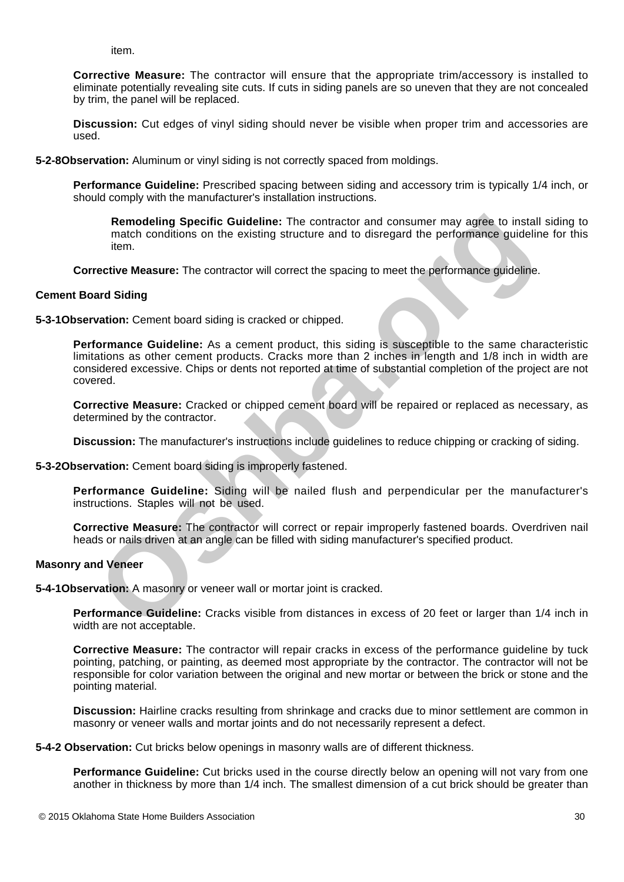item.

**Corrective Measure:** The contractor will ensure that the appropriate trim/accessory is installed to eliminate potentially revealing site cuts. If cuts in siding panels are so uneven that they are not concealed by trim, the panel will be replaced.

**Discussion:** Cut edges of vinyl siding should never be visible when proper trim and accessories are used.

**5-2-8Observation:** Aluminum or vinyl siding is not correctly spaced from moldings.

**Performance Guideline:** Prescribed spacing between siding and accessory trim is typically 1/4 inch, or should comply with the manufacturer's installation instructions.

**Remodeling Specific Guideline:** The contractor and consumer may agree to install siding to match conditions on the existing structure and to disregard the performance guideline for this item.

**Corrective Measure:** The contractor will correct the spacing to meet the performance guideline.

# **Cement Board Siding**

**5-3-1Observation:** Cement board siding is cracked or chipped.

**Performance Guideline:** As a cement product, this siding is susceptible to the same characteristic limitations as other cement products. Cracks more than 2 inches in length and 1/8 inch in width are considered excessive. Chips or dents not reported at time of substantial completion of the project are not covered. **Remodeling Specific Guideline:** The contractor and consumer may agree to install<br>match conditions on the existing structure and to disregard the performance guideline<br>tertive Measure: The contractor will correct the spaci

**Corrective Measure:** Cracked or chipped cement board will be repaired or replaced as necessary, as determined by the contractor.

**Discussion:** The manufacturer's instructions include guidelines to reduce chipping or cracking of siding.

**5-3-2Observation:** Cement board siding is improperly fastened.

**Performance Guideline:** Siding will be nailed flush and perpendicular per the manufacturer's instructions. Staples will not be used.

**Corrective Measure:** The contractor will correct or repair improperly fastened boards. Overdriven nail heads or nails driven at an angle can be filled with siding manufacturer's specified product.

# **Masonry and Veneer**

**5-4-1Observation:** A masonry or veneer wall or mortar joint is cracked.

**Performance Guideline:** Cracks visible from distances in excess of 20 feet or larger than 1/4 inch in width are not acceptable.

**Corrective Measure:** The contractor will repair cracks in excess of the performance guideline by tuck pointing, patching, or painting, as deemed most appropriate by the contractor. The contractor will not be responsible for color variation between the original and new mortar or between the brick or stone and the pointing material.

**Discussion:** Hairline cracks resulting from shrinkage and cracks due to minor settlement are common in masonry or veneer walls and mortar joints and do not necessarily represent a defect.

**5-4-2 Observation:** Cut bricks below openings in masonry walls are of different thickness.

**Performance Guideline:** Cut bricks used in the course directly below an opening will not vary from one another in thickness by more than 1/4 inch. The smallest dimension of a cut brick should be greater than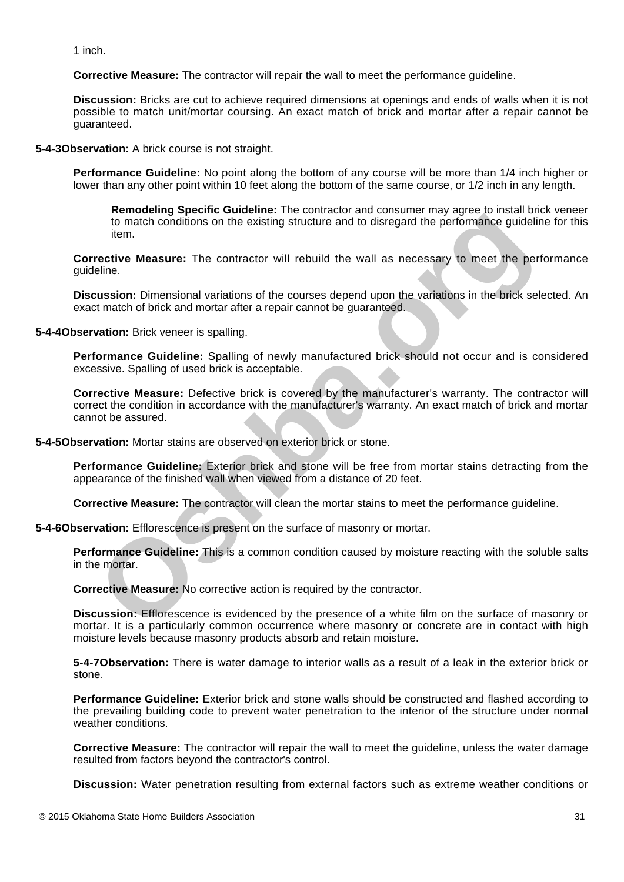1 inch.

**Corrective Measure:** The contractor will repair the wall to meet the performance guideline.

**Discussion:** Bricks are cut to achieve required dimensions at openings and ends of walls when it is not possible to match unit/mortar coursing. An exact match of brick and mortar after a repair cannot be guaranteed.

**5-4-3Observation:** A brick course is not straight.

**Performance Guideline:** No point along the bottom of any course will be more than 1/4 inch higher or lower than any other point within 10 feet along the bottom of the same course, or 1/2 inch in any length.

**Remodeling Specific Guideline:** The contractor and consumer may agree to install brick veneer to match conditions on the existing structure and to disregard the performance guideline for this item.

**Corrective Measure:** The contractor will rebuild the wall as necessary to meet the performance guideline.

**Discussion:** Dimensional variations of the courses depend upon the variations in the brick selected. An exact match of brick and mortar after a repair cannot be guaranteed.

# **5-4-4Observation:** Brick veneer is spalling.

**Performance Guideline:** Spalling of newly manufactured brick should not occur and is considered excessive. Spalling of used brick is acceptable.

**Corrective Measure:** Defective brick is covered by the manufacturer's warranty. The contractor will correct the condition in accordance with the manufacturer's warranty. An exact match of brick and mortar cannot be assured. **Consideration** in the existing structure and to disregard the performance guidelitien.<br> **Consider Measure:** The contractor will rebuild the wall as necessary to meet the performance guidelitien.<br> **Consider Measure:** The c

**5-4-5Observation:** Mortar stains are observed on exterior brick or stone.

**Performance Guideline:** Exterior brick and stone will be free from mortar stains detracting from the appearance of the finished wall when viewed from a distance of 20 feet.

**Corrective Measure:** The contractor will clean the mortar stains to meet the performance guideline.

**5-4-6Observation:** Efflorescence is present on the surface of masonry or mortar.

**Performance Guideline:** This is a common condition caused by moisture reacting with the soluble salts in the mortar.

**Corrective Measure:** No corrective action is required by the contractor.

**Discussion:** Efflorescence is evidenced by the presence of a white film on the surface of masonry or mortar. It is a particularly common occurrence where masonry or concrete are in contact with high moisture levels because masonry products absorb and retain moisture.

**5-4-7Observation:** There is water damage to interior walls as a result of a leak in the exterior brick or stone.

**Performance Guideline:** Exterior brick and stone walls should be constructed and flashed according to the prevailing building code to prevent water penetration to the interior of the structure under normal weather conditions.

**Corrective Measure:** The contractor will repair the wall to meet the guideline, unless the water damage resulted from factors beyond the contractor's control.

**Discussion:** Water penetration resulting from external factors such as extreme weather conditions or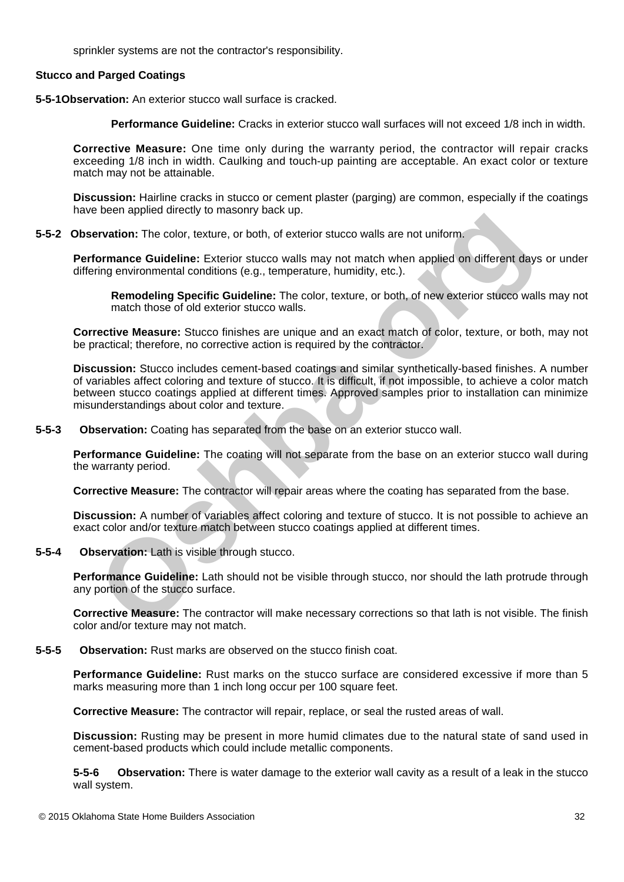sprinkler systems are not the contractor's responsibility.

# **Stucco and Parged Coatings**

**5-5-1Observation:** An exterior stucco wall surface is cracked.

**Performance Guideline:** Cracks in exterior stucco wall surfaces will not exceed 1/8 inch in width.

**Corrective Measure:** One time only during the warranty period, the contractor will repair cracks exceeding 1/8 inch in width. Caulking and touch-up painting are acceptable. An exact color or texture match may not be attainable.

**Discussion:** Hairline cracks in stucco or cement plaster (parging) are common, especially if the coatings have been applied directly to masonry back up.

**5-5-2 Observation:** The color, texture, or both, of exterior stucco walls are not uniform.

**Performance Guideline:** Exterior stucco walls may not match when applied on different days or under differing environmental conditions (e.g., temperature, humidity, etc.).

**Remodeling Specific Guideline:** The color, texture, or both, of new exterior stucco walls may not match those of old exterior stucco walls.

**Corrective Measure:** Stucco finishes are unique and an exact match of color, texture, or both, may not be practical; therefore, no corrective action is required by the contractor.

**Discussion:** Stucco includes cement-based coatings and similar synthetically-based finishes. A number of variables affect coloring and texture of stucco. It is difficult, if not impossible, to achieve a color match between stucco coatings applied at different times. Approved samples prior to installation can minimize misunderstandings about color and texture. **Determine Guideline:** The color, texture is the color, text in the color, texture in the color in the color informance Guideline: Extension studies (e.g., temperature, humidity, etc.).<br> **Remodeling environmental condition** 

**5-5-3 Observation:** Coating has separated from the base on an exterior stucco wall.

**Performance Guideline:** The coating will not separate from the base on an exterior stucco wall during the warranty period.

**Corrective Measure:** The contractor will repair areas where the coating has separated from the base.

**Discussion:** A number of variables affect coloring and texture of stucco. It is not possible to achieve an exact color and/or texture match between stucco coatings applied at different times.

**5-5-4 Observation:** Lath is visible through stucco.

**Performance Guideline:** Lath should not be visible through stucco, nor should the lath protrude through any portion of the stucco surface.

**Corrective Measure:** The contractor will make necessary corrections so that lath is not visible. The finish color and/or texture may not match.

# **5-5-5 Observation:** Rust marks are observed on the stucco finish coat.

**Performance Guideline:** Rust marks on the stucco surface are considered excessive if more than 5 marks measuring more than 1 inch long occur per 100 square feet.

**Corrective Measure:** The contractor will repair, replace, or seal the rusted areas of wall.

**Discussion:** Rusting may be present in more humid climates due to the natural state of sand used in cement-based products which could include metallic components.

**5-5-6 Observation:** There is water damage to the exterior wall cavity as a result of a leak in the stucco wall system.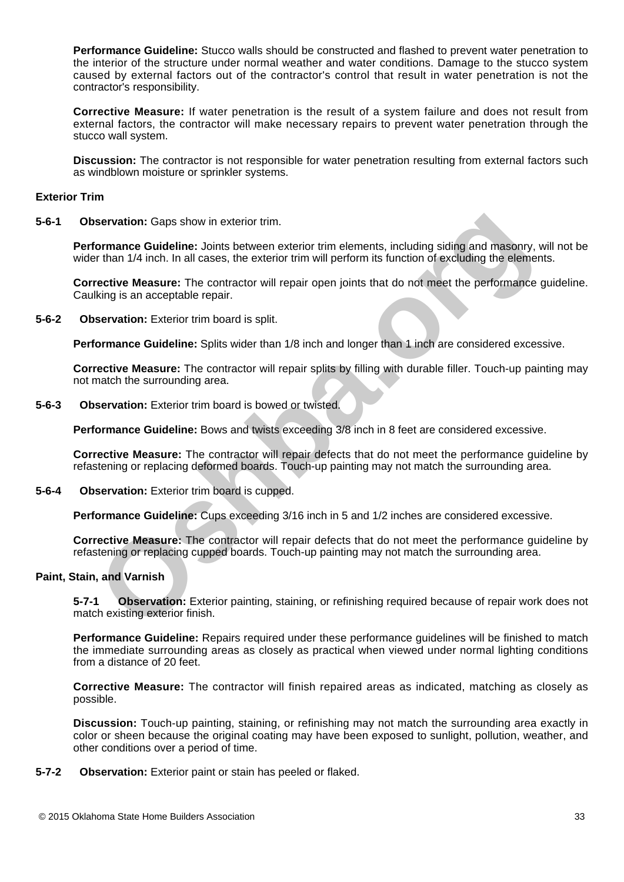**Performance Guideline:** Stucco walls should be constructed and flashed to prevent water penetration to the interior of the structure under normal weather and water conditions. Damage to the stucco system caused by external factors out of the contractor's control that result in water penetration is not the contractor's responsibility.

**Corrective Measure:** If water penetration is the result of a system failure and does not result from external factors, the contractor will make necessary repairs to prevent water penetration through the stucco wall system.

**Discussion:** The contractor is not responsible for water penetration resulting from external factors such as windblown moisture or sprinkler systems.

## **Exterior Trim**

**5-6-1 Observation:** Gaps show in exterior trim.

**Performance Guideline:** Joints between exterior trim elements, including siding and masonry, will not be wider than 1/4 inch. In all cases, the exterior trim will perform its function of excluding the elements.

**Corrective Measure:** The contractor will repair open joints that do not meet the performance guideline. Caulking is an acceptable repair.

**5-6-2 Observation:** Exterior trim board is split.

**Performance Guideline:** Splits wider than 1/8 inch and longer than 1 inch are considered excessive.

**Corrective Measure:** The contractor will repair splits by filling with durable filler. Touch-up painting may not match the surrounding area. **Servation:** Gaps show in exterior trim.<br> **Correnance Guidelline:** Joints between exterior trim elements, including siding and masonry,<br> **Correnance Guidelline:** Joints between exterior trim will perform its function of ex

**5-6-3 Observation:** Exterior trim board is bowed or twisted.

**Performance Guideline:** Bows and twists exceeding 3/8 inch in 8 feet are considered excessive.

**Corrective Measure:** The contractor will repair defects that do not meet the performance guideline by refastening or replacing deformed boards. Touch-up painting may not match the surrounding area.

**5-6-4 Observation:** Exterior trim board is cupped.

**Performance Guideline:** Cups exceeding 3/16 inch in 5 and 1/2 inches are considered excessive.

**Corrective Measure:** The contractor will repair defects that do not meet the performance guideline by refastening or replacing cupped boards. Touch-up painting may not match the surrounding area.

#### **Paint, Stain, and Varnish**

**5-7-1 Observation:** Exterior painting, staining, or refinishing required because of repair work does not match existing exterior finish.

**Performance Guideline:** Repairs required under these performance guidelines will be finished to match the immediate surrounding areas as closely as practical when viewed under normal lighting conditions from a distance of 20 feet.

**Corrective Measure:** The contractor will finish repaired areas as indicated, matching as closely as possible.

**Discussion:** Touch-up painting, staining, or refinishing may not match the surrounding area exactly in color or sheen because the original coating may have been exposed to sunlight, pollution, weather, and other conditions over a period of time.

**5-7-2 Observation:** Exterior paint or stain has peeled or flaked.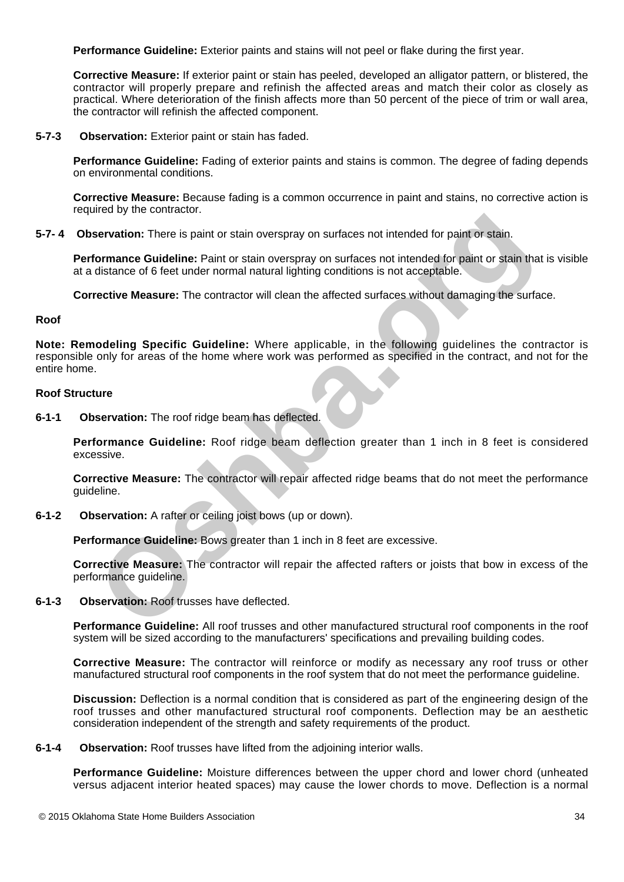**Performance Guideline:** Exterior paints and stains will not peel or flake during the first year.

**Corrective Measure:** If exterior paint or stain has peeled, developed an alligator pattern, or blistered, the contractor will properly prepare and refinish the affected areas and match their color as closely as practical. Where deterioration of the finish affects more than 50 percent of the piece of trim or wall area, the contractor will refinish the affected component.

**5-7-3 Observation:** Exterior paint or stain has faded.

**Performance Guideline:** Fading of exterior paints and stains is common. The degree of fading depends on environmental conditions.

**Corrective Measure:** Because fading is a common occurrence in paint and stains, no corrective action is required by the contractor.

**5-7- 4 Observation:** There is paint or stain overspray on surfaces not intended for paint or stain.

**Performance Guideline:** Paint or stain overspray on surfaces not intended for paint or stain that is visible at a distance of 6 feet under normal natural lighting conditions is not acceptable.

**Corrective Measure:** The contractor will clean the affected surfaces without damaging the surface.

#### **Roof**

**Note: Remodeling Specific Guideline:** Where applicable, in the following guidelines the contractor is responsible only for areas of the home where work was performed as specified in the contract, and not for the entire home. and by the contractor.<br> **Servation:** There is paint or stain overspray on surfaces not intended for paint or stain.<br> **Originals distance of 6 feet under normal natural lighting conditions is not acceptable.**<br> **Originals di** 

# **Roof Structure**

**6-1-1 Observation:** The roof ridge beam has deflected.

**Performance Guideline:** Roof ridge beam deflection greater than 1 inch in 8 feet is considered excessive.

**Corrective Measure:** The contractor will repair affected ridge beams that do not meet the performance guideline.

**6-1-2 Observation:** A rafter or ceiling joist bows (up or down).

**Performance Guideline:** Bows greater than 1 inch in 8 feet are excessive.

**Corrective Measure:** The contractor will repair the affected rafters or joists that bow in excess of the performance guideline.

**6-1-3 Observation:** Roof trusses have deflected.

**Performance Guideline:** All roof trusses and other manufactured structural roof components in the roof system will be sized according to the manufacturers' specifications and prevailing building codes.

**Corrective Measure:** The contractor will reinforce or modify as necessary any roof truss or other manufactured structural roof components in the roof system that do not meet the performance guideline.

**Discussion:** Deflection is a normal condition that is considered as part of the engineering design of the roof trusses and other manufactured structural roof components. Deflection may be an aesthetic consideration independent of the strength and safety requirements of the product.

**6-1-4 Observation:** Roof trusses have lifted from the adjoining interior walls.

**Performance Guideline:** Moisture differences between the upper chord and lower chord (unheated versus adjacent interior heated spaces) may cause the lower chords to move. Deflection is a normal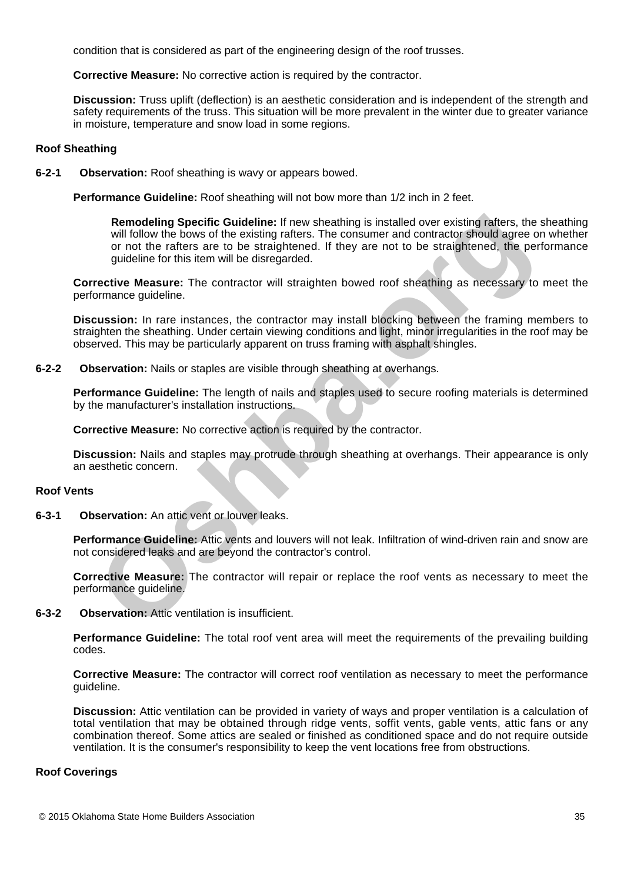condition that is considered as part of the engineering design of the roof trusses.

**Corrective Measure:** No corrective action is required by the contractor.

**Discussion:** Truss uplift (deflection) is an aesthetic consideration and is independent of the strength and safety requirements of the truss. This situation will be more prevalent in the winter due to greater variance in moisture, temperature and snow load in some regions.

# **Roof Sheathing**

**6-2-1 Observation:** Roof sheathing is wavy or appears bowed.

**Performance Guideline:** Roof sheathing will not bow more than 1/2 inch in 2 feet.

**Remodeling Specific Guideline:** If new sheathing is installed over existing rafters, the sheathing will follow the bows of the existing rafters. The consumer and contractor should agree on whether or not the rafters are to be straightened. If they are not to be straightened, the performance guideline for this item will be disregarded. **Remodeling Specific Guideline:** If new sheathing is installed over existing rafters, the sull lollow the bows of the existing rafters. The consumer and contractor should agree or or on the rafters are to be straightened.

**Corrective Measure:** The contractor will straighten bowed roof sheathing as necessary to meet the performance guideline.

**Discussion:** In rare instances, the contractor may install blocking between the framing members to straighten the sheathing. Under certain viewing conditions and light, minor irregularities in the roof may be observed. This may be particularly apparent on truss framing with asphalt shingles.

**6-2-2 Observation:** Nails or staples are visible through sheathing at overhangs.

**Performance Guideline:** The length of nails and staples used to secure roofing materials is determined by the manufacturer's installation instructions.

**Corrective Measure:** No corrective action is required by the contractor.

**Discussion:** Nails and staples may protrude through sheathing at overhangs. Their appearance is only an aesthetic concern.

# **Roof Vents**

**6-3-1 Observation:** An attic vent or louver leaks.

**Performance Guideline:** Attic vents and louvers will not leak. Infiltration of wind-driven rain and snow are not considered leaks and are beyond the contractor's control.

**Corrective Measure:** The contractor will repair or replace the roof vents as necessary to meet the performance guideline.

**6-3-2 Observation:** Attic ventilation is insufficient.

**Performance Guideline:** The total roof vent area will meet the requirements of the prevailing building codes.

**Corrective Measure:** The contractor will correct roof ventilation as necessary to meet the performance guideline.

**Discussion:** Attic ventilation can be provided in variety of ways and proper ventilation is a calculation of total ventilation that may be obtained through ridge vents, soffit vents, gable vents, attic fans or any combination thereof. Some attics are sealed or finished as conditioned space and do not require outside ventilation. It is the consumer's responsibility to keep the vent locations free from obstructions.

# **Roof Coverings**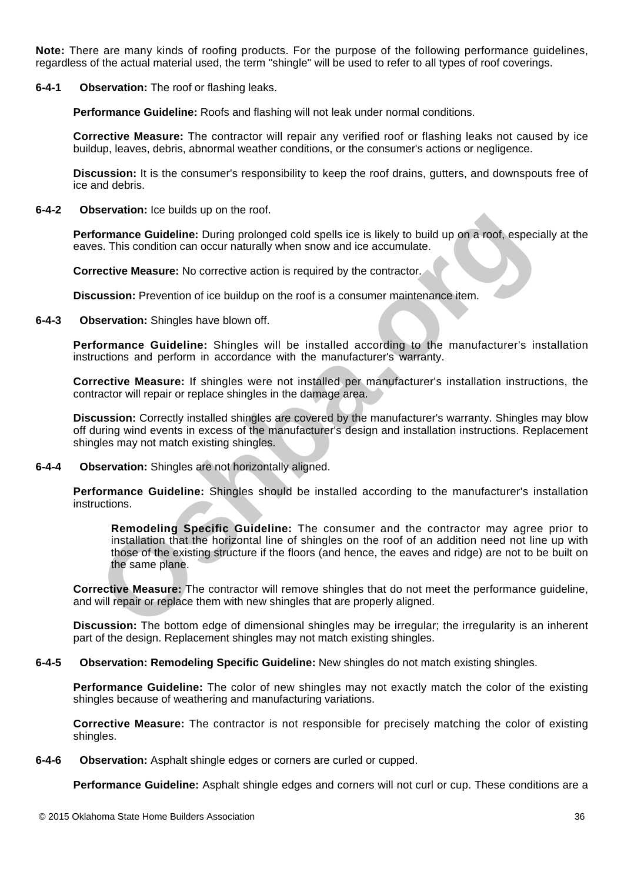**Note:** There are many kinds of roofing products. For the purpose of the following performance guidelines, regardless of the actual material used, the term "shingle" will be used to refer to all types of roof coverings.

**6-4-1 Observation:** The roof or flashing leaks.

**Performance Guideline:** Roofs and flashing will not leak under normal conditions.

**Corrective Measure:** The contractor will repair any verified roof or flashing leaks not caused by ice buildup, leaves, debris, abnormal weather conditions, or the consumer's actions or negligence.

**Discussion:** It is the consumer's responsibility to keep the roof drains, gutters, and downspouts free of ice and debris.

**6-4-2 Observation:** Ice builds up on the roof.

**Performance Guideline:** During prolonged cold spells ice is likely to build up on a roof, especially at the eaves. This condition can occur naturally when snow and ice accumulate.

**Corrective Measure:** No corrective action is required by the contractor.

**Discussion:** Prevention of ice buildup on the roof is a consumer maintenance item.

**6-4-3 Observation:** Shingles have blown off.

**Performance Guideline:** Shingles will be installed according to the manufacturer's installation instructions and perform in accordance with the manufacturer's warranty.

**Corrective Measure:** If shingles were not installed per manufacturer's installation instructions, the contractor will repair or replace shingles in the damage area.

**Discussion:** Correctly installed shingles are covered by the manufacturer's warranty. Shingles may blow off during wind events in excess of the manufacturer's design and installation instructions. Replacement shingles may not match existing shingles.

**6-4-4 Observation:** Shingles are not horizontally aligned.

**Performance Guideline:** Shingles should be installed according to the manufacturer's installation instructions.

**Remodeling Specific Guideline:** The consumer and the contractor may agree prior to installation that the horizontal line of shingles on the roof of an addition need not line up with those of the existing structure if the floors (and hence, the eaves and ridge) are not to be built on the same plane. **Solution Constant Constant Constant Constant Constant Constant Constant Constant Constant Constant Constant Constant Constant Constant Constant Constant Constant Constant Constant Constant Constant Constant Constant Const** 

**Corrective Measure:** The contractor will remove shingles that do not meet the performance guideline, and will repair or replace them with new shingles that are properly aligned.

**Discussion:** The bottom edge of dimensional shingles may be irregular; the irregularity is an inherent part of the design. Replacement shingles may not match existing shingles.

**6-4-5 Observation: Remodeling Specific Guideline:** New shingles do not match existing shingles.

**Performance Guideline:** The color of new shingles may not exactly match the color of the existing shingles because of weathering and manufacturing variations.

**Corrective Measure:** The contractor is not responsible for precisely matching the color of existing shingles.

**6-4-6 Observation:** Asphalt shingle edges or corners are curled or cupped.

**Performance Guideline:** Asphalt shingle edges and corners will not curl or cup. These conditions are a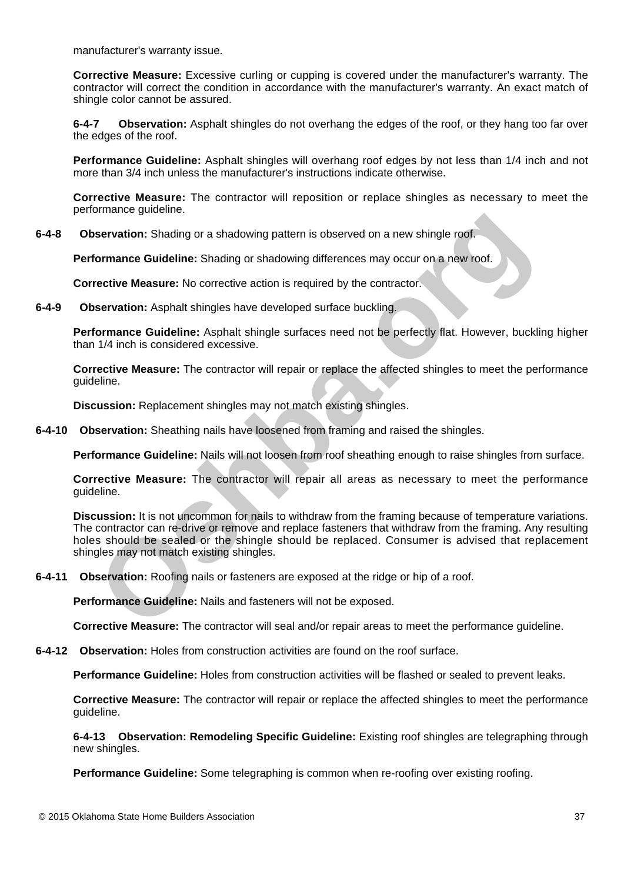manufacturer's warranty issue.

**Corrective Measure:** Excessive curling or cupping is covered under the manufacturer's warranty. The contractor will correct the condition in accordance with the manufacturer's warranty. An exact match of shingle color cannot be assured.

**6-4-7 Observation:** Asphalt shingles do not overhang the edges of the roof, or they hang too far over the edges of the roof.

**Performance Guideline:** Asphalt shingles will overhang roof edges by not less than 1/4 inch and not more than 3/4 inch unless the manufacturer's instructions indicate otherwise.

**Corrective Measure:** The contractor will reposition or replace shingles as necessary to meet the performance guideline.

**6-4-8 Observation:** Shading or a shadowing pattern is observed on a new shingle roof.

**Performance Guideline:** Shading or shadowing differences may occur on a new roof.

**Corrective Measure:** No corrective action is required by the contractor.

**6-4-9 Observation:** Asphalt shingles have developed surface buckling.

**Performance Guideline:** Asphalt shingle surfaces need not be perfectly flat. However, buckling higher than 1/4 inch is considered excessive.

**Corrective Measure:** The contractor will repair or replace the affected shingles to meet the performance guideline.

**Discussion:** Replacement shingles may not match existing shingles.

**6-4-10 Observation:** Sheathing nails have loosened from framing and raised the shingles.

**Performance Guideline:** Nails will not loosen from roof sheathing enough to raise shingles from surface.

**Corrective Measure:** The contractor will repair all areas as necessary to meet the performance guideline.

**Discussion:** It is not uncommon for nails to withdraw from the framing because of temperature variations. The contractor can re-drive or remove and replace fasteners that withdraw from the framing. Any resulting holes should be sealed or the shingle should be replaced. Consumer is advised that replacement shingles may not match existing shingles. **Servation:** Shading or a shadowing pattern is observed on a new shingle roof.<br> **Conside Consider** Shading or shadowing differences may occur on a new Yoof.<br> **Consider Shading:** Shading or shadowing differences may occur o

**6-4-11 Observation:** Roofing nails or fasteners are exposed at the ridge or hip of a roof.

**Performance Guideline:** Nails and fasteners will not be exposed.

**Corrective Measure:** The contractor will seal and/or repair areas to meet the performance guideline.

**6-4-12 Observation:** Holes from construction activities are found on the roof surface.

**Performance Guideline:** Holes from construction activities will be flashed or sealed to prevent leaks.

**Corrective Measure:** The contractor will repair or replace the affected shingles to meet the performance guideline.

**6-4-13 Observation: Remodeling Specific Guideline:** Existing roof shingles are telegraphing through new shingles.

**Performance Guideline:** Some telegraphing is common when re-roofing over existing roofing.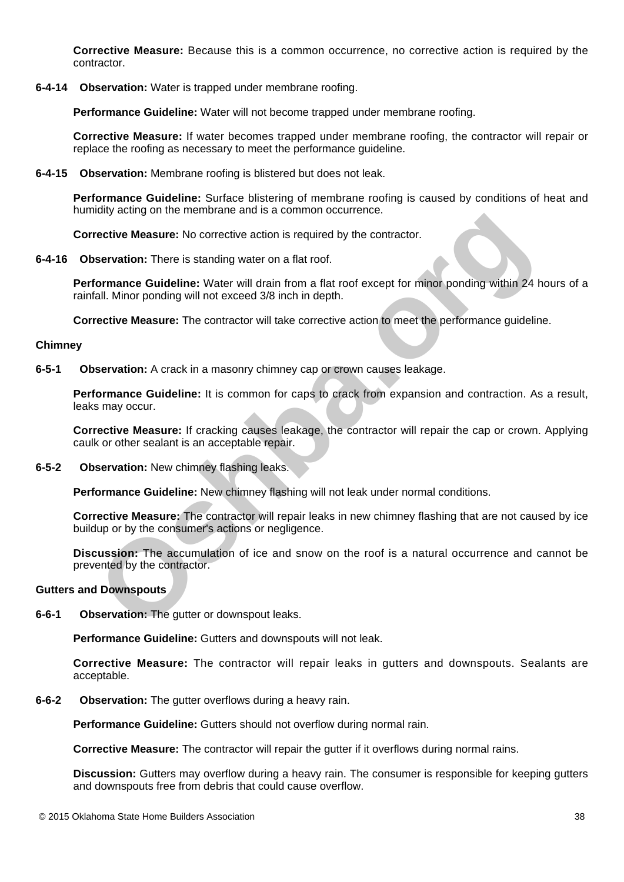**Corrective Measure:** Because this is a common occurrence, no corrective action is required by the contractor.

**6-4-14 Observation:** Water is trapped under membrane roofing.

**Performance Guideline:** Water will not become trapped under membrane roofing.

**Corrective Measure:** If water becomes trapped under membrane roofing, the contractor will repair or replace the roofing as necessary to meet the performance guideline.

**6-4-15 Observation:** Membrane roofing is blistered but does not leak.

**Performance Guideline:** Surface blistering of membrane roofing is caused by conditions of heat and humidity acting on the membrane and is a common occurrence.

**Corrective Measure:** No corrective action is required by the contractor.

**6-4-16 Observation:** There is standing water on a flat roof.

**Performance Guideline:** Water will drain from a flat roof except for minor ponding within 24 hours of a rainfall. Minor ponding will not exceed 3/8 inch in depth.

**Corrective Measure:** The contractor will take corrective action to meet the performance guideline.

# **Chimney**

**6-5-1 Observation:** A crack in a masonry chimney cap or crown causes leakage.

**Performance Guideline:** It is common for caps to crack from expansion and contraction. As a result, leaks may occur. mary earling or the methods and is a comment coconcrete.<br> **Servation:** There is standing water on a flat roof.<br> **Corrective Measure:** No corrective action is required by the contractor.<br> **Corrective Measure:** The contracto

**Corrective Measure:** If cracking causes leakage, the contractor will repair the cap or crown. Applying caulk or other sealant is an acceptable repair.

**6-5-2 Observation:** New chimney flashing leaks.

**Performance Guideline:** New chimney flashing will not leak under normal conditions.

**Corrective Measure:** The contractor will repair leaks in new chimney flashing that are not caused by ice buildup or by the consumer's actions or negligence.

**Discussion:** The accumulation of ice and snow on the roof is a natural occurrence and cannot be prevented by the contractor.

#### **Gutters and Downspouts**

**6-6-1 Observation:** The gutter or downspout leaks.

**Performance Guideline:** Gutters and downspouts will not leak.

**Corrective Measure:** The contractor will repair leaks in gutters and downspouts. Sealants are acceptable.

**6-6-2 Observation:** The gutter overflows during a heavy rain.

**Performance Guideline:** Gutters should not overflow during normal rain.

**Corrective Measure:** The contractor will repair the gutter if it overflows during normal rains.

**Discussion:** Gutters may overflow during a heavy rain. The consumer is responsible for keeping gutters and downspouts free from debris that could cause overflow.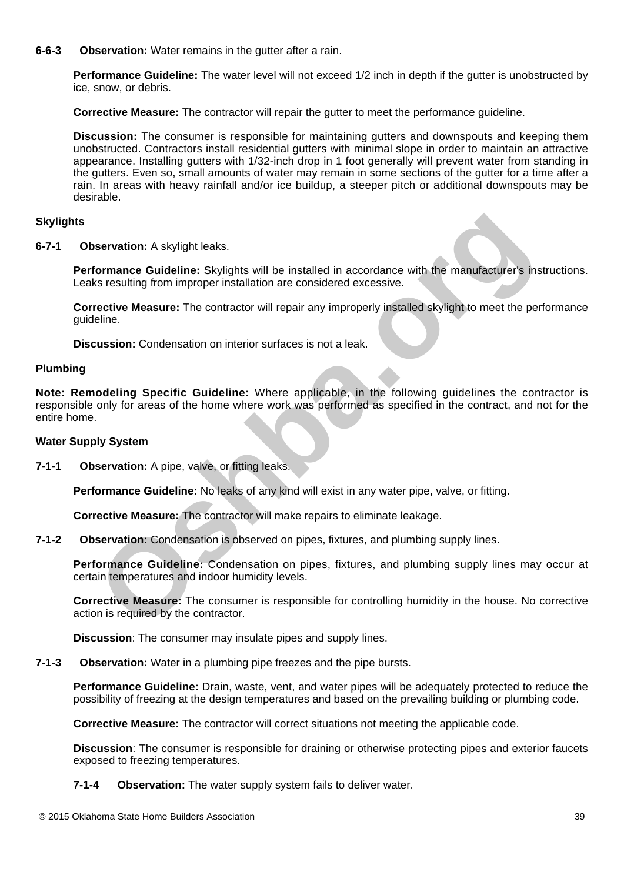**6-6-3** Observation: Water remains in the gutter after a rain.

**Performance Guideline:** The water level will not exceed 1/2 inch in depth if the gutter is unobstructed by ice, snow, or debris.

**Corrective Measure:** The contractor will repair the gutter to meet the performance guideline.

**Discussion:** The consumer is responsible for maintaining gutters and downspouts and keeping them unobstructed. Contractors install residential gutters with minimal slope in order to maintain an attractive appearance. Installing gutters with 1/32-inch drop in 1 foot generally will prevent water from standing in the gutters. Even so, small amounts of water may remain in some sections of the gutter for a time after a rain. In areas with heavy rainfall and/or ice buildup, a steeper pitch or additional downspouts may be desirable.

# **Skylights**

**6-7-1 Observation:** A skylight leaks.

**Performance Guideline:** Skylights will be installed in accordance with the manufacturer's instructions. Leaks resulting from improper installation are considered excessive.

**Corrective Measure:** The contractor will repair any improperly installed skylight to meet the performance guideline.

**Discussion:** Condensation on interior surfaces is not a leak.

#### **Plumbing**

**Note: Remodeling Specific Guideline:** Where applicable, in the following guidelines the contractor is responsible only for areas of the home where work was performed as specified in the contract, and not for the entire home. **Servation:** A skylight leaks.<br> **Commance Guideline:** Skylights will be installed in accordance with the manufacturer's instanting from improper installation are considered excessive.<br> **Consider a Maximum Explorer Secure T** 

# **Water Supply System**

**7-1-1 Observation:** A pipe, valve, or fitting leaks.

**Performance Guideline:** No leaks of any kind will exist in any water pipe, valve, or fitting.

**Corrective Measure:** The contractor will make repairs to eliminate leakage.

**7-1-2 Observation:** Condensation is observed on pipes, fixtures, and plumbing supply lines.

**Performance Guideline:** Condensation on pipes, fixtures, and plumbing supply lines may occur at certain temperatures and indoor humidity levels.

**Corrective Measure:** The consumer is responsible for controlling humidity in the house. No corrective action is required by the contractor.

**Discussion**: The consumer may insulate pipes and supply lines.

**7-1-3 Observation:** Water in a plumbing pipe freezes and the pipe bursts.

**Performance Guideline:** Drain, waste, vent, and water pipes will be adequately protected to reduce the possibility of freezing at the design temperatures and based on the prevailing building or plumbing code.

**Corrective Measure:** The contractor will correct situations not meeting the applicable code.

**Discussion**: The consumer is responsible for draining or otherwise protecting pipes and exterior faucets exposed to freezing temperatures.

**7-1-4 Observation:** The water supply system fails to deliver water.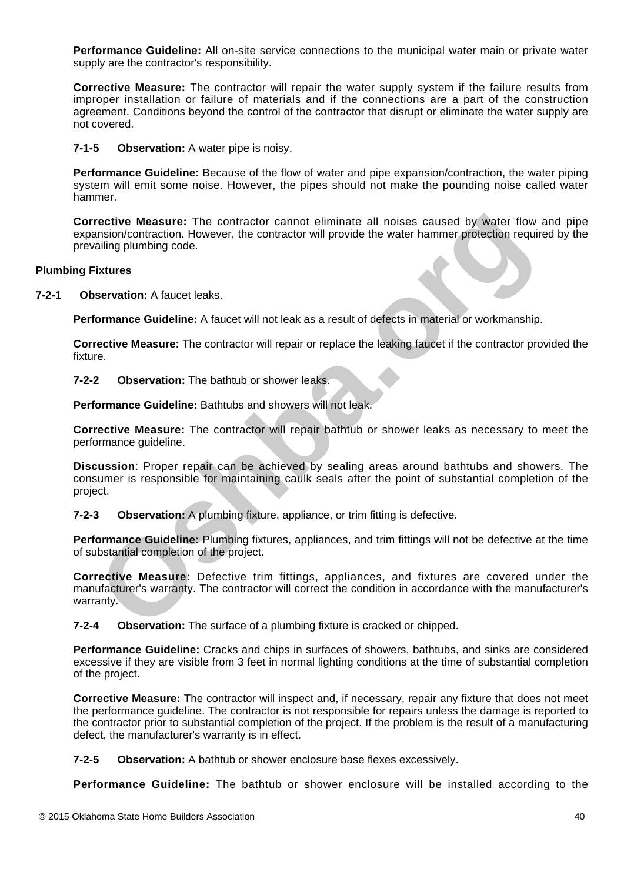**Performance Guideline:** All on-site service connections to the municipal water main or private water supply are the contractor's responsibility.

**Corrective Measure:** The contractor will repair the water supply system if the failure results from improper installation or failure of materials and if the connections are a part of the construction agreement. Conditions beyond the control of the contractor that disrupt or eliminate the water supply are not covered.

**7-1-5 Observation:** A water pipe is noisy.

**Performance Guideline:** Because of the flow of water and pipe expansion/contraction, the water piping system will emit some noise. However, the pipes should not make the pounding noise called water hammer.

**Corrective Measure:** The contractor cannot eliminate all noises caused by water flow and pipe expansion/contraction. However, the contractor will provide the water hammer protection required by the prevailing plumbing code. **Example The Solution of the Contractor cannot eliminate all noises caused by water flow<br>analiny plumbing code.**<br> **Oshiomation:** However, the contractor will provide the water hammer protection require<br> **Oshiomation:** A fa

# **Plumbing Fixtures**

**7-2-1 Observation:** A faucet leaks.

**Performance Guideline:** A faucet will not leak as a result of defects in material or workmanship.

**Corrective Measure:** The contractor will repair or replace the leaking faucet if the contractor provided the fixture.

**7-2-2 Observation:** The bathtub or shower leaks.

**Performance Guideline:** Bathtubs and showers will not leak.

**Corrective Measure:** The contractor will repair bathtub or shower leaks as necessary to meet the performance guideline.

**Discussion**: Proper repair can be achieved by sealing areas around bathtubs and showers. The consumer is responsible for maintaining caulk seals after the point of substantial completion of the project.

**7-2-3 Observation:** A plumbing fixture, appliance, or trim fitting is defective.

**Performance Guideline:** Plumbing fixtures, appliances, and trim fittings will not be defective at the time of substantial completion of the project.

**Corrective Measure:** Defective trim fittings, appliances, and fixtures are covered under the manufacturer's warranty. The contractor will correct the condition in accordance with the manufacturer's warranty.

**7-2-4 Observation:** The surface of a plumbing fixture is cracked or chipped.

**Performance Guideline:** Cracks and chips in surfaces of showers, bathtubs, and sinks are considered excessive if they are visible from 3 feet in normal lighting conditions at the time of substantial completion of the project.

**Corrective Measure:** The contractor will inspect and, if necessary, repair any fixture that does not meet the performance guideline. The contractor is not responsible for repairs unless the damage is reported to the contractor prior to substantial completion of the project. If the problem is the result of a manufacturing defect, the manufacturer's warranty is in effect.

**7-2-5 Observation:** A bathtub or shower enclosure base flexes excessively.

**Performance Guideline:** The bathtub or shower enclosure will be installed according to the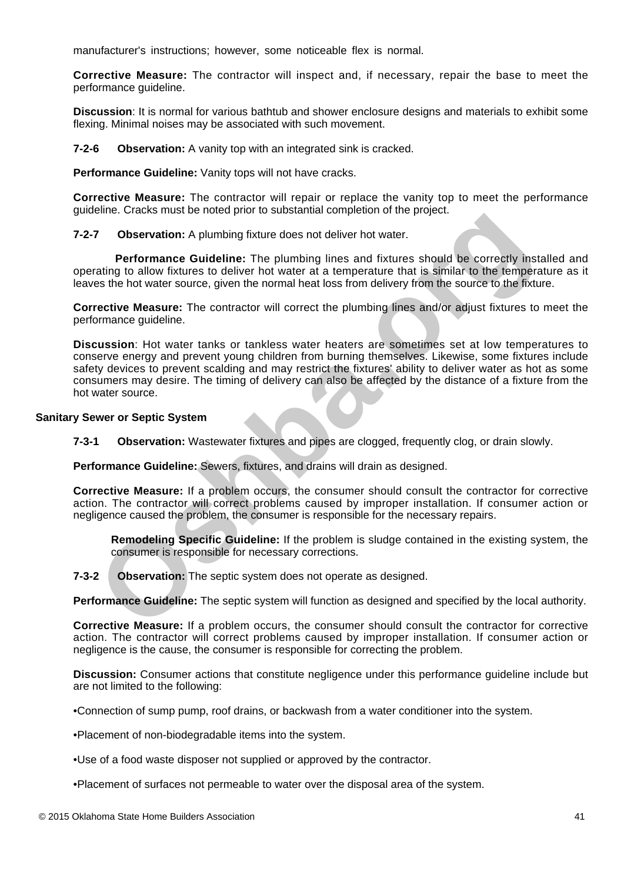manufacturer's instructions; however, some noticeable flex is normal.

**Corrective Measure:** The contractor will inspect and, if necessary, repair the base to meet the performance guideline.

**Discussion:** It is normal for various bathtub and shower enclosure designs and materials to exhibit some flexing. Minimal noises may be associated with such movement.

**7-2-6 Observation:** A vanity top with an integrated sink is cracked.

**Performance Guideline:** Vanity tops will not have cracks.

**Corrective Measure:** The contractor will repair or replace the vanity top to meet the performance guideline. Cracks must be noted prior to substantial completion of the project.

**7-2-7 Observation:** A plumbing fixture does not deliver hot water.

 **Performance Guideline:** The plumbing lines and fixtures should be correctly installed and operating to allow fixtures to deliver hot water at a temperature that is similar to the temperature as it leaves the hot water source, given the normal heat loss from delivery from the source to the fixture.

**Corrective Measure:** The contractor will correct the plumbing lines and/or adjust fixtures to meet the performance guideline.

**Discussion**: Hot water tanks or tankless water heaters are sometimes set at low temperatures to conserve energy and prevent young children from burning themselves. Likewise, some fixtures include safety devices to prevent scalding and may restrict the fixtures' ability to deliver water as hot as some consumers may desire. The timing of delivery can also be affected by the distance of a fixture from the hot water source. To **Chock the Control Constant Constant Constant Constant Constant Constant Constant Constant Constant Constant Constant Constant Constant Constant Constant Constant Constant Constant Constant Constant Constant Constant Co** 

#### **Sanitary Sewer or Septic System**

**7-3-1 Observation:** Wastewater fixtures and pipes are clogged, frequently clog, or drain slowly.

**Performance Guideline:** Sewers, fixtures, and drains will drain as designed.

**Corrective Measure:** If a problem occurs, the consumer should consult the contractor for corrective action. The contractor will correct problems caused by improper installation. If consumer action or negligence caused the problem, the consumer is responsible for the necessary repairs.

**Remodeling Specific Guideline:** If the problem is sludge contained in the existing system, the consumer is responsible for necessary corrections.

**7-3-2 Observation:** The septic system does not operate as designed.

**Performance Guideline:** The septic system will function as designed and specified by the local authority.

**Corrective Measure:** If a problem occurs, the consumer should consult the contractor for corrective action. The contractor will correct problems caused by improper installation. If consumer action or negligence is the cause, the consumer is responsible for correcting the problem.

**Discussion:** Consumer actions that constitute negligence under this performance guideline include but are not limited to the following:

•Connection of sump pump, roof drains, or backwash from a water conditioner into the system.

•Placement of non-biodegradable items into the system.

•Use of a food waste disposer not supplied or approved by the contractor.

•Placement of surfaces not permeable to water over the disposal area of the system.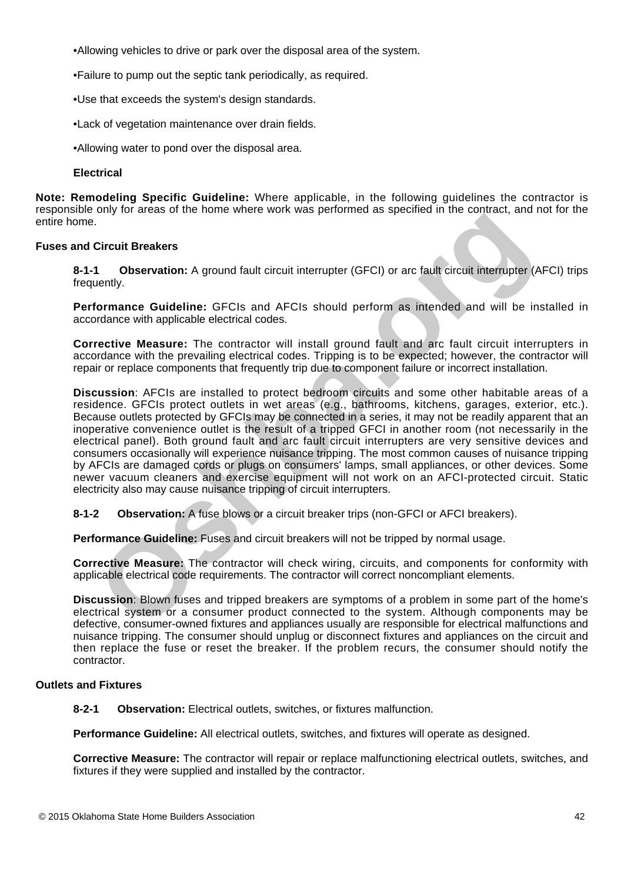•Allowing vehicles to drive or park over the disposal area of the system.

- •Failure to pump out the septic tank periodically, as required.
- •Use that exceeds the system's design standards.
- •Lack of vegetation maintenance over drain fields.

•Allowing water to pond over the disposal area.

# **Electrical**

**Note: Remodeling Specific Guideline:** Where applicable, in the following guidelines the contractor is responsible only for areas of the home where work was performed as specified in the contract, and not for the entire home.

# **Fuses and Circuit Breakers**

**8-1-1 Observation:** A ground fault circuit interrupter (GFCI) or arc fault circuit interrupter (AFCI) trips frequently.

**Performance Guideline:** GFCIs and AFCIs should perform as intended and will be installed in accordance with applicable electrical codes.

**Corrective Measure:** The contractor will install ground fault and arc fault circuit interrupters in accordance with the prevailing electrical codes. Tripping is to be expected; however, the contractor will repair or replace components that frequently trip due to component failure or incorrect installation.

**Discussion**: AFCIs are installed to protect bedroom circuits and some other habitable areas of a residence. GFCIs protect outlets in wet areas (e.g., bathrooms, kitchens, garages, exterior, etc.). Because outlets protected by GFCIs may be connected in a series, it may not be readily apparent that an inoperative convenience outlet is the result of a tripped GFCI in another room (not necessarily in the electrical panel). Both ground fault and arc fault circuit interrupters are very sensitive devices and consumers occasionally will experience nuisance tripping. The most common causes of nuisance tripping by AFCIs are damaged cords or plugs on consumers' lamps, small appliances, or other devices. Some newer vacuum cleaners and exercise equipment will not work on an AFCI-protected circuit. Static electricity also may cause nuisance tripping of circuit interrupters. Circuit Breakers<br> **Circuit Breakers**<br> **Circuit Breakers**<br> **Circuit Breakers**<br> **Circuit Breakers**<br> **Considering Considering Considering (SFCI)** or arc fault circuit intermpter (A<br> **Ontainer Guideline:** GFCIs and AFCIs shoul

**8-1-2 Observation:** A fuse blows or a circuit breaker trips (non-GFCI or AFCI breakers).

**Performance Guideline:** Fuses and circuit breakers will not be tripped by normal usage.

**Corrective Measure:** The contractor will check wiring, circuits, and components for conformity with applicable electrical code requirements. The contractor will correct noncompliant elements.

**Discussion**: Blown fuses and tripped breakers are symptoms of a problem in some part of the home's electrical system or a consumer product connected to the system. Although components may be defective, consumer-owned fixtures and appliances usually are responsible for electrical malfunctions and nuisance tripping. The consumer should unplug or disconnect fixtures and appliances on the circuit and then replace the fuse or reset the breaker. If the problem recurs, the consumer should notify the contractor.

## **Outlets and Fixtures**

**8-2-1 Observation:** Electrical outlets, switches, or fixtures malfunction.

**Performance Guideline:** All electrical outlets, switches, and fixtures will operate as designed.

**Corrective Measure:** The contractor will repair or replace malfunctioning electrical outlets, switches, and fixtures if they were supplied and installed by the contractor.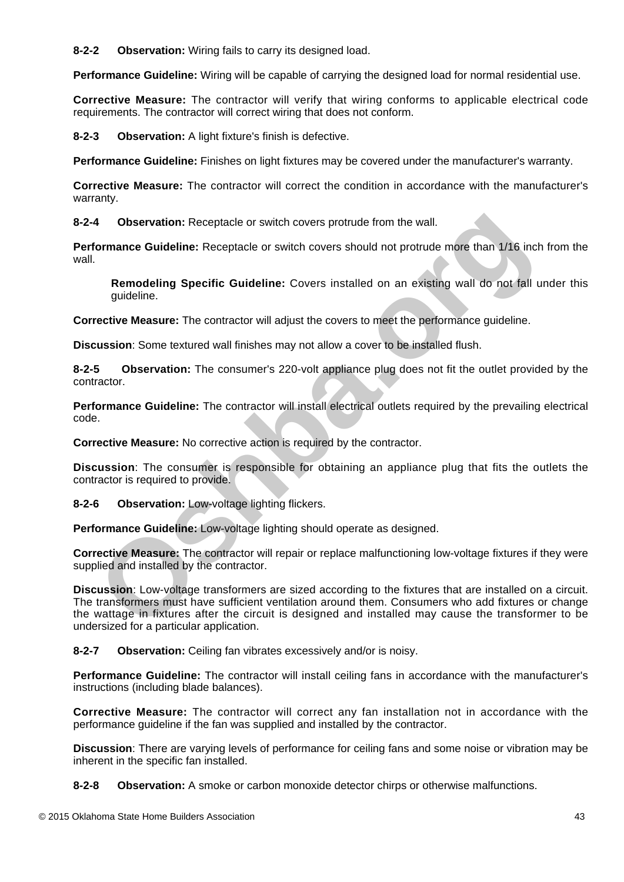**8-2-2 Observation:** Wiring fails to carry its designed load.

**Performance Guideline:** Wiring will be capable of carrying the designed load for normal residential use.

**Corrective Measure:** The contractor will verify that wiring conforms to applicable electrical code requirements. The contractor will correct wiring that does not conform.

**8-2-3 Observation:** A light fixture's finish is defective.

**Performance Guideline:** Finishes on light fixtures may be covered under the manufacturer's warranty.

**Corrective Measure:** The contractor will correct the condition in accordance with the manufacturer's warranty.

**8-2-4 Observation:** Receptacle or switch covers protrude from the wall.

**Performance Guideline:** Receptacle or switch covers should not protrude more than 1/16 inch from the wall.

**Remodeling Specific Guideline:** Covers installed on an existing wall do not fall under this guideline.

**Corrective Measure:** The contractor will adjust the covers to meet the performance guideline.

**Discussion**: Some textured wall finishes may not allow a cover to be installed flush.

**8-2-5 Observation:** The consumer's 220-volt appliance plug does not fit the outlet provided by the contractor.

**Performance Guideline:** The contractor will install electrical outlets required by the prevailing electrical code.

**Corrective Measure:** No corrective action is required by the contractor.

**Discussion**: The consumer is responsible for obtaining an appliance plug that fits the outlets the contractor is required to provide.

**8-2-6 Observation:** Low-voltage lighting flickers.

**Performance Guideline:** Low-voltage lighting should operate as designed.

**Corrective Measure:** The contractor will repair or replace malfunctioning low-voltage fixtures if they were supplied and installed by the contractor.

**Discussion**: Low-voltage transformers are sized according to the fixtures that are installed on a circuit. The transformers must have sufficient ventilation around them. Consumers who add fixtures or change the wattage in fixtures after the circuit is designed and installed may cause the transformer to be undersized for a particular application. 4 **Observation:** Receptacle or switch covers protrude from the wall.<br> **Cormance Guideline:** Receptacle or switch covers should not protrude more than 1/16 inct<br> **Remodeling Specific Guideline:** Covers installed on an exist

**8-2-7 Observation:** Ceiling fan vibrates excessively and/or is noisy.

**Performance Guideline:** The contractor will install ceiling fans in accordance with the manufacturer's instructions (including blade balances).

**Corrective Measure:** The contractor will correct any fan installation not in accordance with the performance guideline if the fan was supplied and installed by the contractor.

**Discussion**: There are varying levels of performance for ceiling fans and some noise or vibration may be inherent in the specific fan installed.

**8-2-8 Observation:** A smoke or carbon monoxide detector chirps or otherwise malfunctions.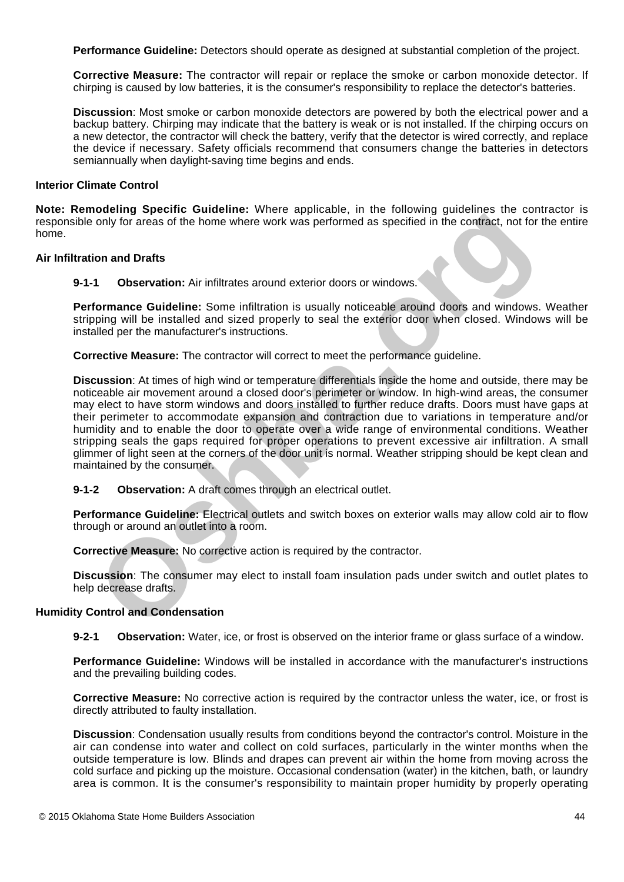**Performance Guideline:** Detectors should operate as designed at substantial completion of the project.

**Corrective Measure:** The contractor will repair or replace the smoke or carbon monoxide detector. If chirping is caused by low batteries, it is the consumer's responsibility to replace the detector's batteries.

**Discussion**: Most smoke or carbon monoxide detectors are powered by both the electrical power and a backup battery. Chirping may indicate that the battery is weak or is not installed. If the chirping occurs on a new detector, the contractor will check the battery, verify that the detector is wired correctly, and replace the device if necessary. Safety officials recommend that consumers change the batteries in detectors semiannually when daylight-saving time begins and ends.

## **Interior Climate Control**

**Note: Remodeling Specific Guideline:** Where applicable, in the following guidelines the contractor is responsible only for areas of the home where work was performed as specified in the contract, not for the entire home.

# **Air Infiltration and Drafts**

**9-1-1 Observation:** Air infiltrates around exterior doors or windows.

**Performance Guideline:** Some infiltration is usually noticeable around doors and windows. Weather stripping will be installed and sized properly to seal the exterior door when closed. Windows will be installed per the manufacturer's instructions.

**Corrective Measure:** The contractor will correct to meet the performance guideline.

**Discussion**: At times of high wind or temperature differentials inside the home and outside, there may be noticeable air movement around a closed door's perimeter or window. In high-wind areas, the consumer may elect to have storm windows and doors installed to further reduce drafts. Doors must have gaps at their perimeter to accommodate expansion and contraction due to variations in temperature and/or humidity and to enable the door to operate over a wide range of environmental conditions. Weather stripping seals the gaps required for proper operations to prevent excessive air infiltration. A small glimmer of light seen at the corners of the door unit is normal. Weather stripping should be kept clean and maintained by the consumer. **CONSUMPY**<br>
Consider the bome where work was performed as specified in the contract, not for<br>
only for areas of the home where work was performed as specified in the contract, not for<br>
1 **Observation:** Air infiltrates arou

**9-1-2 Observation:** A draft comes through an electrical outlet.

**Performance Guideline:** Electrical outlets and switch boxes on exterior walls may allow cold air to flow through or around an outlet into a room.

**Corrective Measure:** No corrective action is required by the contractor.

**Discussion**: The consumer may elect to install foam insulation pads under switch and outlet plates to help decrease drafts.

#### **Humidity Control and Condensation**

**9-2-1 Observation:** Water, ice, or frost is observed on the interior frame or glass surface of a window.

**Performance Guideline:** Windows will be installed in accordance with the manufacturer's instructions and the prevailing building codes.

**Corrective Measure:** No corrective action is required by the contractor unless the water, ice, or frost is directly attributed to faulty installation.

**Discussion**: Condensation usually results from conditions beyond the contractor's control. Moisture in the air can condense into water and collect on cold surfaces, particularly in the winter months when the outside temperature is low. Blinds and drapes can prevent air within the home from moving across the cold surface and picking up the moisture. Occasional condensation (water) in the kitchen, bath, or laundry area is common. It is the consumer's responsibility to maintain proper humidity by properly operating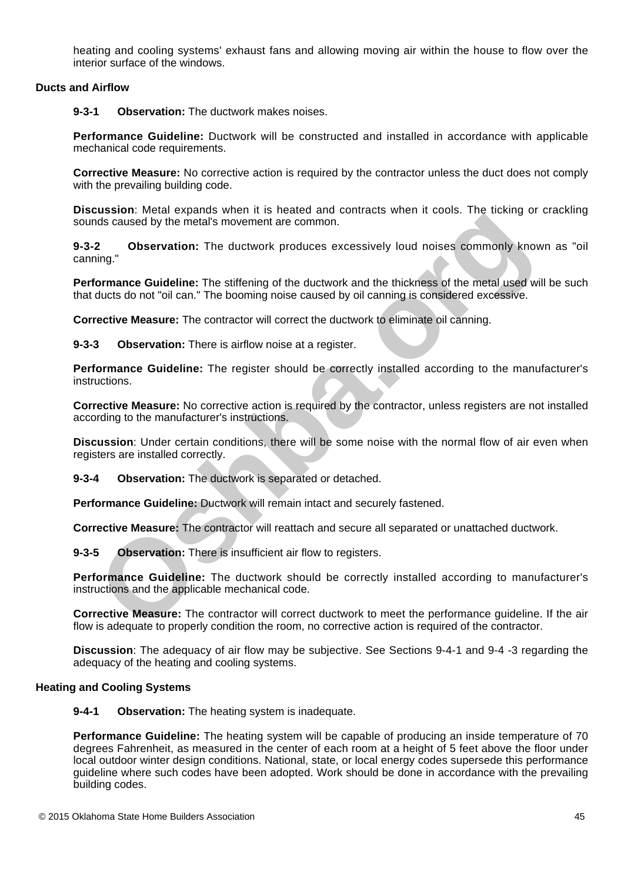heating and cooling systems' exhaust fans and allowing moving air within the house to flow over the interior surface of the windows.

# **Ducts and Airflow**

**9-3-1 Observation:** The ductwork makes noises.

**Performance Guideline:** Ductwork will be constructed and installed in accordance with applicable mechanical code requirements.

**Corrective Measure:** No corrective action is required by the contractor unless the duct does not comply with the prevailing building code.

**Discussion**: Metal expands when it is heated and contracts when it cools. The ticking or crackling sounds caused by the metal's movement are common.

**9-3-2 Observation:** The ductwork produces excessively loud noises commonly known as "oil canning." **Consumeration**<br> **Only consumeration** in the metalls movement are common.<br> **2.**<br> **2. Observation:** The ductwork produces excessively loud noises commonly knowned ands caused by the metals movement are common.<br> **2. Obse** 

**Performance Guideline:** The stiffening of the ductwork and the thickness of the metal used will be such that ducts do not "oil can." The booming noise caused by oil canning is considered excessive.

**Corrective Measure:** The contractor will correct the ductwork to eliminate oil canning.

**9-3-3 Observation:** There is airflow noise at a register.

**Performance Guideline:** The register should be correctly installed according to the manufacturer's instructions.

**Corrective Measure:** No corrective action is required by the contractor, unless registers are not installed according to the manufacturer's instructions.

**Discussion**: Under certain conditions, there will be some noise with the normal flow of air even when registers are installed correctly.

**9-3-4 Observation:** The ductwork is separated or detached.

**Performance Guideline:** Ductwork will remain intact and securely fastened.

**Corrective Measure:** The contractor will reattach and secure all separated or unattached ductwork.

**9-3-5 Observation:** There is insufficient air flow to registers.

**Performance Guideline:** The ductwork should be correctly installed according to manufacturer's instructions and the applicable mechanical code.

**Corrective Measure:** The contractor will correct ductwork to meet the performance guideline. If the air flow is adequate to properly condition the room, no corrective action is required of the contractor.

**Discussion**: The adequacy of air flow may be subjective. See Sections 9-4-1 and 9-4 -3 regarding the adequacy of the heating and cooling systems.

# **Heating and Cooling Systems**

**9-4-1 Observation:** The heating system is inadequate.

**Performance Guideline:** The heating system will be capable of producing an inside temperature of 70 degrees Fahrenheit, as measured in the center of each room at a height of 5 feet above the floor under local outdoor winter design conditions. National, state, or local energy codes supersede this performance guideline where such codes have been adopted. Work should be done in accordance with the prevailing building codes.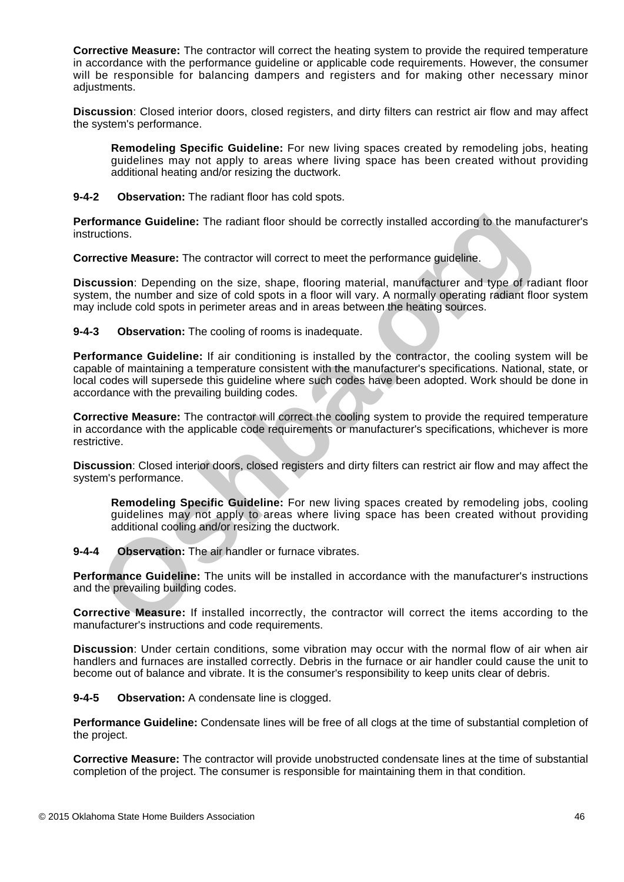**Corrective Measure:** The contractor will correct the heating system to provide the required temperature in accordance with the performance guideline or applicable code requirements. However, the consumer will be responsible for balancing dampers and registers and for making other necessary minor adiustments.

**Discussion**: Closed interior doors, closed registers, and dirty filters can restrict air flow and may affect the system's performance.

**Remodeling Specific Guideline:** For new living spaces created by remodeling jobs, heating guidelines may not apply to areas where living space has been created without providing additional heating and/or resizing the ductwork.

**9-4-2 Observation:** The radiant floor has cold spots.

**Performance Guideline:** The radiant floor should be correctly installed according to the manufacturer's instructions.

**Corrective Measure:** The contractor will correct to meet the performance guideline.

**Discussion**: Depending on the size, shape, flooring material, manufacturer and type of radiant floor system, the number and size of cold spots in a floor will vary. A normally operating radiant floor system may include cold spots in perimeter areas and in areas between the heating sources.

**9-4-3 Observation:** The cooling of rooms is inadequate.

**Performance Guideline:** If air conditioning is installed by the contractor, the cooling system will be capable of maintaining a temperature consistent with the manufacturer's specifications. National, state, or local codes will supersede this guideline where such codes have been adopted. Work should be done in accordance with the prevailing building codes. **Ionance Guideline:** The radiant floor should be correctly installed according to the manuctions.<br> **Conserver Measure:** The contractor will correct to meet the performance guideline.<br> **Conservery Measure:** The contractor w

**Corrective Measure:** The contractor will correct the cooling system to provide the required temperature in accordance with the applicable code requirements or manufacturer's specifications, whichever is more restrictive.

**Discussion**: Closed interior doors, closed registers and dirty filters can restrict air flow and may affect the system's performance.

**Remodeling Specific Guideline:** For new living spaces created by remodeling jobs, cooling guidelines may not apply to areas where living space has been created without providing additional cooling and/or resizing the ductwork.

**9-4-4 Observation:** The air handler or furnace vibrates.

**Performance Guideline:** The units will be installed in accordance with the manufacturer's instructions and the prevailing building codes.

**Corrective Measure:** If installed incorrectly, the contractor will correct the items according to the manufacturer's instructions and code requirements.

**Discussion**: Under certain conditions, some vibration may occur with the normal flow of air when air handlers and furnaces are installed correctly. Debris in the furnace or air handler could cause the unit to become out of balance and vibrate. It is the consumer's responsibility to keep units clear of debris.

**9-4-5 Observation:** A condensate line is clogged.

**Performance Guideline:** Condensate lines will be free of all clogs at the time of substantial completion of the project.

**Corrective Measure:** The contractor will provide unobstructed condensate lines at the time of substantial completion of the project. The consumer is responsible for maintaining them in that condition.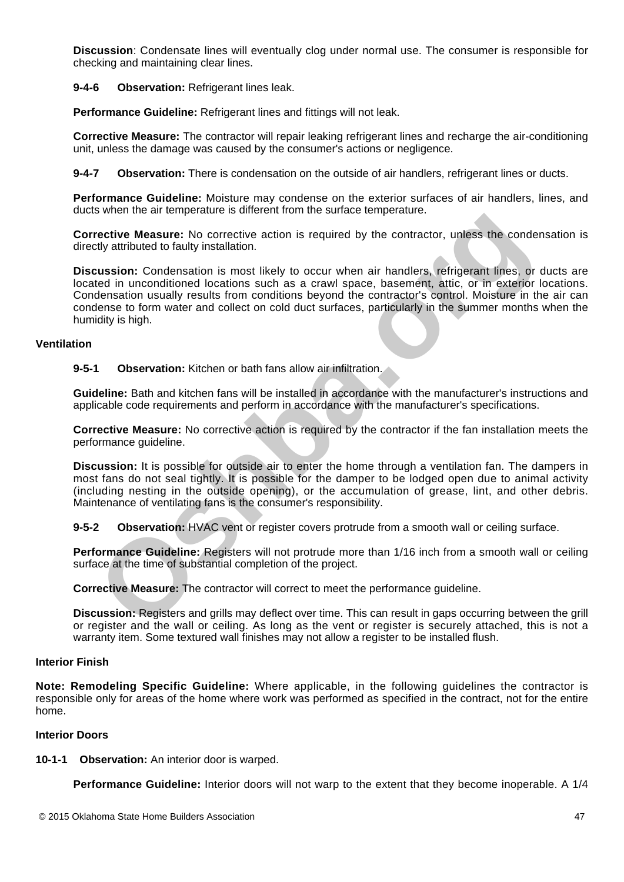**Discussion**: Condensate lines will eventually clog under normal use. The consumer is responsible for checking and maintaining clear lines.

9-4-6 Observation: Refrigerant lines leak.

**Performance Guideline:** Refrigerant lines and fittings will not leak.

**Corrective Measure:** The contractor will repair leaking refrigerant lines and recharge the air-conditioning unit, unless the damage was caused by the consumer's actions or negligence.

**9-4-7 Observation:** There is condensation on the outside of air handlers, refrigerant lines or ducts.

**Performance Guideline:** Moisture may condense on the exterior surfaces of air handlers, lines, and ducts when the air temperature is different from the surface temperature.

**Corrective Measure:** No corrective action is required by the contractor, unless the condensation is directly attributed to faulty installation.

**Discussion:** Condensation is most likely to occur when air handlers, refrigerant lines, or ducts are located in unconditioned locations such as a crawl space, basement, attic, or in exterior locations. Condensation usually results from conditions beyond the contractor's control. Moisture in the air can condense to form water and collect on cold duct surfaces, particularly in the summer months when the humidity is high. Share three measures in the correction and the same temperature. The contractor of the set and the set and the set and the set and the set and the set and the set and the set and the set and the set and the set and the den

# **Ventilation**

#### **9-5-1 Observation:** Kitchen or bath fans allow air infiltration.

**Guideline:** Bath and kitchen fans will be installed in accordance with the manufacturer's instructions and applicable code requirements and perform in accordance with the manufacturer's specifications.

**Corrective Measure:** No corrective action is required by the contractor if the fan installation meets the performance guideline.

**Discussion:** It is possible for outside air to enter the home through a ventilation fan. The dampers in most fans do not seal tightly. It is possible for the damper to be lodged open due to animal activity (including nesting in the outside opening), or the accumulation of grease, lint, and other debris. Maintenance of ventilating fans is the consumer's responsibility.

**9-5-2 Observation:** HVAC vent or register covers protrude from a smooth wall or ceiling surface.

**Performance Guideline:** Registers will not protrude more than 1/16 inch from a smooth wall or ceiling surface at the time of substantial completion of the project.

**Corrective Measure:** The contractor will correct to meet the performance guideline.

**Discussion:** Registers and grills may deflect over time. This can result in gaps occurring between the grill or register and the wall or ceiling. As long as the vent or register is securely attached, this is not a warranty item. Some textured wall finishes may not allow a register to be installed flush.

## **Interior Finish**

**Note: Remodeling Specific Guideline:** Where applicable, in the following guidelines the contractor is responsible only for areas of the home where work was performed as specified in the contract, not for the entire home.

#### **Interior Doors**

**10-1-1 Observation:** An interior door is warped.

**Performance Guideline:** Interior doors will not warp to the extent that they become inoperable. A 1/4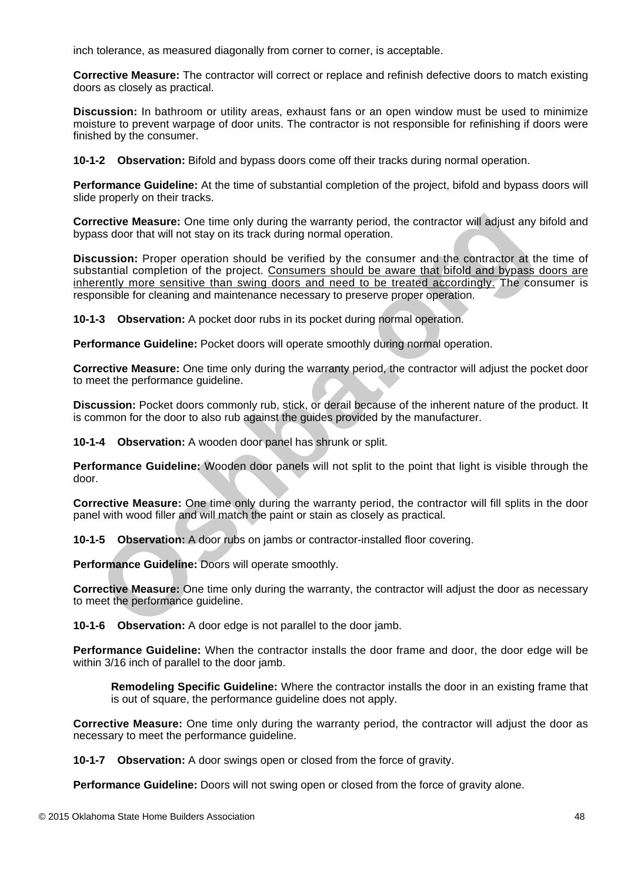inch tolerance, as measured diagonally from corner to corner, is acceptable.

**Corrective Measure:** The contractor will correct or replace and refinish defective doors to match existing doors as closely as practical.

**Discussion:** In bathroom or utility areas, exhaust fans or an open window must be used to minimize moisture to prevent warpage of door units. The contractor is not responsible for refinishing if doors were finished by the consumer.

**10-1-2 Observation:** Bifold and bypass doors come off their tracks during normal operation.

**Performance Guideline:** At the time of substantial completion of the project, bifold and bypass doors will slide properly on their tracks.

**Corrective Measure:** One time only during the warranty period, the contractor will adjust any bifold and bypass door that will not stay on its track during normal operation.

**Discussion:** Proper operation should be verified by the consumer and the contractor at the time of substantial completion of the project. Consumers should be aware that bifold and bypass doors are inherently more sensitive than swing doors and need to be treated accordingly. The consumer is responsible for cleaning and maintenance necessary to preserve proper operation. **Processore:** One time only during the warranty period, the contractor will adjust any stass door that will not stay on its track during normal operation.<br> **Custaba.** Proper operation should be verified by the consumer and

**10-1-3 Observation:** A pocket door rubs in its pocket during normal operation.

**Performance Guideline:** Pocket doors will operate smoothly during normal operation.

**Corrective Measure:** One time only during the warranty period, the contractor will adjust the pocket door to meet the performance guideline.

**Discussion:** Pocket doors commonly rub, stick, or derail because of the inherent nature of the product. It is common for the door to also rub against the guides provided by the manufacturer.

**10-1-4 Observation:** A wooden door panel has shrunk or split.

**Performance Guideline:** Wooden door panels will not split to the point that light is visible through the door.

**Corrective Measure:** One time only during the warranty period, the contractor will fill splits in the door panel with wood filler and will match the paint or stain as closely as practical.

**10-1-5 Observation:** A door rubs on jambs or contractor-installed floor covering.

**Performance Guideline:** Doors will operate smoothly.

**Corrective Measure:** One time only during the warranty, the contractor will adjust the door as necessary to meet the performance guideline.

**10-1-6 Observation:** A door edge is not parallel to the door jamb.

**Performance Guideline:** When the contractor installs the door frame and door, the door edge will be within 3/16 inch of parallel to the door jamb.

**Remodeling Specific Guideline:** Where the contractor installs the door in an existing frame that is out of square, the performance guideline does not apply.

**Corrective Measure:** One time only during the warranty period, the contractor will adjust the door as necessary to meet the performance guideline.

**10-1-7 Observation:** A door swings open or closed from the force of gravity.

**Performance Guideline:** Doors will not swing open or closed from the force of gravity alone.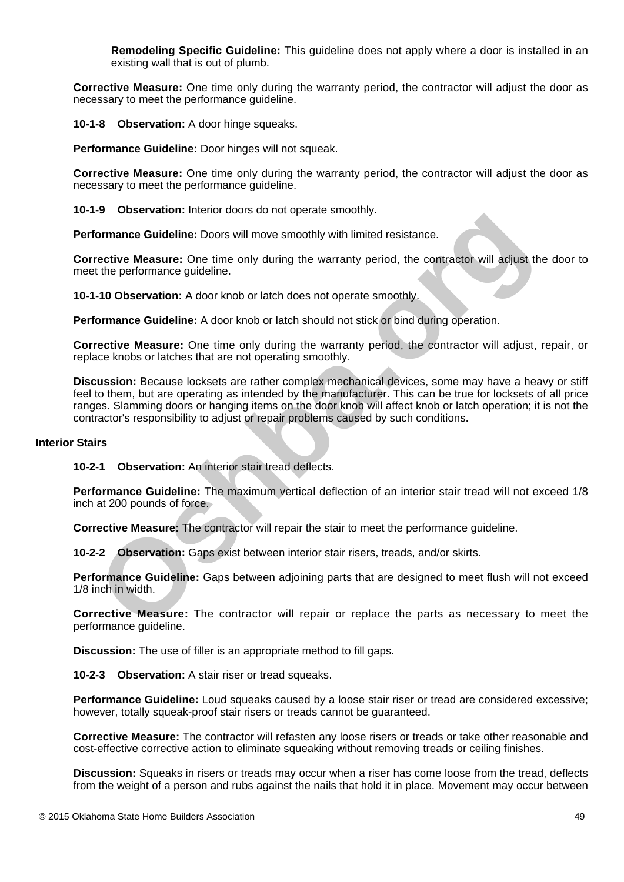**Remodeling Specific Guideline:** This guideline does not apply where a door is installed in an existing wall that is out of plumb.

**Corrective Measure:** One time only during the warranty period, the contractor will adjust the door as necessary to meet the performance guideline.

**10-1-8 Observation:** A door hinge squeaks.

**Performance Guideline:** Door hinges will not squeak.

**Corrective Measure:** One time only during the warranty period, the contractor will adjust the door as necessary to meet the performance guideline.

**10-1-9 Observation:** Interior doors do not operate smoothly.

**Performance Guideline:** Doors will move smoothly with limited resistance.

**Corrective Measure:** One time only during the warranty period, the contractor will adjust the door to meet the performance guideline.

**10-1-10 Observation:** A door knob or latch does not operate smoothly.

**Performance Guideline:** A door knob or latch should not stick or bind during operation.

**Corrective Measure:** One time only during the warranty period, the contractor will adjust, repair, or replace knobs or latches that are not operating smoothly.

**Discussion:** Because locksets are rather complex mechanical devices, some may have a heavy or stiff feel to them, but are operating as intended by the manufacturer. This can be true for locksets of all price ranges. Slamming doors or hanging items on the door knob will affect knob or latch operation; it is not the contractor's responsibility to adjust or repair problems caused by such conditions. **Conservation:** Interior coors of the optimal simularly with limited resistance.<br> **Conservation** interior Conservation interior standard in the contractor will adjust the performance guideline.<br> **Conservation:** A door knob

## **Interior Stairs**

**10-2-1 Observation:** An interior stair tread deflects.

**Performance Guideline:** The maximum vertical deflection of an interior stair tread will not exceed 1/8 inch at 200 pounds of force.

**Corrective Measure:** The contractor will repair the stair to meet the performance guideline.

**10-2-2 Observation:** Gaps exist between interior stair risers, treads, and/or skirts.

**Performance Guideline:** Gaps between adjoining parts that are designed to meet flush will not exceed 1/8 inch in width.

**Corrective Measure:** The contractor will repair or replace the parts as necessary to meet the performance guideline.

**Discussion:** The use of filler is an appropriate method to fill gaps.

**10-2-3 Observation:** A stair riser or tread squeaks.

**Performance Guideline:** Loud squeaks caused by a loose stair riser or tread are considered excessive; however, totally squeak-proof stair risers or treads cannot be guaranteed.

**Corrective Measure:** The contractor will refasten any loose risers or treads or take other reasonable and cost-effective corrective action to eliminate squeaking without removing treads or ceiling finishes.

**Discussion:** Squeaks in risers or treads may occur when a riser has come loose from the tread, deflects from the weight of a person and rubs against the nails that hold it in place. Movement may occur between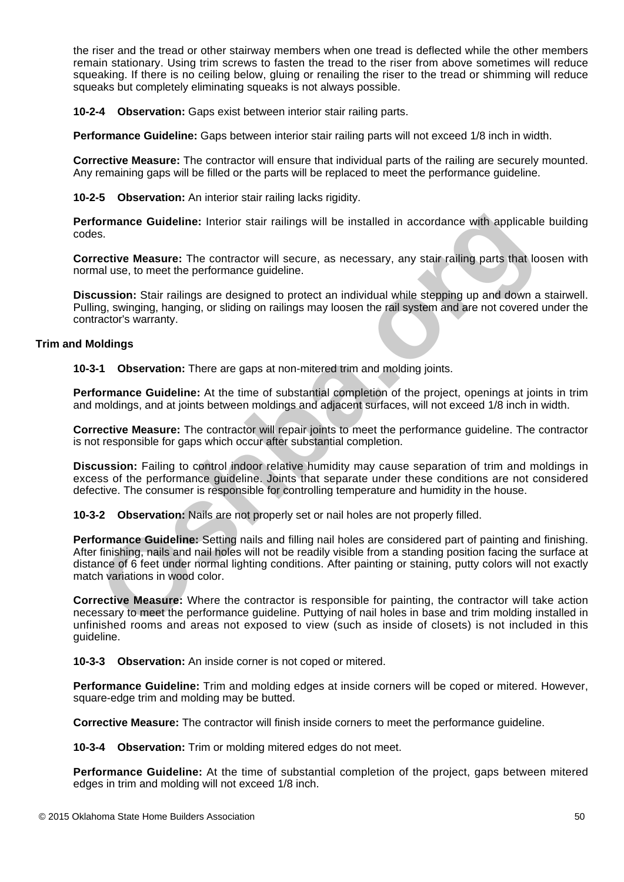the riser and the tread or other stairway members when one tread is deflected while the other members remain stationary. Using trim screws to fasten the tread to the riser from above sometimes will reduce squeaking. If there is no ceiling below, gluing or renailing the riser to the tread or shimming will reduce squeaks but completely eliminating squeaks is not always possible.

**10-2-4 Observation:** Gaps exist between interior stair railing parts.

**Performance Guideline:** Gaps between interior stair railing parts will not exceed 1/8 inch in width.

**Corrective Measure:** The contractor will ensure that individual parts of the railing are securely mounted. Any remaining gaps will be filled or the parts will be replaced to meet the performance guideline.

**10-2-5 Observation:** An interior stair railing lacks rigidity.

**Performance Guideline:** Interior stair railings will be installed in accordance with applicable building codes.

**Corrective Measure:** The contractor will secure, as necessary, any stair railing parts that loosen with normal use, to meet the performance guideline.

**Discussion:** Stair railings are designed to protect an individual while stepping up and down a stairwell. Pulling, swinging, hanging, or sliding on railings may loosen the rail system and are not covered under the contractor's warranty.

# **Trim and Moldings**

**10-3-1 Observation:** There are gaps at non-mitered trim and molding joints.

**Performance Guideline:** At the time of substantial completion of the project, openings at joints in trim and moldings, and at joints between moldings and adjacent surfaces, will not exceed 1/8 inch in width.

**Corrective Measure:** The contractor will repair joints to meet the performance guideline. The contractor is not responsible for gaps which occur after substantial completion.

**Discussion:** Failing to control indoor relative humidity may cause separation of trim and moldings in excess of the performance guideline. Joints that separate under these conditions are not considered defective. The consumer is responsible for controlling temperature and humidity in the house.

**10-3-2 Observation:** Nails are not properly set or nail holes are not properly filled.

**Performance Guideline:** Setting nails and filling nail holes are considered part of painting and finishing. After finishing, nails and nail holes will not be readily visible from a standing position facing the surface at distance of 6 feet under normal lighting conditions. After painting or staining, putty colors will not exactly match variations in wood color. **Solution:**<br>
Solution: The contractor will secure, as necessary, any stair railing parts that loos.<br>
Solution: Contractor will secure, as necessary, any stair railing parts that loos.<br>
In this sec, to meet the performance

**Corrective Measure:** Where the contractor is responsible for painting, the contractor will take action necessary to meet the performance guideline. Puttying of nail holes in base and trim molding installed in unfinished rooms and areas not exposed to view (such as inside of closets) is not included in this guideline.

**10-3-3 Observation:** An inside corner is not coped or mitered.

**Performance Guideline:** Trim and molding edges at inside corners will be coped or mitered. However, square-edge trim and molding may be butted.

**Corrective Measure:** The contractor will finish inside corners to meet the performance guideline.

**10-3-4 Observation:** Trim or molding mitered edges do not meet.

**Performance Guideline:** At the time of substantial completion of the project, gaps between mitered edges in trim and molding will not exceed 1/8 inch.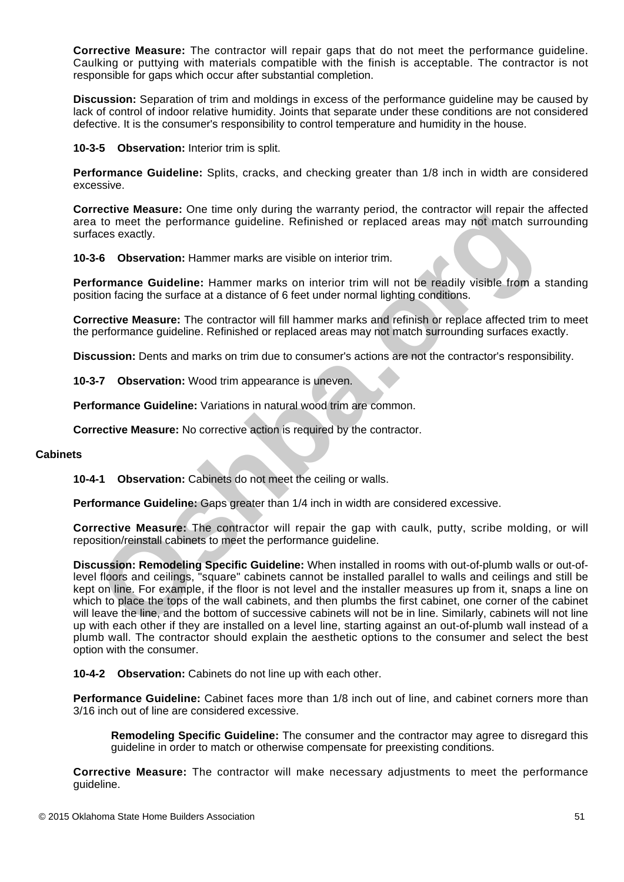**Corrective Measure:** The contractor will repair gaps that do not meet the performance guideline. Caulking or puttying with materials compatible with the finish is acceptable. The contractor is not responsible for gaps which occur after substantial completion.

**Discussion:** Separation of trim and moldings in excess of the performance guideline may be caused by lack of control of indoor relative humidity. Joints that separate under these conditions are not considered defective. It is the consumer's responsibility to control temperature and humidity in the house.

**10-3-5 Observation:** Interior trim is split.

**Performance Guideline:** Splits, cracks, and checking greater than 1/8 inch in width are considered excessive.

**Corrective Measure:** One time only during the warranty period, the contractor will repair the affected area to meet the performance guideline. Refinished or replaced areas may not match surrounding surfaces exactly.

**10-3-6 Observation:** Hammer marks are visible on interior trim.

**Performance Guideline:** Hammer marks on interior trim will not be readily visible from a standing position facing the surface at a distance of 6 feet under normal lighting conditions.

**Corrective Measure:** The contractor will fill hammer marks and refinish or replace affected trim to meet the performance guideline. Refinished or replaced areas may not match surrounding surfaces exactly.

**Discussion:** Dents and marks on trim due to consumer's actions are not the contractor's responsibility.

**10-3-7 Observation:** Wood trim appearance is uneven.

**Performance Guideline:** Variations in natural wood trim are common.

**Corrective Measure:** No corrective action is required by the contractor.

#### **Cabinets**

**10-4-1 Observation:** Cabinets do not meet the ceiling or walls.

**Performance Guideline:** Gaps greater than 1/4 inch in width are considered excessive.

**Corrective Measure:** The contractor will repair the gap with caulk, putty, scribe molding, or will reposition/reinstall cabinets to meet the performance guideline.

**Discussion: Remodeling Specific Guideline:** When installed in rooms with out-of-plumb walls or out-oflevel floors and ceilings, "square" cabinets cannot be installed parallel to walls and ceilings and still be kept on line. For example, if the floor is not level and the installer measures up from it, snaps a line on which to place the tops of the wall cabinets, and then plumbs the first cabinet, one corner of the cabinet will leave the line, and the bottom of successive cabinets will not be in line. Similarly, cabinets will not line up with each other if they are installed on a level line, starting against an out-of-plumb wall instead of a plumb wall. The contractor should explain the aesthetic options to the consumer and select the best option with the consumer. **Exercit and the performance guideline. Refinished or replaced areas may not micrear<br>acces exactly.<br><b>Discrete the performance guideline**: Refinished or replaced areas may not match sure<br>correspondent to the performance dur

**10-4-2 Observation:** Cabinets do not line up with each other.

**Performance Guideline:** Cabinet faces more than 1/8 inch out of line, and cabinet corners more than 3/16 inch out of line are considered excessive.

**Remodeling Specific Guideline:** The consumer and the contractor may agree to disregard this guideline in order to match or otherwise compensate for preexisting conditions.

**Corrective Measure:** The contractor will make necessary adjustments to meet the performance guideline.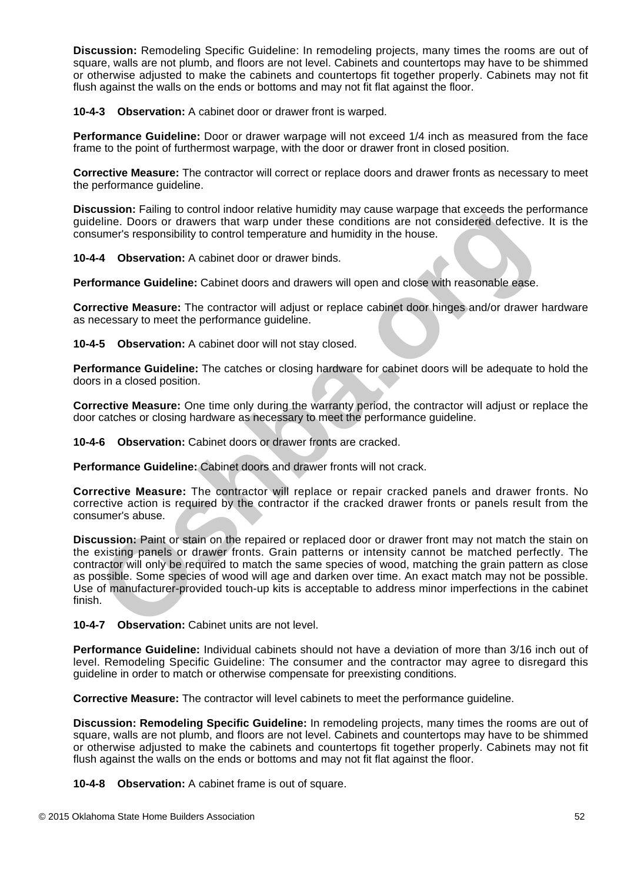**Discussion:** Remodeling Specific Guideline: In remodeling projects, many times the rooms are out of square, walls are not plumb, and floors are not level. Cabinets and countertops may have to be shimmed or otherwise adjusted to make the cabinets and countertops fit together properly. Cabinets may not fit flush against the walls on the ends or bottoms and may not fit flat against the floor.

**10-4-3 Observation:** A cabinet door or drawer front is warped.

**Performance Guideline:** Door or drawer warpage will not exceed 1/4 inch as measured from the face frame to the point of furthermost warpage, with the door or drawer front in closed position.

**Corrective Measure:** The contractor will correct or replace doors and drawer fronts as necessary to meet the performance guideline.

**Discussion:** Failing to control indoor relative humidity may cause warpage that exceeds the performance guideline. Doors or drawers that warp under these conditions are not considered defective. It is the consumer's responsibility to control temperature and humidity in the house.

**10-4-4 Observation:** A cabinet door or drawer binds.

**Performance Guideline:** Cabinet doors and drawers will open and close with reasonable ease.

**Corrective Measure:** The contractor will adjust or replace cabinet door hinges and/or drawer hardware as necessary to meet the performance guideline.

**10-4-5 Observation:** A cabinet door will not stay closed.

**Performance Guideline:** The catches or closing hardware for cabinet doors will be adequate to hold the doors in a closed position.

**Corrective Measure:** One time only during the warranty period, the contractor will adjust or replace the door catches or closing hardware as necessary to meet the performance guideline.

**10-4-6 Observation:** Cabinet doors or drawer fronts are cracked.

**Performance Guideline:** Cabinet doors and drawer fronts will not crack.

**Corrective Measure:** The contractor will replace or repair cracked panels and drawer fronts. No corrective action is required by the contractor if the cracked drawer fronts or panels result from the consumer's abuse.

**Discussion:** Paint or stain on the repaired or replaced door or drawer front may not match the stain on the existing panels or drawer fronts. Grain patterns or intensity cannot be matched perfectly. The contractor will only be required to match the same species of wood, matching the grain pattern as close as possible. Some species of wood will age and darken over time. An exact match may not be possible. Use of manufacturer-provided touch-up kits is acceptable to address minor imperfections in the cabinet finish. **Considered** Beline. Doors or drawers that warp under these conditions are not considered defective<br> **Considered defective**<br> **Considered defective**<br> **Observation:** A cabinet door or drawer binds,<br> **Considered defective**<br>

**10-4-7 Observation:** Cabinet units are not level.

**Performance Guideline:** Individual cabinets should not have a deviation of more than 3/16 inch out of level. Remodeling Specific Guideline: The consumer and the contractor may agree to disregard this guideline in order to match or otherwise compensate for preexisting conditions.

**Corrective Measure:** The contractor will level cabinets to meet the performance guideline.

**Discussion: Remodeling Specific Guideline:** In remodeling projects, many times the rooms are out of square, walls are not plumb, and floors are not level. Cabinets and countertops may have to be shimmed or otherwise adjusted to make the cabinets and countertops fit together properly. Cabinets may not fit flush against the walls on the ends or bottoms and may not fit flat against the floor.

**10-4-8 Observation:** A cabinet frame is out of square.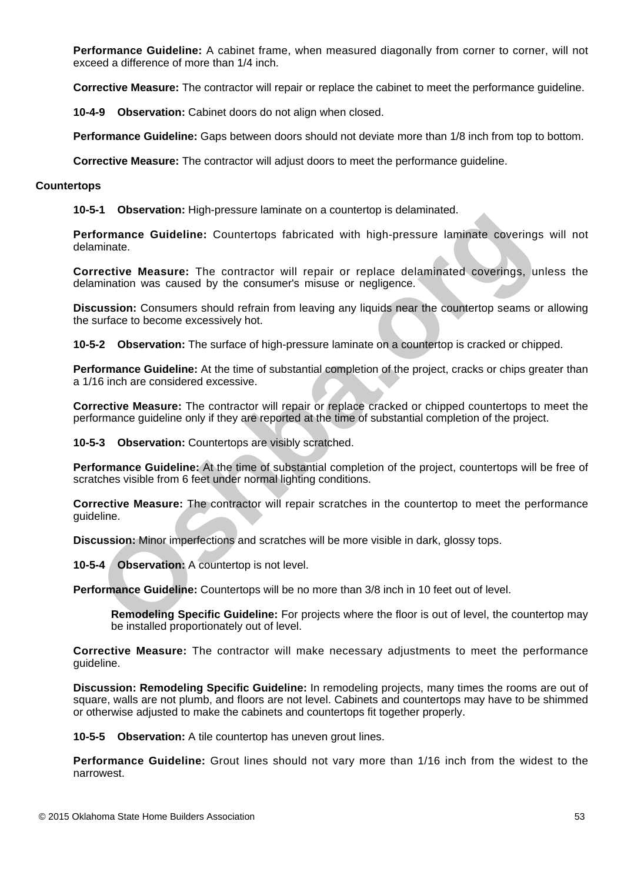**Performance Guideline:** A cabinet frame, when measured diagonally from corner to corner, will not exceed a difference of more than 1/4 inch.

**Corrective Measure:** The contractor will repair or replace the cabinet to meet the performance guideline.

**10-4-9 Observation:** Cabinet doors do not align when closed.

**Performance Guideline:** Gaps between doors should not deviate more than 1/8 inch from top to bottom.

**Corrective Measure:** The contractor will adjust doors to meet the performance guideline.

#### **Countertops**

**10-5-1 Observation:** High-pressure laminate on a countertop is delaminated.

**Performance Guideline:** Countertops fabricated with high-pressure laminate coverings will not delaminate.

**Corrective Measure:** The contractor will repair or replace delaminated coverings, unless the delamination was caused by the consumer's misuse or negligence. Formance Guideline: Countertops fabricated with high-pressure laminate.<br>
Immate.<br>
Immate.<br>
Immate. Countertops fabricated with high-pressure laminate coverings<br>
Immate.<br>
Immate. The contractor will repair or replace delami

**Discussion:** Consumers should refrain from leaving any liquids near the countertop seams or allowing the surface to become excessively hot.

**10-5-2 Observation:** The surface of high-pressure laminate on a countertop is cracked or chipped.

**Performance Guideline:** At the time of substantial completion of the project, cracks or chips greater than a 1/16 inch are considered excessive.

**Corrective Measure:** The contractor will repair or replace cracked or chipped countertops to meet the performance guideline only if they are reported at the time of substantial completion of the project.

**10-5-3 Observation:** Countertops are visibly scratched.

**Performance Guideline:** At the time of substantial completion of the project, countertops will be free of scratches visible from 6 feet under normal lighting conditions.

**Corrective Measure:** The contractor will repair scratches in the countertop to meet the performance guideline.

**Discussion:** Minor imperfections and scratches will be more visible in dark, glossy tops.

**10-5-4 Observation:** A countertop is not level.

**Performance Guideline:** Countertops will be no more than 3/8 inch in 10 feet out of level.

**Remodeling Specific Guideline:** For projects where the floor is out of level, the countertop may be installed proportionately out of level.

**Corrective Measure:** The contractor will make necessary adjustments to meet the performance guideline.

**Discussion: Remodeling Specific Guideline:** In remodeling projects, many times the rooms are out of square, walls are not plumb, and floors are not level. Cabinets and countertops may have to be shimmed or otherwise adjusted to make the cabinets and countertops fit together properly.

**10-5-5 Observation:** A tile countertop has uneven grout lines.

**Performance Guideline:** Grout lines should not vary more than 1/16 inch from the widest to the narrowest.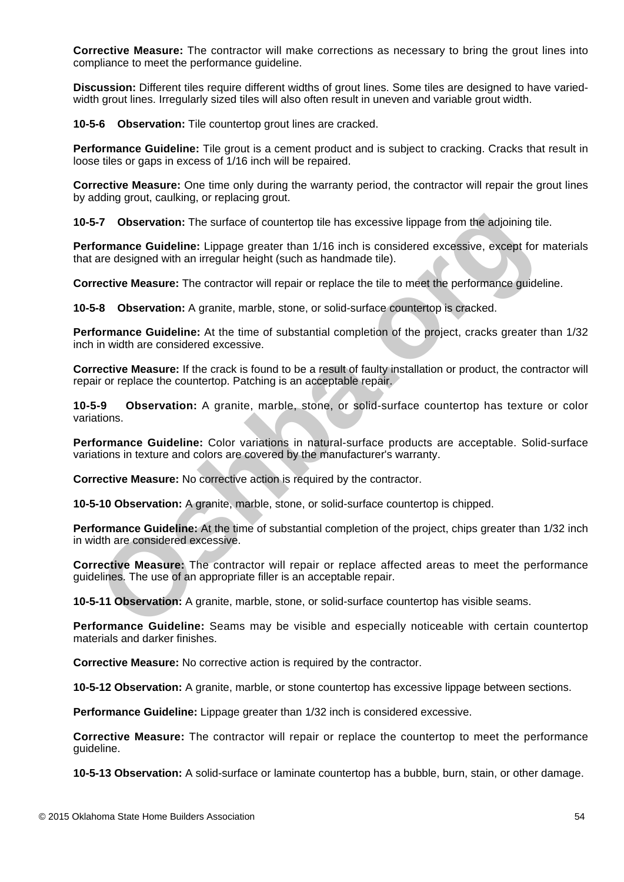**Corrective Measure:** The contractor will make corrections as necessary to bring the grout lines into compliance to meet the performance guideline.

**Discussion:** Different tiles require different widths of grout lines. Some tiles are designed to have variedwidth grout lines. Irregularly sized tiles will also often result in uneven and variable grout width.

**10-5-6 Observation:** Tile countertop grout lines are cracked.

**Performance Guideline:** Tile grout is a cement product and is subject to cracking. Cracks that result in loose tiles or gaps in excess of 1/16 inch will be repaired.

**Corrective Measure:** One time only during the warranty period, the contractor will repair the grout lines by adding grout, caulking, or replacing grout.

**10-5-7 Observation:** The surface of countertop tile has excessive lippage from the adjoining tile.

**Performance Guideline:** Lippage greater than 1/16 inch is considered excessive, except for materials that are designed with an irregular height (such as handmade tile).

**Corrective Measure:** The contractor will repair or replace the tile to meet the performance guideline.

**10-5-8 Observation:** A granite, marble, stone, or solid-surface countertop is cracked.

**Performance Guideline:** At the time of substantial completion of the project, cracks greater than 1/32 inch in width are considered excessive. **G-7** Observation: The surface of countertop tile has excessive lippage from the adjoining tiformance Guideline: Lippage greater than 1/16 inch is considered excessive, except for are designed with an irregular height (suc

**Corrective Measure:** If the crack is found to be a result of faulty installation or product, the contractor will repair or replace the countertop. Patching is an acceptable repair.

**10-5-9 Observation:** A granite, marble, stone, or solid-surface countertop has texture or color variations.

**Performance Guideline:** Color variations in natural-surface products are acceptable. Solid-surface variations in texture and colors are covered by the manufacturer's warranty.

**Corrective Measure:** No corrective action is required by the contractor.

**10-5-10 Observation:** A granite, marble, stone, or solid-surface countertop is chipped.

**Performance Guideline:** At the time of substantial completion of the project, chips greater than 1/32 inch in width are considered excessive.

**Corrective Measure:** The contractor will repair or replace affected areas to meet the performance guidelines. The use of an appropriate filler is an acceptable repair.

**10-5-11 Observation:** A granite, marble, stone, or solid-surface countertop has visible seams.

**Performance Guideline:** Seams may be visible and especially noticeable with certain countertop materials and darker finishes.

**Corrective Measure:** No corrective action is required by the contractor.

**10-5-12 Observation:** A granite, marble, or stone countertop has excessive lippage between sections.

**Performance Guideline:** Lippage greater than 1/32 inch is considered excessive.

**Corrective Measure:** The contractor will repair or replace the countertop to meet the performance guideline.

**10-5-13 Observation:** A solid-surface or laminate countertop has a bubble, burn, stain, or other damage.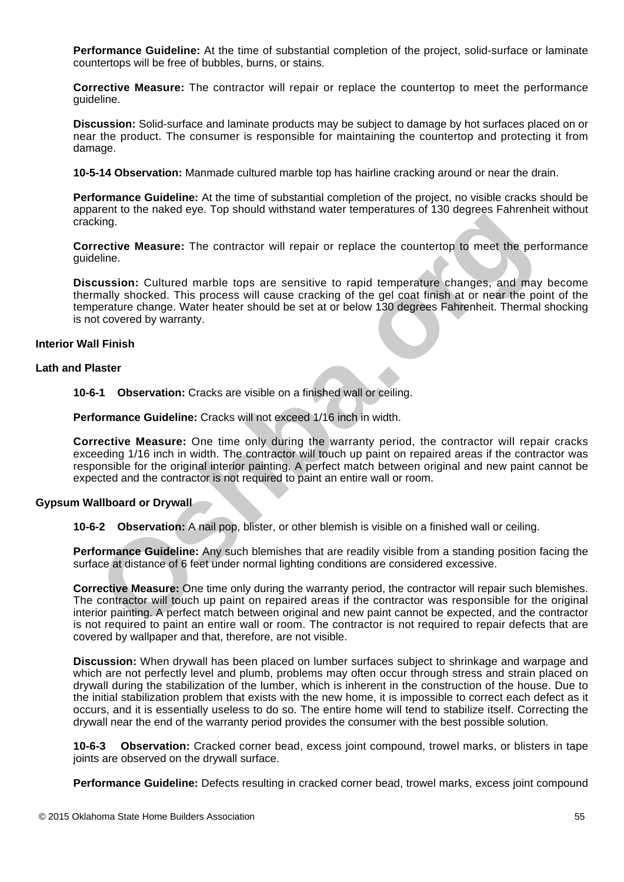**Performance Guideline:** At the time of substantial completion of the project, solid-surface or laminate countertops will be free of bubbles, burns, or stains.

**Corrective Measure:** The contractor will repair or replace the countertop to meet the performance guideline.

**Discussion:** Solid-surface and laminate products may be subject to damage by hot surfaces placed on or near the product. The consumer is responsible for maintaining the countertop and protecting it from damage.

**10-5-14 Observation:** Manmade cultured marble top has hairline cracking around or near the drain.

**Performance Guideline:** At the time of substantial completion of the project, no visible cracks should be apparent to the naked eye. Top should withstand water temperatures of 130 degrees Fahrenheit without cracking.

**Corrective Measure:** The contractor will repair or replace the countertop to meet the performance guideline.

**Discussion:** Cultured marble tops are sensitive to rapid temperature changes, and may become thermally shocked. This process will cause cracking of the gel coat finish at or near the point of the temperature change. Water heater should be set at or below 130 degrees Fahrenheit. Thermal shocking is not covered by warranty.

#### **Interior Wall Finish**

#### **Lath and Plaster**

**10-6-1 Observation:** Cracks are visible on a finished wall or ceiling.

**Performance Guideline:** Cracks will not exceed 1/16 inch in width.

**Corrective Measure:** One time only during the warranty period, the contractor will repair cracks exceeding 1/16 inch in width. The contractor will touch up paint on repaired areas if the contractor was responsible for the original interior painting. A perfect match between original and new paint cannot be expected and the contractor is not required to paint an entire wall or room. monton the theoreto system (Figure 2) the system of the contractor was respected to the control of the periodic methine.<br>
Ming.<br>
Distribution: Cultured marble tops are sensitive to rapid temperature changes, and may<br>
mally

# **Gypsum Wallboard or Drywall**

**10-6-2 Observation:** A nail pop, blister, or other blemish is visible on a finished wall or ceiling.

**Performance Guideline:** Any such blemishes that are readily visible from a standing position facing the surface at distance of 6 feet under normal lighting conditions are considered excessive.

**Corrective Measure:** One time only during the warranty period, the contractor will repair such blemishes. The contractor will touch up paint on repaired areas if the contractor was responsible for the original interior painting. A perfect match between original and new paint cannot be expected, and the contractor is not required to paint an entire wall or room. The contractor is not required to repair defects that are covered by wallpaper and that, therefore, are not visible.

**Discussion:** When drywall has been placed on lumber surfaces subject to shrinkage and warpage and which are not perfectly level and plumb, problems may often occur through stress and strain placed on drywall during the stabilization of the lumber, which is inherent in the construction of the house. Due to the initial stabilization problem that exists with the new home, it is impossible to correct each defect as it occurs, and it is essentially useless to do so. The entire home will tend to stabilize itself. Correcting the drywall near the end of the warranty period provides the consumer with the best possible solution.

**10-6-3 Observation:** Cracked corner bead, excess joint compound, trowel marks, or blisters in tape joints are observed on the drywall surface.

**Performance Guideline:** Defects resulting in cracked corner bead, trowel marks, excess joint compound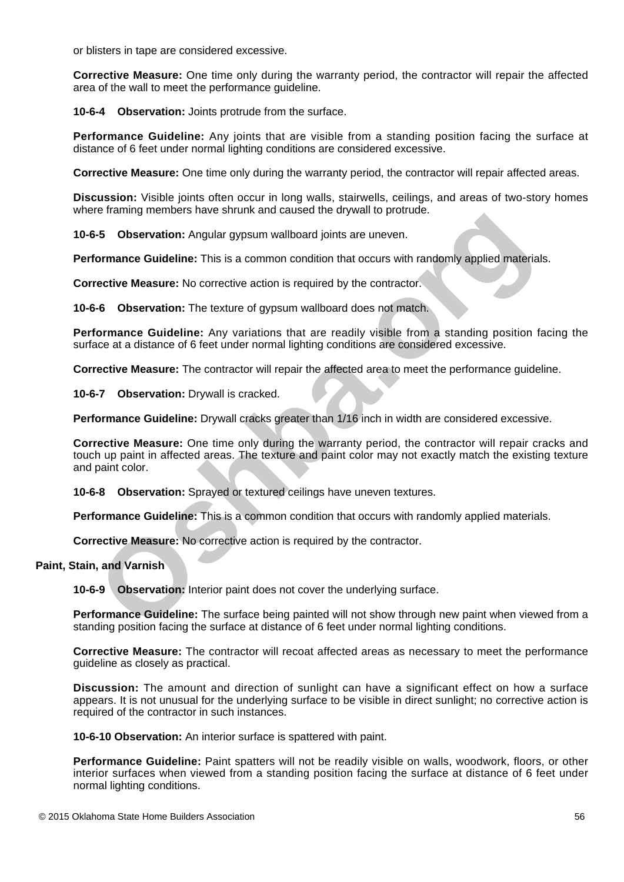or blisters in tape are considered excessive.

**Corrective Measure:** One time only during the warranty period, the contractor will repair the affected area of the wall to meet the performance guideline.

**10-6-4 Observation:** Joints protrude from the surface.

**Performance Guideline:** Any joints that are visible from a standing position facing the surface at distance of 6 feet under normal lighting conditions are considered excessive.

**Corrective Measure:** One time only during the warranty period, the contractor will repair affected areas.

**Discussion:** Visible joints often occur in long walls, stairwells, ceilings, and areas of two-story homes where framing members have shrunk and caused the drywall to protrude.

**10-6-5 Observation:** Angular gypsum wallboard joints are uneven.

**Performance Guideline:** This is a common condition that occurs with randomly applied materials.

**Corrective Measure:** No corrective action is required by the contractor.

**10-6-6 Observation:** The texture of gypsum wallboard does not match.

**Performance Guideline:** Any variations that are readily visible from a standing position facing the surface at a distance of 6 feet under normal lighting conditions are considered excessive.

**Corrective Measure:** The contractor will repair the affected area to meet the performance guideline.

**10-6-7 Observation:** Drywall is cracked.

**Performance Guideline:** Drywall cracks greater than 1/16 inch in width are considered excessive.

**Corrective Measure:** One time only during the warranty period, the contractor will repair cracks and touch up paint in affected areas. The texture and paint color may not exactly match the existing texture and paint color. **Conservation:** Angular gypsum wallboard joints are uneven.<br> **Conservation:** Angular gypsum wallboard joints are uneven.<br> **Conservation:** The texture of gypsum wallboard does not match.<br> **Conservation:** The texture of gyps

**10-6-8 Observation:** Sprayed or textured ceilings have uneven textures.

**Performance Guideline:** This is a common condition that occurs with randomly applied materials.

**Corrective Measure:** No corrective action is required by the contractor.

**Paint, Stain, and Varnish**

**10-6-9 Observation:** Interior paint does not cover the underlying surface.

**Performance Guideline:** The surface being painted will not show through new paint when viewed from a standing position facing the surface at distance of 6 feet under normal lighting conditions.

**Corrective Measure:** The contractor will recoat affected areas as necessary to meet the performance guideline as closely as practical.

**Discussion:** The amount and direction of sunlight can have a significant effect on how a surface appears. It is not unusual for the underlying surface to be visible in direct sunlight; no corrective action is required of the contractor in such instances.

**10-6-10 Observation:** An interior surface is spattered with paint.

**Performance Guideline:** Paint spatters will not be readily visible on walls, woodwork, floors, or other interior surfaces when viewed from a standing position facing the surface at distance of 6 feet under normal lighting conditions.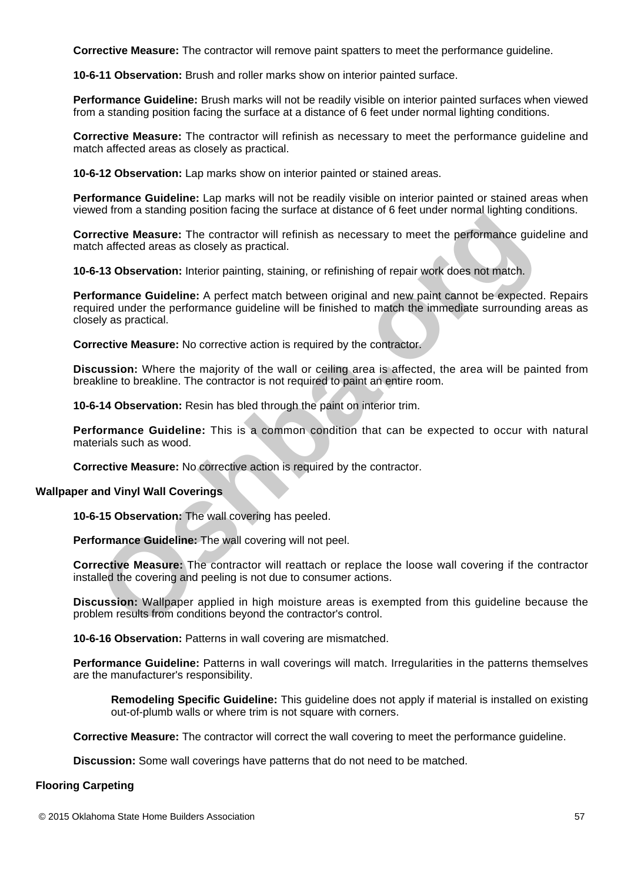**Corrective Measure:** The contractor will remove paint spatters to meet the performance guideline.

**10-6-11 Observation:** Brush and roller marks show on interior painted surface.

**Performance Guideline:** Brush marks will not be readily visible on interior painted surfaces when viewed from a standing position facing the surface at a distance of 6 feet under normal lighting conditions.

**Corrective Measure:** The contractor will refinish as necessary to meet the performance guideline and match affected areas as closely as practical.

**10-6-12 Observation:** Lap marks show on interior painted or stained areas.

**Performance Guideline:** Lap marks will not be readily visible on interior painted or stained areas when viewed from a standing position facing the surface at distance of 6 feet under normal lighting conditions.

**Corrective Measure:** The contractor will refinish as necessary to meet the performance guideline and match affected areas as closely as practical.

**10-6-13 Observation:** Interior painting, staining, or refinishing of repair work does not match.

**Performance Guideline:** A perfect match between original and new paint cannot be expected. Repairs required under the performance guideline will be finished to match the immediate surrounding areas as closely as practical. Extrained Stationary positionary of solution of the contract of the performance of the performance guide the first<br>the first content of the content of the firsting or refinishing of repair work does not match.<br> **Oshbarvati** 

**Corrective Measure:** No corrective action is required by the contractor.

**Discussion:** Where the majority of the wall or ceiling area is affected, the area will be painted from breakline to breakline. The contractor is not required to paint an entire room.

**10-6-14 Observation:** Resin has bled through the paint on interior trim.

**Performance Guideline:** This is a common condition that can be expected to occur with natural materials such as wood.

**Corrective Measure:** No corrective action is required by the contractor.

#### **Wallpaper and Vinyl Wall Coverings**

**10-6-15 Observation:** The wall covering has peeled.

**Performance Guideline:** The wall covering will not peel.

**Corrective Measure:** The contractor will reattach or replace the loose wall covering if the contractor installed the covering and peeling is not due to consumer actions.

**Discussion:** Wallpaper applied in high moisture areas is exempted from this guideline because the problem results from conditions beyond the contractor's control.

**10-6-16 Observation:** Patterns in wall covering are mismatched.

**Performance Guideline:** Patterns in wall coverings will match. Irregularities in the patterns themselves are the manufacturer's responsibility.

**Remodeling Specific Guideline:** This guideline does not apply if material is installed on existing out-of-plumb walls or where trim is not square with corners.

**Corrective Measure:** The contractor will correct the wall covering to meet the performance guideline.

**Discussion:** Some wall coverings have patterns that do not need to be matched.

# **Flooring Carpeting**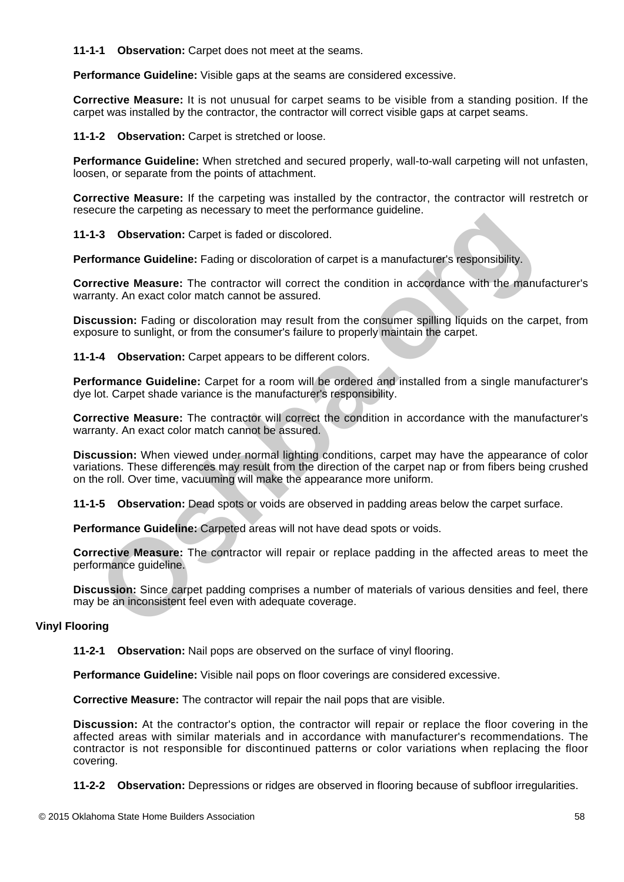**11-1-1 Observation:** Carpet does not meet at the seams.

**Performance Guideline:** Visible gaps at the seams are considered excessive.

**Corrective Measure:** It is not unusual for carpet seams to be visible from a standing position. If the carpet was installed by the contractor, the contractor will correct visible gaps at carpet seams.

**11-1-2 Observation:** Carpet is stretched or loose.

**Performance Guideline:** When stretched and secured properly, wall-to-wall carpeting will not unfasten, loosen, or separate from the points of attachment.

**Corrective Measure:** If the carpeting was installed by the contractor, the contractor will restretch or resecure the carpeting as necessary to meet the performance guideline.

**11-1-3 Observation:** Carpet is faded or discolored.

**Performance Guideline:** Fading or discoloration of carpet is a manufacturer's responsibility.

**Corrective Measure:** The contractor will correct the condition in accordance with the manufacturer's warranty. An exact color match cannot be assured.

**Discussion:** Fading or discoloration may result from the consumer spilling liquids on the carpet, from exposure to sunlight, or from the consumer's failure to properly maintain the carpet.

**11-1-4 Observation:** Carpet appears to be different colors.

**Performance Guideline:** Carpet for a room will be ordered and installed from a single manufacturer's dye lot. Carpet shade variance is the manufacturer's responsibility.

**Corrective Measure:** The contractor will correct the condition in accordance with the manufacturer's warranty. An exact color match cannot be assured.

**Discussion:** When viewed under normal lighting conditions, carpet may have the appearance of color variations. These differences may result from the direction of the carpet nap or from fibers being crushed on the roll. Over time, vacuuming will make the appearance more uniform. **Consumered Consumering as included** or discolared.<br> **Consumering as included a** consideration of capetities a manufacturer's responsibility.<br> **Consumer Guideline:** Fading or discolaration of capet is a manufacturer's resp

**11-1-5 Observation:** Dead spots or voids are observed in padding areas below the carpet surface.

**Performance Guideline:** Carpeted areas will not have dead spots or voids.

**Corrective Measure:** The contractor will repair or replace padding in the affected areas to meet the performance guideline.

**Discussion:** Since carpet padding comprises a number of materials of various densities and feel, there may be an inconsistent feel even with adequate coverage.

# **Vinyl Flooring**

**11-2-1 Observation:** Nail pops are observed on the surface of vinyl flooring.

**Performance Guideline:** Visible nail pops on floor coverings are considered excessive.

**Corrective Measure:** The contractor will repair the nail pops that are visible.

**Discussion:** At the contractor's option, the contractor will repair or replace the floor covering in the affected areas with similar materials and in accordance with manufacturer's recommendations. The contractor is not responsible for discontinued patterns or color variations when replacing the floor covering.

**11-2-2 Observation:** Depressions or ridges are observed in flooring because of subfloor irregularities.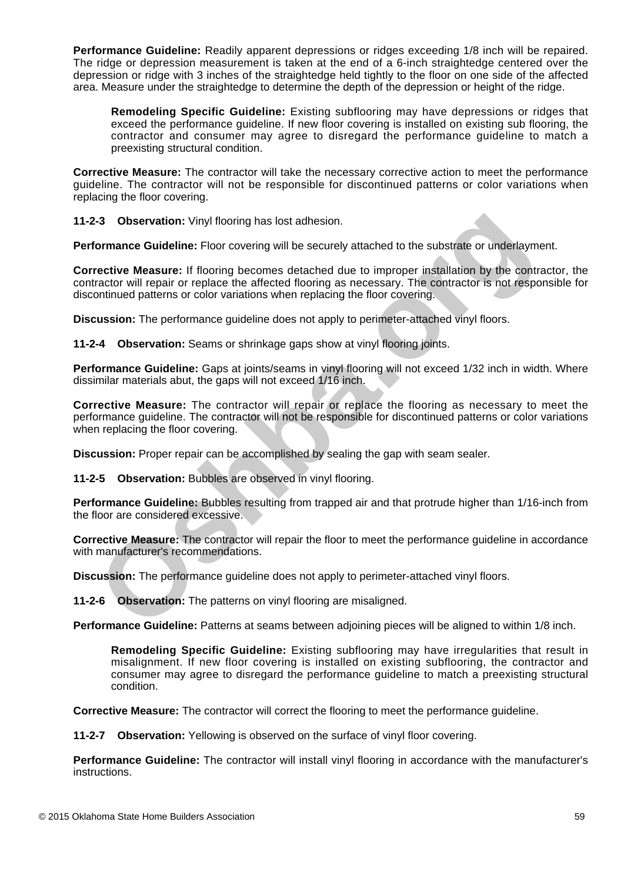**Performance Guideline:** Readily apparent depressions or ridges exceeding 1/8 inch will be repaired. The ridge or depression measurement is taken at the end of a 6-inch straightedge centered over the depression or ridge with 3 inches of the straightedge held tightly to the floor on one side of the affected area. Measure under the straightedge to determine the depth of the depression or height of the ridge.

**Remodeling Specific Guideline:** Existing subflooring may have depressions or ridges that exceed the performance guideline. If new floor covering is installed on existing sub flooring, the contractor and consumer may agree to disregard the performance guideline to match a preexisting structural condition.

**Corrective Measure:** The contractor will take the necessary corrective action to meet the performance guideline. The contractor will not be responsible for discontinued patterns or color variations when replacing the floor covering.

**11-2-3 Observation:** Vinyl flooring has lost adhesion.

**Performance Guideline:** Floor covering will be securely attached to the substrate or underlayment.

**Corrective Measure:** If flooring becomes detached due to improper installation by the contractor, the contractor will repair or replace the affected flooring as necessary. The contractor is not responsible for discontinued patterns or color variations when replacing the floor covering. **2-3 Observation:** Vinyl flooring has lost adhesion.<br> **Commance Guideline:** Floor covering will be securely attached to the substrate or underlaym<br> **rective Measure:** If flooring becomes detached due to improper installati

**Discussion:** The performance guideline does not apply to perimeter-attached vinyl floors.

**11-2-4 Observation:** Seams or shrinkage gaps show at vinyl flooring joints.

**Performance Guideline:** Gaps at joints/seams in vinyl flooring will not exceed 1/32 inch in width. Where dissimilar materials abut, the gaps will not exceed 1/16 inch.

**Corrective Measure:** The contractor will repair or replace the flooring as necessary to meet the performance guideline. The contractor will not be responsible for discontinued patterns or color variations when replacing the floor covering.

**Discussion:** Proper repair can be accomplished by sealing the gap with seam sealer.

**11-2-5 Observation:** Bubbles are observed in vinyl flooring.

**Performance Guideline:** Bubbles resulting from trapped air and that protrude higher than 1/16-inch from the floor are considered excessive.

**Corrective Measure:** The contractor will repair the floor to meet the performance guideline in accordance with manufacturer's recommendations.

**Discussion:** The performance guideline does not apply to perimeter-attached vinyl floors.

**11-2-6 Observation:** The patterns on vinyl flooring are misaligned.

**Performance Guideline:** Patterns at seams between adjoining pieces will be aligned to within 1/8 inch.

**Remodeling Specific Guideline:** Existing subflooring may have irregularities that result in misalignment. If new floor covering is installed on existing subflooring, the contractor and consumer may agree to disregard the performance guideline to match a preexisting structural condition.

**Corrective Measure:** The contractor will correct the flooring to meet the performance guideline.

**11-2-7 Observation:** Yellowing is observed on the surface of vinyl floor covering.

**Performance Guideline:** The contractor will install vinyl flooring in accordance with the manufacturer's instructions.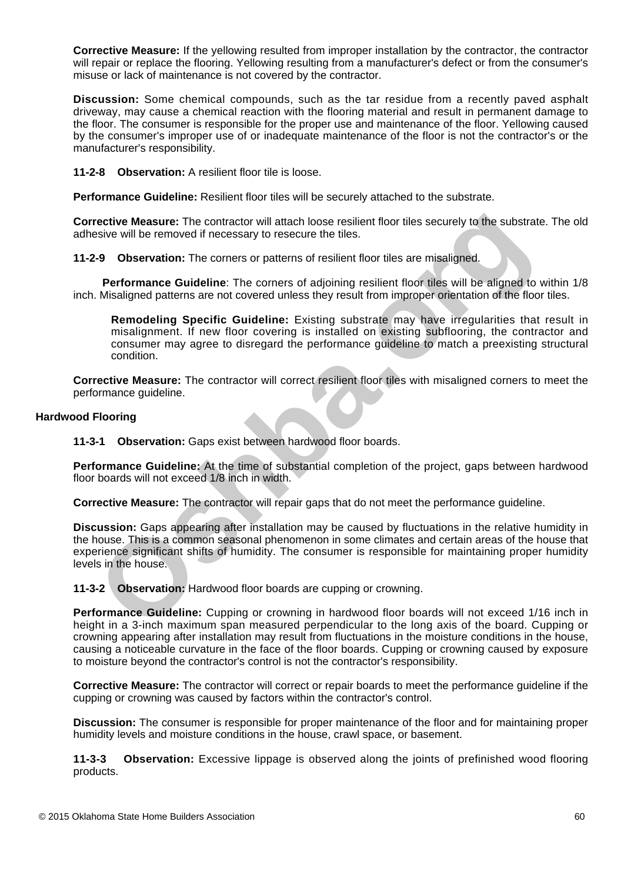**Corrective Measure:** If the yellowing resulted from improper installation by the contractor, the contractor will repair or replace the flooring. Yellowing resulting from a manufacturer's defect or from the consumer's misuse or lack of maintenance is not covered by the contractor.

**Discussion:** Some chemical compounds, such as the tar residue from a recently paved asphalt driveway, may cause a chemical reaction with the flooring material and result in permanent damage to the floor. The consumer is responsible for the proper use and maintenance of the floor. Yellowing caused by the consumer's improper use of or inadequate maintenance of the floor is not the contractor's or the manufacturer's responsibility.

**11-2-8 Observation:** A resilient floor tile is loose.

**Performance Guideline:** Resilient floor tiles will be securely attached to the substrate.

**Corrective Measure:** The contractor will attach loose resilient floor tiles securely to the substrate. The old adhesive will be removed if necessary to resecure the tiles.

**11-2-9 Observation:** The corners or patterns of resilient floor tiles are misaligned.

 **Performance Guideline**: The corners of adjoining resilient floor tiles will be aligned to within 1/8 inch. Misaligned patterns are not covered unless they result from improper orientation of the floor tiles.

**Remodeling Specific Guideline:** Existing substrate may have irregularities that result in misalignment. If new floor covering is installed on existing subflooring, the contractor and consumer may agree to disregard the performance guideline to match a preexisting structural condition.

**Corrective Measure:** The contractor will correct resilient floor tiles with misaligned corners to meet the performance guideline.

# **Hardwood Flooring**

**11-3-1 Observation:** Gaps exist between hardwood floor boards.

**Performance Guideline:** At the time of substantial completion of the project, gaps between hardwood floor boards will not exceed 1/8 inch in width.

**Corrective Measure:** The contractor will repair gaps that do not meet the performance guideline.

**Discussion:** Gaps appearing after installation may be caused by fluctuations in the relative humidity in the house. This is a common seasonal phenomenon in some climates and certain areas of the house that experience significant shifts of humidity. The consumer is responsible for maintaining proper humidity levels in the house. **Processorial Constraint Constraint Constraint Constraint (In the Substrate Selver Will be removed if necessary to resecure the tiles.**<br> **OSHOT ACT CONSTRENT CONSTRENT CONSTRENT CONSTRENT CONSTRENT CONSTRENT CONSTRENT CONS** 

**11-3-2 Observation:** Hardwood floor boards are cupping or crowning.

**Performance Guideline:** Cupping or crowning in hardwood floor boards will not exceed 1/16 inch in height in a 3-inch maximum span measured perpendicular to the long axis of the board. Cupping or crowning appearing after installation may result from fluctuations in the moisture conditions in the house, causing a noticeable curvature in the face of the floor boards. Cupping or crowning caused by exposure to moisture beyond the contractor's control is not the contractor's responsibility.

**Corrective Measure:** The contractor will correct or repair boards to meet the performance guideline if the cupping or crowning was caused by factors within the contractor's control.

**Discussion:** The consumer is responsible for proper maintenance of the floor and for maintaining proper humidity levels and moisture conditions in the house, crawl space, or basement.

**11-3-3 Observation:** Excessive lippage is observed along the joints of prefinished wood flooring products.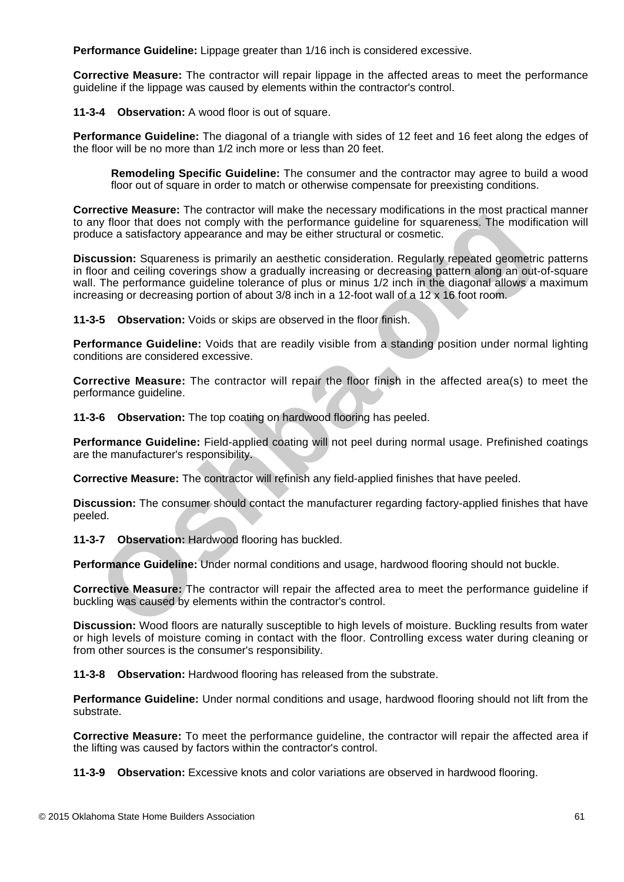**Performance Guideline:** Lippage greater than 1/16 inch is considered excessive.

**Corrective Measure:** The contractor will repair lippage in the affected areas to meet the performance guideline if the lippage was caused by elements within the contractor's control.

**11-3-4 Observation:** A wood floor is out of square.

**Performance Guideline:** The diagonal of a triangle with sides of 12 feet and 16 feet along the edges of the floor will be no more than 1/2 inch more or less than 20 feet.

**Remodeling Specific Guideline:** The consumer and the contractor may agree to build a wood floor out of square in order to match or otherwise compensate for preexisting conditions.

**Corrective Measure:** The contractor will make the necessary modifications in the most practical manner to any floor that does not comply with the performance guideline for squareness. The modification will produce a satisfactory appearance and may be either structural or cosmetic.

**Discussion:** Squareness is primarily an aesthetic consideration. Regularly repeated geometric patterns in floor and ceiling coverings show a gradually increasing or decreasing pattern along an out-of-square wall. The performance guideline tolerance of plus or minus 1/2 inch in the diagonal allows a maximum increasing or decreasing portion of about 3/8 inch in a 12-foot wall of a 12 x 16 foot room. From the transfer to consider the performance of the methods of the methods of the performance and may be either structural or cosmetic.<br>
Divideo a satisfactory appearance and may be either structural or cosmetic.<br>
Divideo

**11-3-5 Observation:** Voids or skips are observed in the floor finish.

**Performance Guideline:** Voids that are readily visible from a standing position under normal lighting conditions are considered excessive.

**Corrective Measure:** The contractor will repair the floor finish in the affected area(s) to meet the performance guideline.

**11-3-6 Observation:** The top coating on hardwood flooring has peeled.

**Performance Guideline:** Field-applied coating will not peel during normal usage. Prefinished coatings are the manufacturer's responsibility.

**Corrective Measure:** The contractor will refinish any field-applied finishes that have peeled.

**Discussion:** The consumer should contact the manufacturer regarding factory-applied finishes that have peeled.

**11-3-7 Observation:** Hardwood flooring has buckled.

**Performance Guideline:** Under normal conditions and usage, hardwood flooring should not buckle.

**Corrective Measure:** The contractor will repair the affected area to meet the performance guideline if buckling was caused by elements within the contractor's control.

**Discussion:** Wood floors are naturally susceptible to high levels of moisture. Buckling results from water or high levels of moisture coming in contact with the floor. Controlling excess water during cleaning or from other sources is the consumer's responsibility.

**11-3-8 Observation:** Hardwood flooring has released from the substrate.

**Performance Guideline:** Under normal conditions and usage, hardwood flooring should not lift from the substrate.

**Corrective Measure:** To meet the performance guideline, the contractor will repair the affected area if the lifting was caused by factors within the contractor's control.

**11-3-9 Observation:** Excessive knots and color variations are observed in hardwood flooring.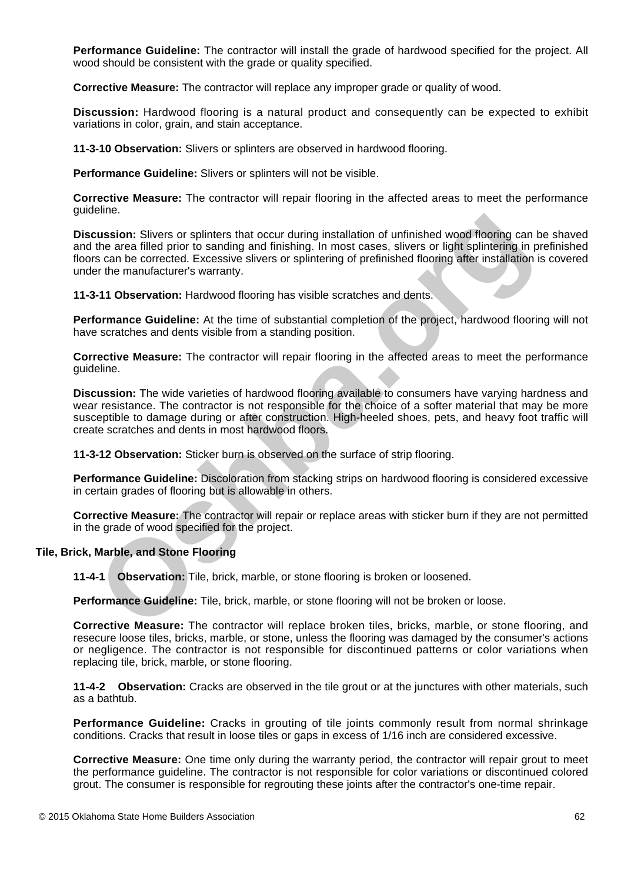**Performance Guideline:** The contractor will install the grade of hardwood specified for the project. All wood should be consistent with the grade or quality specified.

**Corrective Measure:** The contractor will replace any improper grade or quality of wood.

**Discussion:** Hardwood flooring is a natural product and consequently can be expected to exhibit variations in color, grain, and stain acceptance.

**11-3-10 Observation:** Slivers or splinters are observed in hardwood flooring.

**Performance Guideline:** Slivers or splinters will not be visible.

**Corrective Measure:** The contractor will repair flooring in the affected areas to meet the performance guideline.

**Discussion:** Slivers or splinters that occur during installation of unfinished wood flooring can be shaved and the area filled prior to sanding and finishing. In most cases, slivers or light splintering in prefinished floors can be corrected. Excessive slivers or splintering of prefinished flooring after installation is covered under the manufacturer's warranty.

**11-3-11 Observation:** Hardwood flooring has visible scratches and dents.

**Performance Guideline:** At the time of substantial completion of the project, hardwood flooring will not have scratches and dents visible from a standing position.

**Corrective Measure:** The contractor will repair flooring in the affected areas to meet the performance guideline.

**Discussion:** The wide varieties of hardwood flooring available to consumers have varying hardness and wear resistance. The contractor is not responsible for the choice of a softer material that may be more susceptible to damage during or after construction. High-heeled shoes, pets, and heavy foot traffic will create scratches and dents in most hardwood floors. whistion: Slivers or splinters that occur during installation of unfinished wood flooring can busistion: Slivers or splinters and finishing. In most cases, slivers or light splintering in public the area filled prior to sa

**11-3-12 Observation:** Sticker burn is observed on the surface of strip flooring.

**Performance Guideline:** Discoloration from stacking strips on hardwood flooring is considered excessive in certain grades of flooring but is allowable in others.

**Corrective Measure:** The contractor will repair or replace areas with sticker burn if they are not permitted in the grade of wood specified for the project.

# **Tile, Brick, Marble, and Stone Flooring**

**11-4-1 Observation:** Tile, brick, marble, or stone flooring is broken or loosened.

**Performance Guideline:** Tile, brick, marble, or stone flooring will not be broken or loose.

**Corrective Measure:** The contractor will replace broken tiles, bricks, marble, or stone flooring, and resecure loose tiles, bricks, marble, or stone, unless the flooring was damaged by the consumer's actions or negligence. The contractor is not responsible for discontinued patterns or color variations when replacing tile, brick, marble, or stone flooring.

**11-4-2 Observation:** Cracks are observed in the tile grout or at the junctures with other materials, such as a bathtub.

**Performance Guideline:** Cracks in grouting of tile joints commonly result from normal shrinkage conditions. Cracks that result in loose tiles or gaps in excess of 1/16 inch are considered excessive.

**Corrective Measure:** One time only during the warranty period, the contractor will repair grout to meet the performance guideline. The contractor is not responsible for color variations or discontinued colored grout. The consumer is responsible for regrouting these joints after the contractor's one-time repair.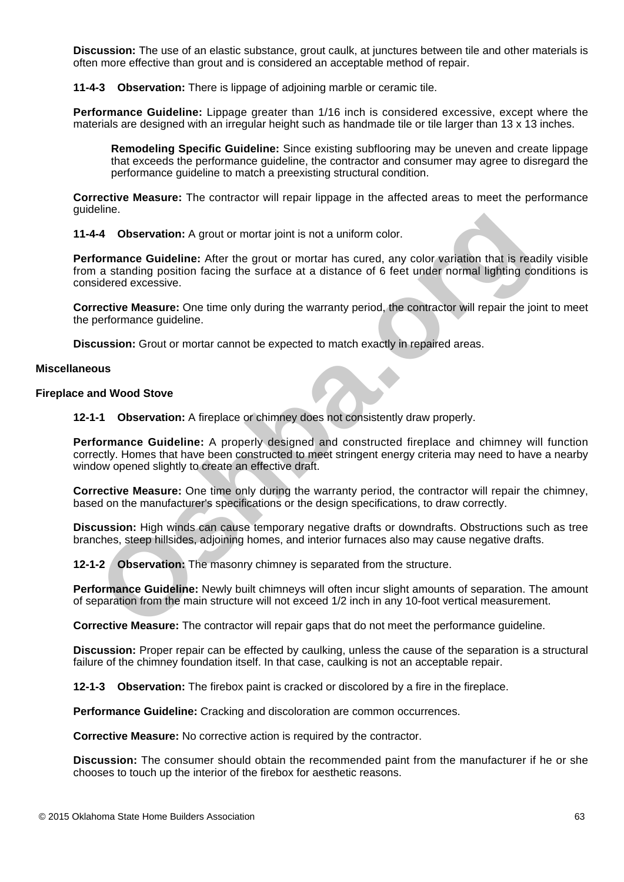**Discussion:** The use of an elastic substance, grout caulk, at junctures between tile and other materials is often more effective than grout and is considered an acceptable method of repair.

**11-4-3 Observation:** There is lippage of adjoining marble or ceramic tile.

**Performance Guideline:** Lippage greater than 1/16 inch is considered excessive, except where the materials are designed with an irregular height such as handmade tile or tile larger than 13 x 13 inches.

**Remodeling Specific Guideline:** Since existing subflooring may be uneven and create lippage that exceeds the performance guideline, the contractor and consumer may agree to disregard the performance guideline to match a preexisting structural condition.

**Corrective Measure:** The contractor will repair lippage in the affected areas to meet the performance guideline.

**11-4-4 Observation:** A grout or mortar joint is not a uniform color.

**Performance Guideline:** After the grout or mortar has cured, any color variation that is readily visible from a standing position facing the surface at a distance of 6 feet under normal lighting conditions is considered excessive. **-4 Observation:** A grout or mortar joint is not a uniform color.<br> **Commance Guideline:** After the grout or mortar has cured, any color variation that is read<br>
a standing position facing the surface at a distance of 6 feet

**Corrective Measure:** One time only during the warranty period, the contractor will repair the joint to meet the performance guideline.

**Discussion:** Grout or mortar cannot be expected to match exactly in repaired areas.

#### **Miscellaneous**

#### **Fireplace and Wood Stove**

**12-1-1 Observation:** A fireplace or chimney does not consistently draw properly.

**Performance Guideline:** A properly designed and constructed fireplace and chimney will function correctly. Homes that have been constructed to meet stringent energy criteria may need to have a nearby window opened slightly to create an effective draft.

**Corrective Measure:** One time only during the warranty period, the contractor will repair the chimney, based on the manufacturer's specifications or the design specifications, to draw correctly.

**Discussion:** High winds can cause temporary negative drafts or downdrafts. Obstructions such as tree branches, steep hillsides, adjoining homes, and interior furnaces also may cause negative drafts.

**12-1-2 Observation:** The masonry chimney is separated from the structure.

**Performance Guideline:** Newly built chimneys will often incur slight amounts of separation. The amount of separation from the main structure will not exceed 1/2 inch in any 10-foot vertical measurement.

**Corrective Measure:** The contractor will repair gaps that do not meet the performance guideline.

**Discussion:** Proper repair can be effected by caulking, unless the cause of the separation is a structural failure of the chimney foundation itself. In that case, caulking is not an acceptable repair.

**12-1-3 Observation:** The firebox paint is cracked or discolored by a fire in the fireplace.

**Performance Guideline:** Cracking and discoloration are common occurrences.

**Corrective Measure:** No corrective action is required by the contractor.

**Discussion:** The consumer should obtain the recommended paint from the manufacturer if he or she chooses to touch up the interior of the firebox for aesthetic reasons.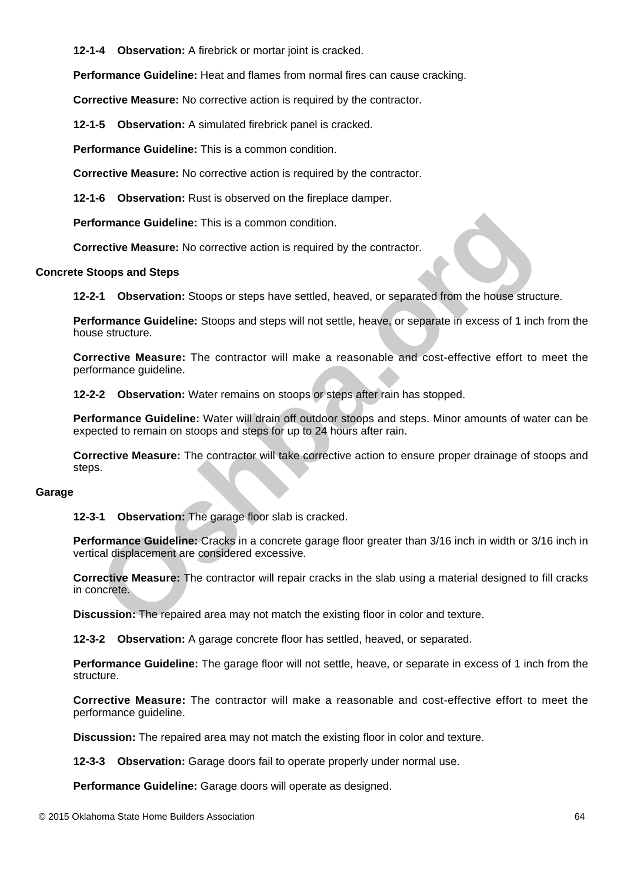**12-1-4 Observation:** A firebrick or mortar joint is cracked.

**Performance Guideline:** Heat and flames from normal fires can cause cracking.

**Corrective Measure:** No corrective action is required by the contractor.

**12-1-5 Observation:** A simulated firebrick panel is cracked.

**Performance Guideline:** This is a common condition.

**Corrective Measure:** No corrective action is required by the contractor.

**12-1-6 Observation:** Rust is observed on the fireplace damper.

**Performance Guideline:** This is a common condition.

**Corrective Measure:** No corrective action is required by the contractor.

# **Concrete Stoops and Steps**

**12-2-1 Observation:** Stoops or steps have settled, heaved, or separated from the house structure.

**Performance Guideline:** Stoops and steps will not settle, heave, or separate in excess of 1 inch from the house structure.

**Corrective Measure:** The contractor will make a reasonable and cost-effective effort to meet the performance guideline.

**12-2-2 Observation:** Water remains on stoops or steps after rain has stopped.

**Performance Guideline:** Water will drain off outdoor stoops and steps. Minor amounts of water can be expected to remain on stoops and steps for up to 24 hours after rain.

**Corrective Measure:** The contractor will take corrective action to ensure proper drainage of stoops and steps. **Commance Guideline:** This is a common condition.<br> **Commance Guideline:** Shoops and steps have settled, heaved, or separated from the house structure.<br> **Observation:** Stoops or steps have settled, heaved, or separated from

# **Garage**

**12-3-1 Observation:** The garage floor slab is cracked.

**Performance Guideline:** Cracks in a concrete garage floor greater than 3/16 inch in width or 3/16 inch in vertical displacement are considered excessive.

**Corrective Measure:** The contractor will repair cracks in the slab using a material designed to fill cracks in concrete.

**Discussion:** The repaired area may not match the existing floor in color and texture.

**12-3-2 Observation:** A garage concrete floor has settled, heaved, or separated.

**Performance Guideline:** The garage floor will not settle, heave, or separate in excess of 1 inch from the structure.

**Corrective Measure:** The contractor will make a reasonable and cost-effective effort to meet the performance guideline.

**Discussion:** The repaired area may not match the existing floor in color and texture.

**12-3-3 Observation:** Garage doors fail to operate properly under normal use.

**Performance Guideline:** Garage doors will operate as designed.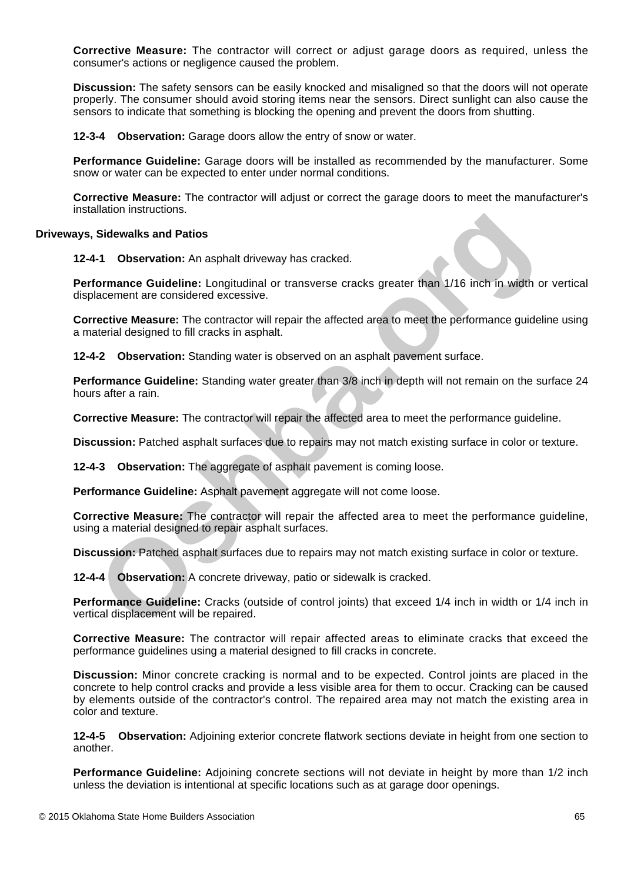**Corrective Measure:** The contractor will correct or adjust garage doors as required, unless the consumer's actions or negligence caused the problem.

**Discussion:** The safety sensors can be easily knocked and misaligned so that the doors will not operate properly. The consumer should avoid storing items near the sensors. Direct sunlight can also cause the sensors to indicate that something is blocking the opening and prevent the doors from shutting.

**12-3-4 Observation:** Garage doors allow the entry of snow or water.

**Performance Guideline:** Garage doors will be installed as recommended by the manufacturer. Some snow or water can be expected to enter under normal conditions.

**Corrective Measure:** The contractor will adjust or correct the garage doors to meet the manufacturer's installation instructions.

#### **Driveways, Sidewalks and Patios**

**12-4-1 Observation:** An asphalt driveway has cracked.

**Performance Guideline:** Longitudinal or transverse cracks greater than 1/16 inch in width or vertical displacement are considered excessive. Sidewalks and Patios<br>
Sidewalks and Patios<br>
1-1 Observation: An asphalt driveway has cracked.<br>
Idementare Guideline: Longitudinal or transverse cracks greater than 1/16 inch in width<br>
Idementare Guideline: Origitudinal or

**Corrective Measure:** The contractor will repair the affected area to meet the performance guideline using a material designed to fill cracks in asphalt.

**12-4-2 Observation:** Standing water is observed on an asphalt pavement surface.

**Performance Guideline:** Standing water greater than 3/8 inch in depth will not remain on the surface 24 hours after a rain.

**Corrective Measure:** The contractor will repair the affected area to meet the performance guideline.

**Discussion:** Patched asphalt surfaces due to repairs may not match existing surface in color or texture.

**12-4-3 Observation:** The aggregate of asphalt pavement is coming loose.

**Performance Guideline:** Asphalt pavement aggregate will not come loose.

**Corrective Measure:** The contractor will repair the affected area to meet the performance guideline, using a material designed to repair asphalt surfaces.

**Discussion:** Patched asphalt surfaces due to repairs may not match existing surface in color or texture.

**12-4-4 Observation:** A concrete driveway, patio or sidewalk is cracked.

**Performance Guideline:** Cracks (outside of control joints) that exceed 1/4 inch in width or 1/4 inch in vertical displacement will be repaired.

**Corrective Measure:** The contractor will repair affected areas to eliminate cracks that exceed the performance guidelines using a material designed to fill cracks in concrete.

**Discussion:** Minor concrete cracking is normal and to be expected. Control joints are placed in the concrete to help control cracks and provide a less visible area for them to occur. Cracking can be caused by elements outside of the contractor's control. The repaired area may not match the existing area in color and texture.

**12-4-5 Observation:** Adjoining exterior concrete flatwork sections deviate in height from one section to another.

**Performance Guideline:** Adjoining concrete sections will not deviate in height by more than 1/2 inch unless the deviation is intentional at specific locations such as at garage door openings.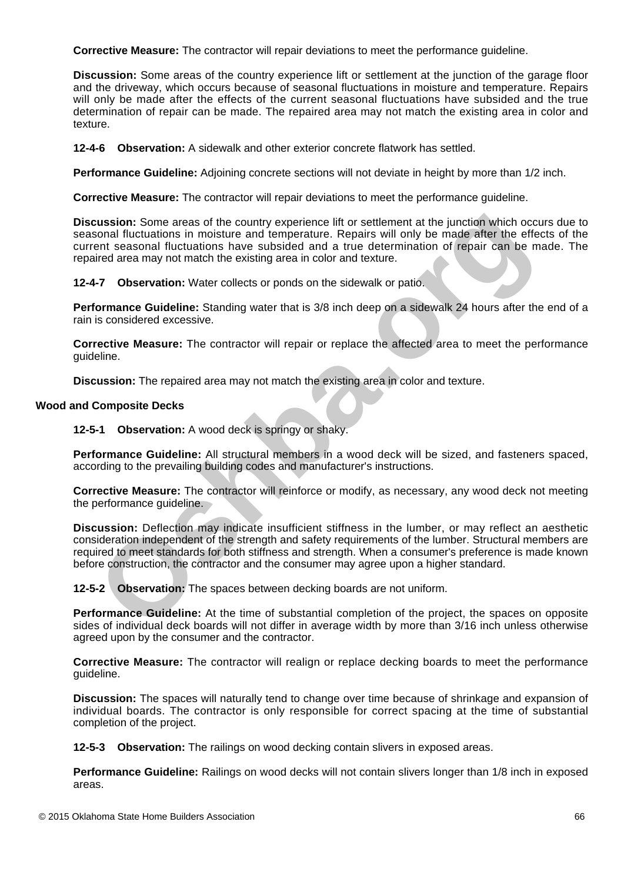**Corrective Measure:** The contractor will repair deviations to meet the performance guideline.

**Discussion:** Some areas of the country experience lift or settlement at the junction of the garage floor and the driveway, which occurs because of seasonal fluctuations in moisture and temperature. Repairs will only be made after the effects of the current seasonal fluctuations have subsided and the true determination of repair can be made. The repaired area may not match the existing area in color and texture.

**12-4-6 Observation:** A sidewalk and other exterior concrete flatwork has settled.

**Performance Guideline:** Adjoining concrete sections will not deviate in height by more than 1/2 inch.

**Corrective Measure:** The contractor will repair deviations to meet the performance guideline.

**Discussion:** Some areas of the country experience lift or settlement at the junction which occurs due to seasonal fluctuations in moisture and temperature. Repairs will only be made after the effects of the current seasonal fluctuations have subsided and a true determination of repair can be made. The repaired area may not match the existing area in color and texture. cussion: Some areas of the country experience lift or settlement at the junction which occonomi fluctuations in molstue and temperature. Repairs will only be made after the effective ment seasonal fluctuations have subside

**12-4-7 Observation:** Water collects or ponds on the sidewalk or patio.

**Performance Guideline:** Standing water that is 3/8 inch deep on a sidewalk 24 hours after the end of a rain is considered excessive.

**Corrective Measure:** The contractor will repair or replace the affected area to meet the performance guideline.

**Discussion:** The repaired area may not match the existing area in color and texture.

#### **Wood and Composite Decks**

**12-5-1 Observation:** A wood deck is springy or shaky.

**Performance Guideline:** All structural members in a wood deck will be sized, and fasteners spaced, according to the prevailing building codes and manufacturer's instructions.

**Corrective Measure:** The contractor will reinforce or modify, as necessary, any wood deck not meeting the performance guideline.

**Discussion:** Deflection may indicate insufficient stiffness in the lumber, or may reflect an aesthetic consideration independent of the strength and safety requirements of the lumber. Structural members are required to meet standards for both stiffness and strength. When a consumer's preference is made known before construction, the contractor and the consumer may agree upon a higher standard.

**12-5-2 Observation:** The spaces between decking boards are not uniform.

**Performance Guideline:** At the time of substantial completion of the project, the spaces on opposite sides of individual deck boards will not differ in average width by more than 3/16 inch unless otherwise agreed upon by the consumer and the contractor.

**Corrective Measure:** The contractor will realign or replace decking boards to meet the performance guideline.

**Discussion:** The spaces will naturally tend to change over time because of shrinkage and expansion of individual boards. The contractor is only responsible for correct spacing at the time of substantial completion of the project.

**12-5-3 Observation:** The railings on wood decking contain slivers in exposed areas.

**Performance Guideline:** Railings on wood decks will not contain slivers longer than 1/8 inch in exposed areas.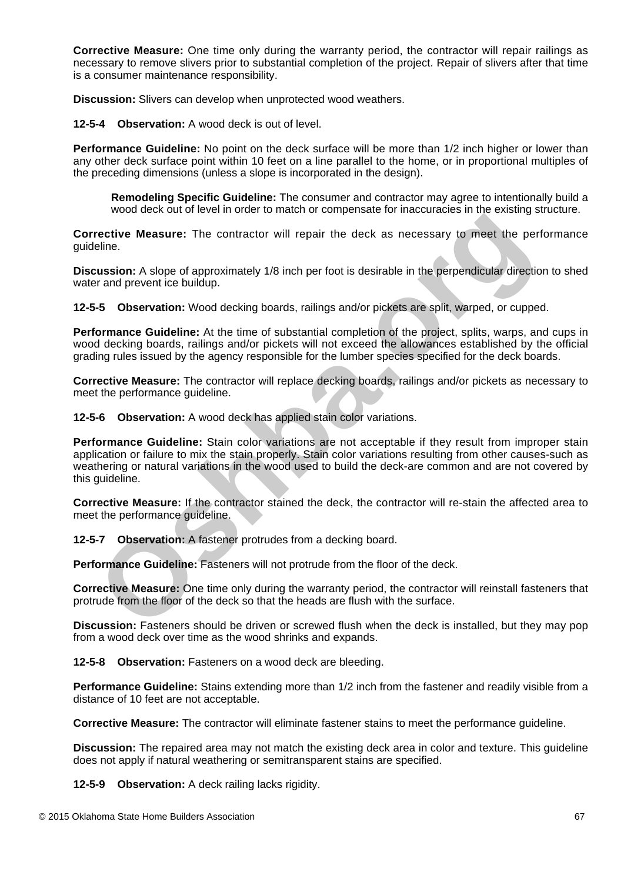**Corrective Measure:** One time only during the warranty period, the contractor will repair railings as necessary to remove slivers prior to substantial completion of the project. Repair of slivers after that time is a consumer maintenance responsibility.

**Discussion:** Slivers can develop when unprotected wood weathers.

**12-5-4 Observation:** A wood deck is out of level.

**Performance Guideline:** No point on the deck surface will be more than 1/2 inch higher or lower than any other deck surface point within 10 feet on a line parallel to the home, or in proportional multiples of the preceding dimensions (unless a slope is incorporated in the design).

**Remodeling Specific Guideline:** The consumer and contractor may agree to intentionally build a wood deck out of level in order to match or compensate for inaccuracies in the existing structure.

**Corrective Measure:** The contractor will repair the deck as necessary to meet the performance guideline.

**Discussion:** A slope of approximately 1/8 inch per foot is desirable in the perpendicular direction to shed water and prevent ice buildup.

**12-5-5 Observation:** Wood decking boards, railings and/or pickets are split, warped, or cupped.

**Performance Guideline:** At the time of substantial completion of the project, splits, warps, and cups in wood decking boards, railings and/or pickets will not exceed the allowances established by the official grading rules issued by the agency responsible for the lumber species specified for the deck boards.

**Corrective Measure:** The contractor will replace decking boards, railings and/or pickets as necessary to meet the performance guideline.

**12-5-6 Observation:** A wood deck has applied stain color variations.

**Performance Guideline:** Stain color variations are not acceptable if they result from improper stain application or failure to mix the stain properly. Stain color variations resulting from other causes-such as weathering or natural variations in the wood used to build the deck-are common and are not covered by this guideline. rective Measure: The contractor will repair the deck as necessary to meet the perfective Measure: The contractor will repair the deck as necessary to meet the perfective Measure: The contractor will repair the performance

**Corrective Measure:** If the contractor stained the deck, the contractor will re-stain the affected area to meet the performance guideline.

**12-5-7 Observation:** A fastener protrudes from a decking board.

**Performance Guideline:** Fasteners will not protrude from the floor of the deck.

**Corrective Measure:** One time only during the warranty period, the contractor will reinstall fasteners that protrude from the floor of the deck so that the heads are flush with the surface.

**Discussion:** Fasteners should be driven or screwed flush when the deck is installed, but they may pop from a wood deck over time as the wood shrinks and expands.

**12-5-8 Observation:** Fasteners on a wood deck are bleeding.

**Performance Guideline:** Stains extending more than 1/2 inch from the fastener and readily visible from a distance of 10 feet are not acceptable.

**Corrective Measure:** The contractor will eliminate fastener stains to meet the performance guideline.

**Discussion:** The repaired area may not match the existing deck area in color and texture. This guideline does not apply if natural weathering or semitransparent stains are specified.

**12-5-9 Observation:** A deck railing lacks rigidity.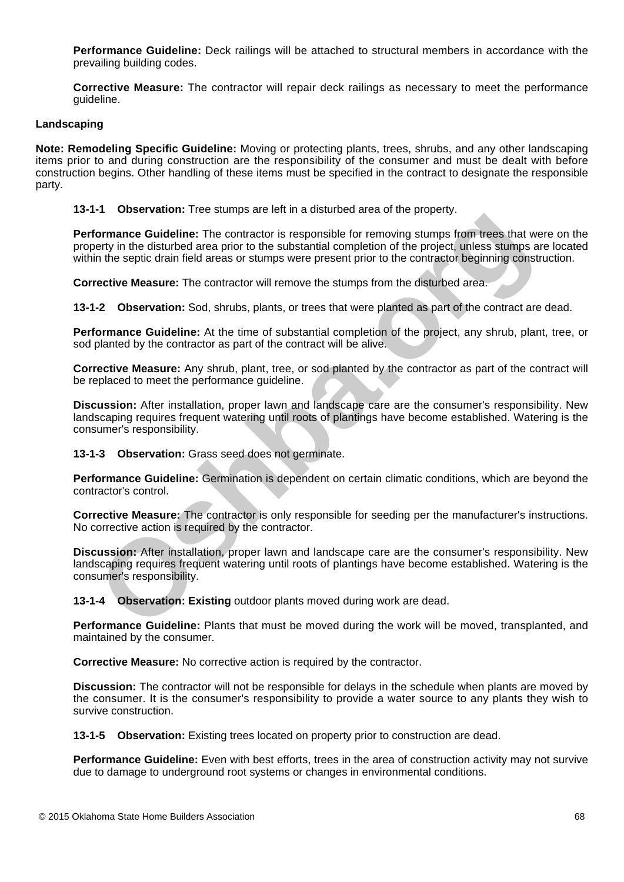**Performance Guideline:** Deck railings will be attached to structural members in accordance with the prevailing building codes.

**Corrective Measure:** The contractor will repair deck railings as necessary to meet the performance guideline.

# **Landscaping**

**Note: Remodeling Specific Guideline:** Moving or protecting plants, trees, shrubs, and any other landscaping items prior to and during construction are the responsibility of the consumer and must be dealt with before construction begins. Other handling of these items must be specified in the contract to designate the responsible party.

**13-1-1 Observation:** Tree stumps are left in a disturbed area of the property.

**Performance Guideline:** The contractor is responsible for removing stumps from trees that were on the property in the disturbed area prior to the substantial completion of the project, unless stumps are located within the septic drain field areas or stumps were present prior to the contractor beginning construction.

**Corrective Measure:** The contractor will remove the stumps from the disturbed area.

**13-1-2 Observation:** Sod, shrubs, plants, or trees that were planted as part of the contract are dead.

**Performance Guideline:** At the time of substantial completion of the project, any shrub, plant, tree, or sod planted by the contractor as part of the contract will be alive.

**Corrective Measure:** Any shrub, plant, tree, or sod planted by the contractor as part of the contract will be replaced to meet the performance guideline.

**Discussion:** After installation, proper lawn and landscape care are the consumer's responsibility. New landscaping requires frequent watering until roots of plantings have become established. Watering is the consumer's responsibility.

**13-1-3 Observation:** Grass seed does not germinate.

**Performance Guideline:** Germination is dependent on certain climatic conditions, which are beyond the contractor's control.

**Corrective Measure:** The contractor is only responsible for seeding per the manufacturer's instructions. No corrective action is required by the contractor.

**Discussion:** After installation, proper lawn and landscape care are the consumer's responsibility. New landscaping requires frequent watering until roots of plantings have become established. Watering is the consumer's responsibility. **Correlate Constraint The Control of the control of the propertyrical Constrained Constraine Constraine Certain disturbed area prior to the substantial completion of the project, unless stumps and in the septic drain field** 

**13-1-4 Observation: Existing** outdoor plants moved during work are dead.

**Performance Guideline:** Plants that must be moved during the work will be moved, transplanted, and maintained by the consumer.

**Corrective Measure:** No corrective action is required by the contractor.

**Discussion:** The contractor will not be responsible for delays in the schedule when plants are moved by the consumer. It is the consumer's responsibility to provide a water source to any plants they wish to survive construction.

**13-1-5 Observation:** Existing trees located on property prior to construction are dead.

**Performance Guideline:** Even with best efforts, trees in the area of construction activity may not survive due to damage to underground root systems or changes in environmental conditions.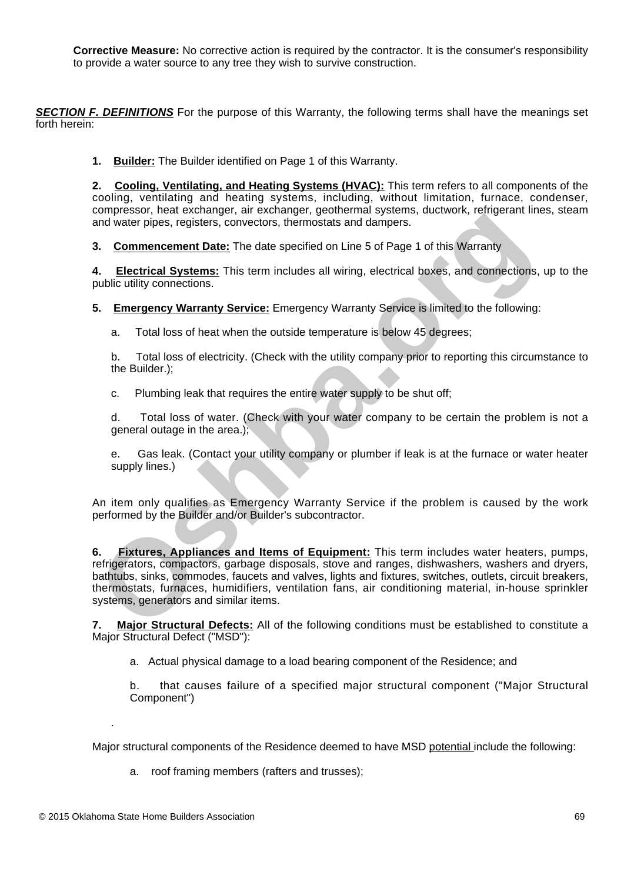**Corrective Measure:** No corrective action is required by the contractor. It is the consumer's responsibility to provide a water source to any tree they wish to survive construction.

**SECTION F. DEFINITIONS** For the purpose of this Warranty, the following terms shall have the meanings set forth herein:

**1. Builder:** The Builder identified on Page 1 of this Warranty.

**2. Cooling, Ventilating, and Heating Systems (HVAC):** This term refers to all components of the cooling, ventilating and heating systems, including, without limitation, furnace, condenser, compressor, heat exchanger, air exchanger, geothermal systems, ductwork, refrigerant lines, steam and water pipes, registers, convectors, thermostats and dampers.

**3. Commencement Date:** The date specified on Line 5 of Page 1 of this Warranty

**4. Electrical Systems:** This term includes all wiring, electrical boxes, and connections, up to the public utility connections.

**5. Emergency Warranty Service:** Emergency Warranty Service is limited to the following:

a. Total loss of heat when the outside temperature is below 45 degrees;

b. Total loss of electricity. (Check with the utility company prior to reporting this circumstance to the Builder.);

c. Plumbing leak that requires the entire water supply to be shut off;

d. Total loss of water. (Check with your water company to be certain the problem is not a general outage in the area.);

e. Gas leak. (Contact your utility company or plumber if leak is at the furnace or water heater supply lines.)

An item only qualifies as Emergency Warranty Service if the problem is caused by the work performed by the Builder and/or Builder's subcontractor.

**6. Fixtures, Appliances and Items of Equipment:** This term includes water heaters, pumps, refrigerators, compactors, garbage disposals, stove and ranges, dishwashers, washers and dryers, bathtubs, sinks, commodes, faucets and valves, lights and fixtures, switches, outlets, circuit breakers, thermostats, furnaces, humidifiers, ventilation fans, air conditioning material, in-house sprinkler systems, generators and similar items. For the Schemation of the Suite of the following the state of the systems.<br> **Oshiff A. Electrical Systems:** This term includes all wining, electrical boxes, and connections,<br> **3. Commencement Date:** The date specified on L

**7. Major Structural Defects:** All of the following conditions must be established to constitute a Major Structural Defect ("MSD"):

a. Actual physical damage to a load bearing component of the Residence; and

b. that causes failure of a specified major structural component ("Major Structural Component")

Major structural components of the Residence deemed to have MSD potential include the following:

a. roof framing members (rafters and trusses);

.